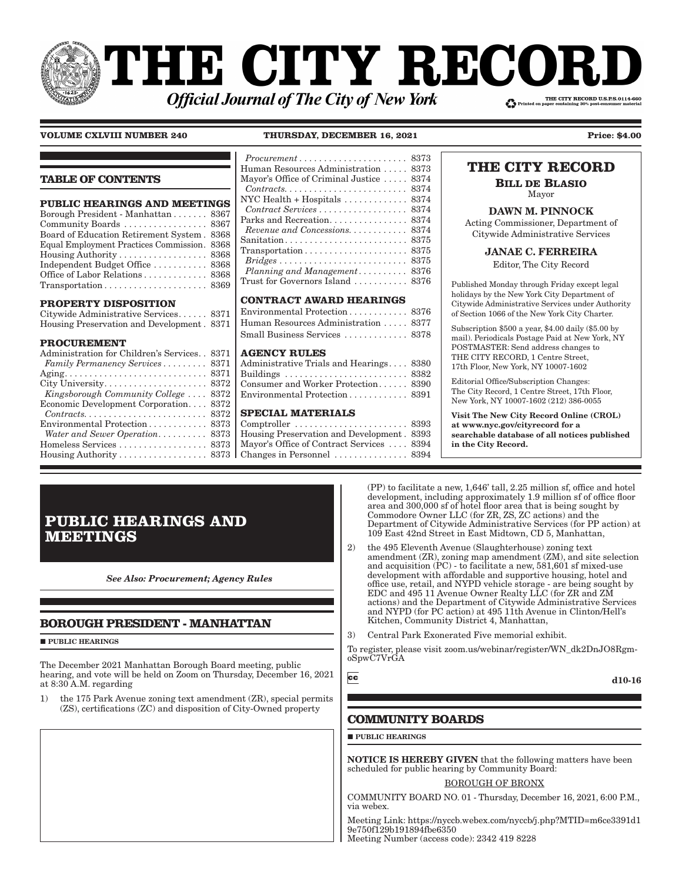# **THE CITY RECORI** THE CITY RECORD U.S.P.S.0114-660 **Official Journal of The City of New York**

**VOLUME CXLVIII NUMBER 240 THURSDAY, DECEMBER 16, 2021 Price: \$4.00** 

### **TABLE OF CONTENTS**

| <b>PUBLIC HEARINGS AND MEETINGS</b>         |
|---------------------------------------------|
| Borough President - Manhattan 8367          |
| Community Boards  8367                      |
| Board of Education Retirement System . 8368 |
| Equal Employment Practices Commission. 8368 |
| Housing Authority 8368                      |
| Independent Budget Office  8368             |
| Office of Labor Relations 8368              |
|                                             |
|                                             |

### **PROPERTY DISPOSITION**

| Citywide Administrative Services 8371      |  |
|--------------------------------------------|--|
| Housing Preservation and Development. 8371 |  |

### **PROCUREMENT**

| Administration for Children's Services. . 8371                     |  |
|--------------------------------------------------------------------|--|
| Family Permanency Services 8371                                    |  |
|                                                                    |  |
|                                                                    |  |
| Kingsborough Community College  8372                               |  |
| Economic Development Corporation 8372                              |  |
| $Contracts. \ldots \ldots \ldots \ldots \ldots \ldots \ldots 8372$ |  |
| Environmental Protection 8373                                      |  |
| Water and Sewer Operation 8373                                     |  |
| Homeless Services  8373                                            |  |
| Housing Authority 8373                                             |  |
|                                                                    |  |

### *Procurement � � � � � � � � � � � � � � � � � � � � � �* 8373 Human Resources Administration . . . . . 8373 Mayor's Office of Criminal Justice . . . . . 8374  $Contracts. \ldots \ldots \ldots \ldots \ldots \ldots \ldots \ldots \ldots \, 8374$ NYC Health + Hospitals . . . . . . . . . . . . . 8374  $Controller 10: 8374$ Parks and Recreation. . . . . . . . . . . . . . 8374 *Revenue and Concessions.*  $\dots \dots \dots$  8374 Sanitation . . . . . . . . . . . . . . . . . . . . . . . . . 8375 Transportation . . . . . . . . . . . . . . . . . . . . . 8375  $Bridges \ldots \ldots \ldots \ldots \ldots \ldots \ldots \ldots \ldots 8375$ *Planning and Management*  $\ldots \ldots \ldots$  8376 Trust for Governors Island . . . . . . . . . . . 8376

### **CONTRACT AWARD HEARINGS**

| Environmental Protection 8376        |  |
|--------------------------------------|--|
| Human Resources Administration  8377 |  |
| Small Business Services  8378        |  |

### **AGENCY RULES**

| Administrative Trials and Hearings 8380 |
|-----------------------------------------|
| Buildings  8382                         |
| Consumer and Worker Protection 8390     |
| Environmental Protection 8391           |
|                                         |

### **SPECIAL MATERIALS**

| Housing Preservation and Development. 8393              |  |
|---------------------------------------------------------|--|
| Mayor's Office of Contract Services  8394               |  |
| Changes in Personnel $\ldots \ldots \ldots \ldots$ 8394 |  |

### **THE CITY RECORD**

**BILL DE BLASIO** Mayor

### DAWN M. PINNOCK

Acting Commissioner, Department of Citywide Administrative Services

### JANAE C. FERREIRA

Editor, The City Record

Published Monday through Friday except legal holidays by the New York City Department of Citywide Administrative Services under Authority of Section 1066 of the New York City Charter.

Subscription \$500 a year, \$4.00 daily (\$5.00 by mail). Periodicals Postage Paid at New York, NY POSTMASTER: Send address changes to THE CITY RECORD, 1 Centre Street, 17th Floor, New York, NY 10007-1602

Editorial Office/Subscription Changes: The City Record, 1 Centre Street, 17th Floor, New York, NY 10007-1602 (212) 386-0055

Visit The New City Record Online (CROL) at www.nyc.gov/cityrecord for a searchable database of all notices published in the City Record.

## **PUBLIC HEARINGS AND MEETINGS**

*See Also: Procurement; Agency Rules*

### **BOROUGH PRESIDENT - MANHATTAN**

**PUBLIC HEARINGS** 

The December 2021 Manhattan Borough Board meeting, public hearing, and vote will be held on Zoom on Thursday, December 16, 2021 at 8:30 A.M. regarding

1) the 175 Park Avenue zoning text amendment (ZR), special permits (ZS), certifications (ZC) and disposition of City-Owned property

(PP) to facilitate a new, 1,646' tall, 2.25 million sf, office and hotel development, including approximately 1.9 million sf of office floor area and 300,000 sf of hotel floor area that is being sought by Commodore Owner LLC (for ZR, ZS, ZC actions) and the Department of Citywide Administrative Services (for PP action) at 109 East 42nd Street in East Midtown, CD 5, Manhattan,

- 2) the 495 Eleventh Avenue (Slaughterhouse) zoning text amendment (ZR), zoning map amendment (ZM), and site selection and acquisition (PC) - to facilitate a new, 581,601 sf mixed-use development with affordable and supportive housing, hotel and office use, retail, and NYPD vehicle storage - are being sought by EDC and 495 11 Avenue Owner Realty LLC (for ZR and ZM actions) and the Department of Citywide Administrative Services and NYPD (for PC action) at 495 11th Avenue in Clinton/Hell's Kitchen, Community District 4, Manhattan,
- 3) Central Park Exonerated Five memorial exhibit.

To register, please visit zoom.us/webinar/register/WN\_dk2DnJO8RgmoSpwC7VrGA

 $cc$ 

d10-16

### **COMMUNITY BOARDS**

**PUBLIC HEARINGS** 

NOTICE IS HEREBY GIVEN that the following matters have been scheduled for public hearing by Community Board:

### BOROUGH OF BRONX

COMMUNITY BOARD NO. 01 - Thursday, December 16, 2021, 6:00 P.M., via webex.

Meeting Link: https://nyccb.webex.com/nyccb/j.php?MTID=m6ce3391d1 9e750f129b191894fbe6350 Meeting Number (access code): 2342 419 8228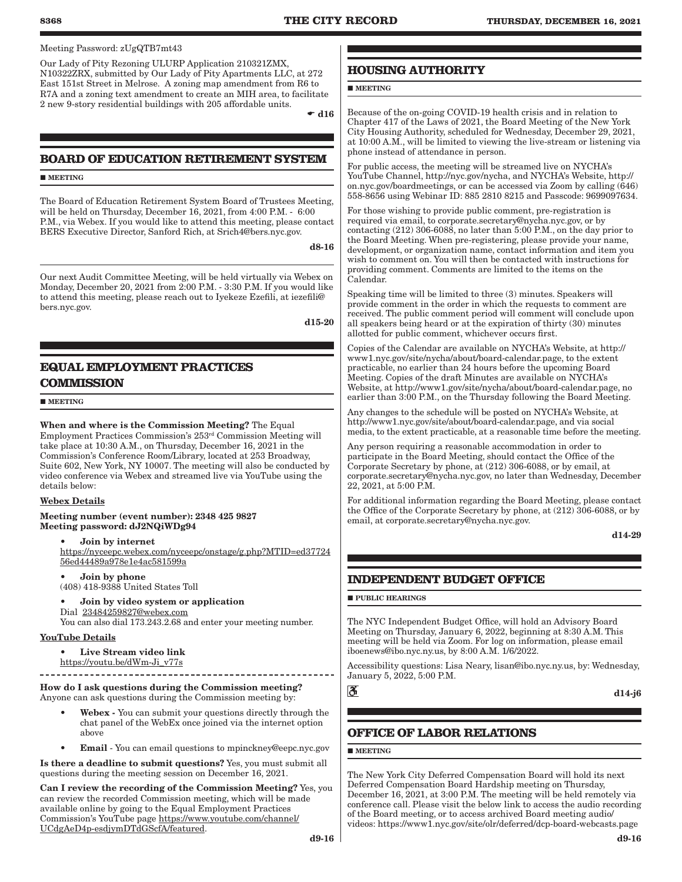### Meeting Password: zUgQTB7mt43

Our Lady of Pity Rezoning ULURP Application 210321ZMX, N10322ZRX, submitted by Our Lady of Pity Apartments LLC, at 272 East 151st Street in Melrose. A zoning map amendment from R6 to R7A and a zoning text amendment to create an MIH area, to facilitate 2 new 9-story residential buildings with 205 affordable units.

 $\div$  d16

### **BOARD OF EDUCATION RETIREMENT SYSTEM**

**MEETING** 

The Board of Education Retirement System Board of Trustees Meeting, will be held on Thursday, December 16, 2021, from 4:00 P.M. - 6:00 P.M., via Webex. If you would like to attend this meeting, please contact BERS Executive Director, Sanford Rich, at Srich4@bers.nyc.gov.

d8-16

Our next Audit Committee Meeting, will be held virtually via Webex on Monday, December 20, 2021 from 2:00 P.M. - 3:30 P.M. If you would like to attend this meeting, please reach out to Iyekeze Ezefili, at iezefili@ bers.nyc.gov.

d15-20

### **EQUAL EMPLOYMENT PRACTICES COMMISSION**

**MEETING** 

When and where is the Commission Meeting? The Equal Employment Practices Commission's 253rd Commission Meeting will take place at 10:30 A.M., on Thursday, December 16, 2021 in the Commission's Conference Room/Library, located at 253 Broadway, Suite 602, New York, NY 10007. The meeting will also be conducted by video conference via Webex and streamed live via YouTube using the details below:

### Webex Details

#### Meeting number (event number): 2348 425 9827 Meeting password: dJ2NQiWDg94

• Join by internet

https://nyceepc.webex.com/nyceepc/onstage/g.php?MTID=ed37724 56ed44489a978e1e4ac581599a

#### • Join by phone (408) 418-9388 United States Toll

• Join by video system or application Dial 23484259827@webex.com You can also dial 173.243.2.68 and enter your meeting number.

### YouTube Details

Live Stream video link

https://youtu.be/dWm-Ji\_v77s

How do I ask questions during the Commission meeting? Anyone can ask questions during the Commission meeting by:

- Webex You can submit your questions directly through the chat panel of the WebEx once joined via the internet option above
- Email You can email questions to mpinckney@eepc.nyc.gov

Is there a deadline to submit questions? Yes, you must submit all questions during the meeting session on December 16, 2021.

Can I review the recording of the Commission Meeting? Yes, you can review the recorded Commission meeting, which will be made available online by going to the Equal Employment Practices Commission's YouTube page https://www.youtube.com/channel/ UCdgAeD4p-esdjymDTdGScfA/featured.

### **HOUSING AUTHORITY**

**MEETING** 

Because of the on-going COVID-19 health crisis and in relation to Chapter 417 of the Laws of 2021, the Board Meeting of the New York City Housing Authority, scheduled for Wednesday, December 29, 2021, at 10:00 A.M., will be limited to viewing the live-stream or listening via phone instead of attendance in person.

For public access, the meeting will be streamed live on NYCHA's YouTube Channel, http://nyc.gov/nycha, and NYCHA's Website, http:// on.nyc.gov/boardmeetings, or can be accessed via Zoom by calling (646) 558-8656 using Webinar ID: 885 2810 8215 and Passcode: 9699097634.

For those wishing to provide public comment, pre-registration is required via email, to corporate.secretary@nycha.nyc.gov, or by contacting (212) 306-6088, no later than 5:00 P.M., on the day prior to the Board Meeting. When pre-registering, please provide your name, development, or organization name, contact information and item you wish to comment on. You will then be contacted with instructions for providing comment. Comments are limited to the items on the Calendar.

Speaking time will be limited to three (3) minutes. Speakers will provide comment in the order in which the requests to comment are received. The public comment period will comment will conclude upon all speakers being heard or at the expiration of thirty (30) minutes allotted for public comment, whichever occurs first.

Copies of the Calendar are available on NYCHA's Website, at http:// www1.nyc.gov/site/nycha/about/board-calendar.page, to the extent practicable, no earlier than 24 hours before the upcoming Board Meeting. Copies of the draft Minutes are available on NYCHA's Website, at http://www1.gov/site/nycha/about/board-calendar.page, no earlier than 3:00 P.M., on the Thursday following the Board Meeting.

Any changes to the schedule will be posted on NYCHA's Website, at http://www1.nyc.gov/site/about/board-calendar.page, and via social media, to the extent practicable, at a reasonable time before the meeting.

Any person requiring a reasonable accommodation in order to participate in the Board Meeting, should contact the Office of the Corporate Secretary by phone, at (212) 306-6088, or by email, at corporate.secretary@nycha.nyc.gov, no later than Wednesday, December 22, 2021, at 5:00 P.M.

For additional information regarding the Board Meeting, please contact the Office of the Corporate Secretary by phone, at (212) 306-6088, or by email, at corporate.secretary@nycha.nyc.gov.

d14-29

### **INDEPENDENT BUDGET OFFICE**

**PUBLIC HEARINGS** 

The NYC Independent Budget Office, will hold an Advisory Board Meeting on Thursday, January 6, 2022, beginning at 8:30 A.M. This meeting will be held via Zoom. For log on information, please email iboenews@ibo.nyc.ny.us, by 8:00 A.M. 1/6/2022.

Accessibility questions: Lisa Neary, lisan@ibo.nyc.ny.us, by: Wednesday, January 5, 2022, 5:00 P.M.



d14-j6

### **OFFICE OF LABOR RELATIONS**

**MEETING** 

The New York City Deferred Compensation Board will hold its next Deferred Compensation Board Hardship meeting on Thursday, December 16, 2021, at 3:00 P.M. The meeting will be held remotely via conference call. Please visit the below link to access the audio recording of the Board meeting, or to access archived Board meeting audio/ videos: https://www1.nyc.gov/site/olr/deferred/dcp-board-webcasts.page

d9-16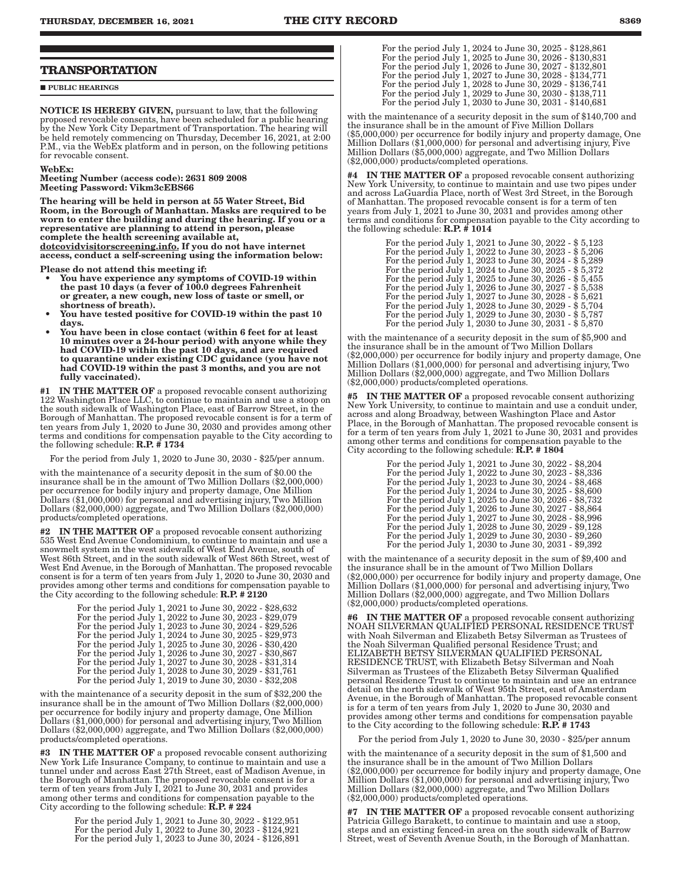#### **PUBLIC HEARINGS**

NOTICE IS HEREBY GIVEN, pursuant to law, that the following proposed revocable consents, have been scheduled for a public hearing by the New York City Department of Transportation. The hearing will be held remotely commencing on Thursday, December 16, 2021, at 2:00 P.M., via the WebEx platform and in person, on the following petitions for revocable consent.

#### WebEx:

Meeting Number (access code): 2631 809 2008 Meeting Password: Vikm3cEBS66

The hearing will be held in person at 55 Water Street, Bid Room, in the Borough of Manhattan. Masks are required to be worn to enter the building and during the hearing. If you or a representative are planning to attend in person, please complete the health screening available at, dotcovidvisitorscreening.info. If you do not have internet

access, conduct a self-screening using the information below:

Please do not attend this meeting if:

- You have experience any symptoms of COVID-19 within the past 10 days (a fever of 100.0 degrees Fahrenheit or greater, a new cough, new loss of taste or smell, or shortness of breath).
- You have tested positive for COVID-19 within the past 10 days.
- You have been in close contact (within 6 feet for at least 10 minutes over a 24-hour period) with anyone while they had COVID-19 within the past 10 days, and are required to quarantine under existing CDC guidance (you have not had COVID-19 within the past 3 months, and you are not fully vaccinated).

#1 IN THE MATTER OF a proposed revocable consent authorizing 122 Washington Place LLC, to continue to maintain and use a stoop on the south sidewalk of Washington Place, east of Barrow Street, in the Borough of Manhattan. The proposed revocable consent is for a term of ten years from July 1, 2020 to June 30, 2030 and provides among other terms and conditions for compensation payable to the City according to the following schedule: R.P. # 1734

For the period from July 1, 2020 to June 30, 2030 - \$25/per annum.

with the maintenance of a security deposit in the sum of \$0.00 the insurance shall be in the amount of Two Million Dollars (\$2,000,000) per occurrence for bodily injury and property damage, One Million Dollars (\$1,000,000) for personal and advertising injury, Two Million Dollars (\$2,000,000) aggregate, and Two Million Dollars (\$2,000,000) products/completed operations.

#2 IN THE MATTER OF a proposed revocable consent authorizing 535 West End Avenue Condominium, to continue to maintain and use a snowmelt system in the west sidewalk of West End Avenue, south of West 86th Street, and in the south sidewalk of West 86th Street, west of West End Avenue, in the Borough of Manhattan. The proposed revocable consent is for a term of ten years from July 1, 2020 to June 30, 2030 and provides among other terms and conditions for compensation payable to the City according to the following schedule:  $R.P.$  # 2120

| For the period July 1, 2021 to June 30, 2022 - \$28,632 |  |
|---------------------------------------------------------|--|
| For the period July 1, 2022 to June 30, 2023 - \$29,079 |  |
| For the period July 1, 2023 to June 30, 2024 - \$29,526 |  |
| For the period July 1, 2024 to June 30, 2025 - \$29,973 |  |
| For the period July 1, 2025 to June 30, 2026 - \$30,420 |  |
| For the period July 1, 2026 to June 30, 2027 - \$30,867 |  |
| For the period July 1, 2027 to June 30, 2028 - \$31,314 |  |
| For the period July 1, 2028 to June 30, 2029 - \$31,761 |  |
| For the period July 1, 2019 to June 30, 2030 - \$32,208 |  |

with the maintenance of a security deposit in the sum of \$32,200 the insurance shall be in the amount of Two Million Dollars (\$2,000,000) per occurrence for bodily injury and property damage, One Million Dollars (\$1,000,000) for personal and advertising injury, Two Million Dollars (\$2,000,000) aggregate, and Two Million Dollars (\$2,000,000) products/completed operations.

**#3** IN THE MATTER OF a proposed revocable consent authorizing New York Life Insurance Company, to continue to maintain and use a tunnel under and across East 27th Street, east of Madison Avenue, in the Borough of Manhattan. The proposed revocable consent is for a term of ten years from July I, 2021 to June 30, 2031 and provides among other terms and conditions for compensation payable to the City according to the following schedule: R.P. # 224

> For the period July 1, 2021 to June 30, 2022 - \$122,951 For the period July 1, 2022 to June 30, 2023 - \$124,921 For the period July 1, 2023 to June 30, 2024 - \$126,891

| For the period July 1, 2024 to June 30, 2025 - \$128,861 |
|----------------------------------------------------------|
| For the period July 1, 2025 to June 30, 2026 - \$130,831 |
| For the period July 1, 2026 to June 30, 2027 - \$132,801 |
| For the period July 1, 2027 to June 30, 2028 - \$134,771 |
| For the period July 1, 2028 to June 30, 2029 - \$136,741 |
| For the period July 1, 2029 to June 30, 2030 - \$138,711 |
| For the period July 1, 2030 to June 30, 2031 - \$140,681 |

with the maintenance of a security deposit in the sum of \$140,700 and the insurance shall be in the amount of Five Million Dollars (\$5,000,000) per occurrence for bodily injury and property damage, One Million Dollars (\$1,000,000) for personal and advertising injury, Five Million Dollars (\$5,000,000) aggregate, and Two Million Dollars (\$2,000,000) products/completed operations.

#4 IN THE MATTER OF a proposed revocable consent authorizing New York University, to continue to maintain and use two pipes under and across LaGuardia Place, north of West 3rd Street, in the Borough of Manhattan. The proposed revocable consent is for a term of ten years from July 1, 2021 to June 30, 2031 and provides among other terms and conditions for compensation payable to the City according to the following schedule:  $\mathbf{R}.\mathbf{P}.\hat{\mathbf{H}}$  1014

| For the period July 1, 2021 to June 30, 2022 - \$ 5,123 |
|---------------------------------------------------------|
| For the period July 1, 2022 to June 30, 2023 - \$ 5,206 |
| For the period July 1, 2023 to June 30, 2024 - \$ 5,289 |
| For the period July 1, 2024 to June 30, 2025 - \$ 5,372 |
| For the period July 1, 2025 to June 30, 2026 - \$5,455  |
| For the period July 1, 2026 to June 30, 2027 - \$5,538  |
| For the period July 1, 2027 to June 30, 2028 - \$ 5,621 |
| For the period July 1, 2028 to June 30, 2029 - \$ 5,704 |
| For the period July 1, 2029 to June 30, 2030 - \$ 5,787 |
| For the period July 1, 2030 to June 30, 2031 - \$5,870  |

with the maintenance of a security deposit in the sum of \$5,900 and the insurance shall be in the amount of Two Million Dollars (\$2,000,000) per occurrence for bodily injury and property damage, One Million Dollars (\$1,000,000) for personal and advertising injury, Two Million Dollars (\$2,000,000) aggregate, and Two Million Dollars (\$2,000,000) products/completed operations.

**#5** IN THE MATTER OF a proposed revocable consent authorizing New York University, to continue to maintain and use a conduit under, across and along Broadway, between Washington Place and Astor Place, in the Borough of Manhattan. The proposed revocable consent is for a term of ten years from July 1, 2021 to June 30, 2031 and provides among other terms and conditions for compensation payable to the City according to the following schedule: R.P. # 1804

| For the period July 1, 2021 to June 30, 2022 - \$8,204 |
|--------------------------------------------------------|
| For the period July 1, 2022 to June 30, 2023 - \$8,336 |
| For the period July 1, 2023 to June 30, 2024 - \$8,468 |
| For the period July 1, 2024 to June 30, 2025 - \$8,600 |
| For the period July 1, 2025 to June 30, 2026 - \$8,732 |
| For the period July 1, 2026 to June 30, 2027 - \$8,864 |
| For the period July 1, 2027 to June 30, 2028 - \$8,996 |
| For the period July 1, 2028 to June 30, 2029 - \$9,128 |
| For the period July 1, 2029 to June 30, 2030 - \$9,260 |
| For the period July 1, 2030 to June 30, 2031 - \$9,392 |

with the maintenance of a security deposit in the sum of \$9,400 and the insurance shall be in the amount of Two Million Dollars (\$2,000,000) per occurrence for bodily injury and property damage, One Million Dollars (\$1,000,000) for personal and advertising injury, Two Million Dollars (\$2,000,000) aggregate, and Two Million Dollars (\$2,000,000) products/completed operations.

#6 IN THE MATTER OF a proposed revocable consent authorizing NOAH SILVERMAN QUALIFIED PERSONAL RESIDENCE TRUST with Noah Silverman and Elizabeth Betsy Silverman as Trustees of the Noah Silverman Qualified personal Residence Trust; and ELIZABETH BETSY SILVERMAN QUALIFIED PERSONAL RESIDENCE TRUST, with Elizabeth Betsy Silverman and Noah Silverman as Trustees of the Elizabeth Betsy Silverman Qualified personal Residence Trust to continue to maintain and use an entrance detail on the north sidewalk of West 95th Street, east of Amsterdam Avenue, in the Borough of Manhattan. The proposed revocable consent is for a term of ten years from July 1, 2020 to June 30, 2030 and provides among other terms and conditions for compensation payable to the City according to the following schedule: R.P. # 1743

For the period from July 1, 2020 to June 30, 2030 - \$25/per annum

with the maintenance of a security deposit in the sum of \$1,500 and the insurance shall be in the amount of Two Million Dollars (\$2,000,000) per occurrence for bodily injury and property damage, One Million Dollars (\$1,000,000) for personal and advertising injury, Two Million Dollars (\$2,000,000) aggregate, and Two Million Dollars (\$2,000,000) products/completed operations.

#7 IN THE MATTER OF a proposed revocable consent authorizing Patricia Gillego Barakett, to continue to maintain and use a stoop, steps and an existing fenced-in area on the south sidewalk of Barrow Street, west of Seventh Avenue South, in the Borough of Manhattan.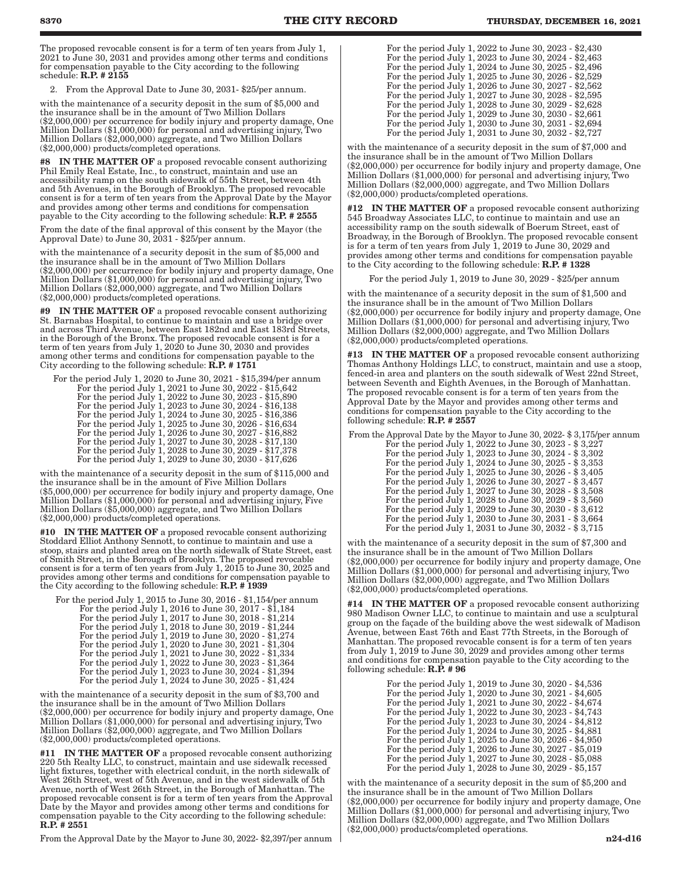The proposed revocable consent is for a term of ten years from July 1, 2021 to June 30, 2031 and provides among other terms and conditions for compensation payable to the City according to the following schedule: R.P. # 2155

2. From the Approval Date to June 30, 2031- \$25/per annum.

with the maintenance of a security deposit in the sum of \$5,000 and the insurance shall be in the amount of Two Million Dollars (\$2,000,000) per occurrence for bodily injury and property damage, One Million Dollars (\$1,000,000) for personal and advertising injury, Two Million Dollars (\$2,000,000) aggregate, and Two Million Dollars (\$2,000,000) products/completed operations.

IN THE MATTER OF a proposed revocable consent authorizing Phil Emily Real Estate, Inc., to construct, maintain and use an accessibility ramp on the south sidewalk of 55th Street, between 4th and 5th Avenues, in the Borough of Brooklyn. The proposed revocable consent is for a term of ten years from the Approval Date by the Mayor and provides among other terms and conditions for compensation payable to the City according to the following schedule: R.P. # 2555

From the date of the final approval of this consent by the Mayor (the Approval Date) to June 30, 2031 - \$25/per annum.

with the maintenance of a security deposit in the sum of \$5,000 and the insurance shall be in the amount of Two Million Dollars (\$2,000,000) per occurrence for bodily injury and property damage, One Million Dollars (\$1,000,000) for personal and advertising injury, Two Million Dollars (\$2,000,000) aggregate, and Two Million Dollars (\$2,000,000) products/completed operations.

#9 IN THE MATTER OF a proposed revocable consent authorizing St. Barnabas Hospital, to continue to maintain and use a bridge over and across Third Avenue, between East 182nd and East 183rd Streets, in the Borough of the Bronx. The proposed revocable consent is for a term of ten years from July 1, 2020 to June 30, 2030 and provides among other terms and conditions for compensation payable to the City according to the following schedule: R.P. # 1751

For the period July 1, 2020 to June 30, 2021 - \$15,394/per annum

For the period July 1, 2021 to June 30, 2022 - \$15,642 For the period July 1, 2022 to June 30, 2023 - \$15,890 For the period July 1, 2023 to June 30, 2024 - \$16,138 For the period July 1, 2024 to June 30, 2025 - \$16,386 For the period July 1, 2025 to June 30, 2026 - \$16,634 For the period July 1, 2026 to June 30, 2027 - \$16,882 For the period July 1, 2027 to June 30, 2028 - \$17,130 For the period July 1, 2028 to June 30, 2029 - \$17,378 For the period July 1, 2029 to June 30, 2030 - \$17,626

with the maintenance of a security deposit in the sum of \$115,000 and the insurance shall be in the amount of Five Million Dollars (\$5,000,000) per occurrence for bodily injury and property damage, One Million Dollars (\$1,000,000) for personal and advertising injury, Five Million Dollars (\$5,000,000) aggregate, and Two Million Dollars (\$2,000,000) products/completed operations.

#10 IN THE MATTER OF a proposed revocable consent authorizing Stoddard Elliot Anthony Sennott, to continue to maintain and use a stoop, stairs and planted area on the north sidewalk of State Street, east of Smith Street, in the Borough of Brooklyn. The proposed revocable consent is for a term of ten years from July 1, 2015 to June 30, 2025 and provides among other terms and conditions for compensation payable to the City according to the following schedule: R.P. # 1939

For the period July 1, 2015 to June 30, 2016 - \$1,154/per annum For the period July 1, 2016 to June 30, 2017 -  $\$1,184$ For the period July 1, 2017 to June 30, 2018 - \$1,214 For the period July 1, 2018 to June 30, 2019 - \$1,244 For the period July 1, 2019 to June 30, 2020 - \$1,274 For the period July 1, 2020 to June 30, 2021 - \$1,304 For the period July 1, 2021 to June 30, 2022 - \$1,334 For the period July 1, 2022 to June 30, 2023 - \$1,364 For the period July 1, 2023 to June 30, 2024 - \$1,394

with the maintenance of a security deposit in the sum of \$3,700 and the insurance shall be in the amount of Two Million Dollars (\$2,000,000) per occurrence for bodily injury and property damage, One Million Dollars (\$1,000,000) for personal and advertising injury, Two Million Dollars (\$2,000,000) aggregate, and Two Million Dollars (\$2,000,000) products/completed operations.

For the period July 1, 2024 to June 30, 2025 - \$1,424

#11 IN THE MATTER OF a proposed revocable consent authorizing 220 5th Realty LLC, to construct, maintain and use sidewalk recessed light fixtures, together with electrical conduit, in the north sidewalk of West 26th Street, west of 5th Avenue, and in the west sidewalk of 5th Avenue, north of West 26th Street, in the Borough of Manhattan. The proposed revocable consent is for a term of ten years from the Approval Date by the Mayor and provides among other terms and conditions for compensation payable to the City according to the following schedule: R.P. # 2551

From the Approval Date by the Mayor to June 30, 2022- \$2,397/per annum

| For the period July 1, 2022 to June 30, 2023 - \$2,430 |
|--------------------------------------------------------|
| For the period July 1, 2023 to June 30, 2024 - \$2,463 |
| For the period July 1, 2024 to June 30, 2025 - \$2,496 |
| For the period July 1, 2025 to June 30, 2026 - \$2,529 |
| For the period July 1, 2026 to June 30, 2027 - \$2,562 |
| For the period July 1, 2027 to June 30, 2028 - \$2,595 |
| For the period July 1, 2028 to June 30, 2029 - \$2,628 |
| For the period July 1, 2029 to June 30, 2030 - \$2,661 |
| For the period July 1, 2030 to June 30, 2031 - \$2,694 |
| For the period July 1, 2031 to June 30, 2032 - \$2,727 |

with the maintenance of a security deposit in the sum of \$7,000 and the insurance shall be in the amount of Two Million Dollars (\$2,000,000) per occurrence for bodily injury and property damage, One Million Dollars (\$1,000,000) for personal and advertising injury, Two Million Dollars (\$2,000,000) aggregate, and Two Million Dollars (\$2,000,000) products/completed operations.

#12 IN THE MATTER OF a proposed revocable consent authorizing 545 Broadway Associates LLC, to continue to maintain and use an accessibility ramp on the south sidewalk of Boerum Street, east of Broadway, in the Borough of Brooklyn. The proposed revocable consent is for a term of ten years from July 1, 2019 to June 30, 2029 and provides among other terms and conditions for compensation payable to the City according to the following schedule: R.P. # 1328

For the period July 1, 2019 to June 30, 2029 - \$25/per annum

with the maintenance of a security deposit in the sum of \$1,500 and the insurance shall be in the amount of Two Million Dollars (\$2,000,000) per occurrence for bodily injury and property damage, One Million Dollars (\$1,000,000) for personal and advertising injury, Two Million Dollars (\$2,000,000) aggregate, and Two Million Dollars (\$2,000,000) products/completed operations.

#13 IN THE MATTER OF a proposed revocable consent authorizing Thomas Anthony Holdings LLC, to construct, maintain and use a stoop, fenced-in area and planters on the south sidewalk of West 22nd Street, between Seventh and Eighth Avenues, in the Borough of Manhattan. The proposed revocable consent is for a term of ten years from the Approval Date by the Mayor and provides among other terms and conditions for compensation payable to the City according to the following schedule: R.P. # 2557

| From the Approval Date by the Mayor to June 30, 2022- \$ 3,175/per annum |  |
|--------------------------------------------------------------------------|--|
| For the period July 1, 2022 to June 30, 2023 - \$3,227                   |  |
| For the period July 1, 2023 to June 30, 2024 - \$3,302                   |  |
| For the period July 1, 2024 to June 30, 2025 - \$3,353                   |  |
| For the period July 1, 2025 to June 30, 2026 - \$3,405                   |  |
| For the period July 1, 2026 to June 30, 2027 - \$ 3,457                  |  |
| For the period July 1, 2027 to June 30, 2028 - \$3,508                   |  |
| For the period July 1, 2028 to June 30, 2029 - \$3,560                   |  |
| For the period July 1, 2029 to June 30, 2030 - \$3,612                   |  |
| For the period July 1, 2030 to June 30, 2031 - \$3,664                   |  |
| For the period July 1, 2031 to June 30, 2032 - \$3,715                   |  |
|                                                                          |  |

with the maintenance of a security deposit in the sum of \$7,300 and the insurance shall be in the amount of Two Million Dollars (\$2,000,000) per occurrence for bodily injury and property damage, One Million Dollars (\$1,000,000) for personal and advertising injury, Two Million Dollars (\$2,000,000) aggregate, and Two Million Dollars (\$2,000,000) products/completed operations.

#14 IN THE MATTER OF a proposed revocable consent authorizing 980 Madison Owner LLC, to continue to maintain and use a sculptural group on the façade of the building above the west sidewalk of Madison Avenue, between East 76th and East 77th Streets, in the Borough of Manhattan. The proposed revocable consent is for a term of ten years from July 1, 2019 to June 30, 2029 and provides among other terms and conditions for compensation payable to the City according to the following schedule:  $R.P.$  # 96

> For the period July 1, 2019 to June 30, 2020 - \$4,536 For the period July 1, 2020 to June 30, 2021 - \$4,605 For the period July 1, 2021 to June 30, 2022 - \$4,674 For the period July 1, 2022 to June 30, 2023 - \$4,743 For the period July 1, 2023 to June 30, 2024 - \$4,812 For the period July 1, 2024 to June 30, 2025 - \$4,881 For the period July 1, 2025 to June 30, 2026 - \$4,950 For the period July 1, 2026 to June 30, 2027 - \$5,019 For the period July 1, 2027 to June 30, 2028 - \$5,088 For the period July 1, 2028 to June 30, 2029 - \$5,157

with the maintenance of a security deposit in the sum of \$5,200 and the insurance shall be in the amount of Two Million Dollars (\$2,000,000) per occurrence for bodily injury and property damage, One Million Dollars (\$1,000,000) for personal and advertising injury, Two Million Dollars (\$2,000,000) aggregate, and Two Million Dollars (\$2,000,000) products/completed operations.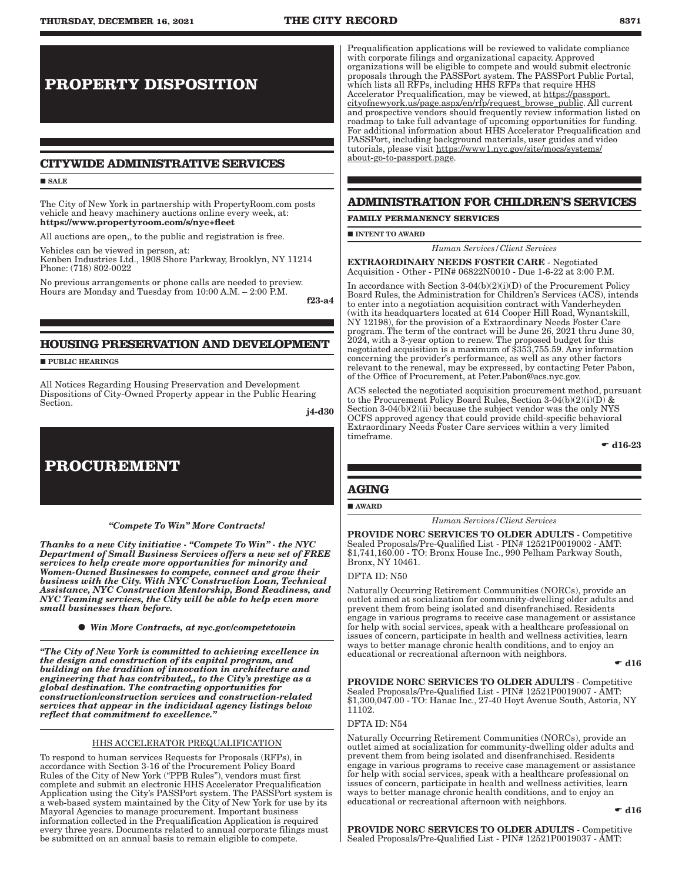## **PROPERTY DISPOSITION**

### **CITYWIDE ADMINISTRATIVE SERVICES**

#### **SALE**

The City of New York in partnership with PropertyRoom.com posts vehicle and heavy machinery auctions online every week, at: https://www.propertyroom.com/s/nyc+fleet

All auctions are open,, to the public and registration is free.

Vehicles can be viewed in person, at:

Kenben Industries Ltd., 1908 Shore Parkway, Brooklyn, NY 11214 Phone: (718) 802-0022

No previous arrangements or phone calls are needed to preview. Hours are Monday and Tuesday from 10:00 A.M. – 2:00 P.M.

f23-a4

### **HOUSING PRESERVATION AND DEVELOPMENT**

**PUBLIC HEARINGS** 

All Notices Regarding Housing Preservation and Development Dispositions of City-Owned Property appear in the Public Hearing Section.

j4-d30

### **PROCUREMENT**

*"Compete To Win" More Contracts!* 

*Thanks to a new City initiative - "Compete To Win" - the NYC Department of Small Business Services offers a new set of FREE services to help create more opportunities for minority and Women-Owned Businesses to compete, connect and grow their business with the City. With NYC Construction Loan, Technical Assistance, NYC Construction Mentorship, Bond Readiness, and NYC Teaming services, the City will be able to help even more small businesses than before.*

*Win More Contracts, at nyc.gov/competetowin*

*"The City of New York is committed to achieving excellence in the design and construction of its capital program, and building on the tradition of innovation in architecture and engineering that has contributed,, to the City's prestige as a global destination. The contracting opportunities for construction/construction services and construction-related services that appear in the individual agency listings below reflect that commitment to excellence."*

### HHS ACCELERATOR PREQUALIFICATION

To respond to human services Requests for Proposals (RFPs), in accordance with Section 3-16 of the Procurement Policy Board Rules of the City of New York ("PPB Rules"), vendors must first complete and submit an electronic HHS Accelerator Prequalification Application using the City's PASSPort system. The PASSPort system is a web-based system maintained by the City of New York for use by its Mayoral Agencies to manage procurement. Important business information collected in the Prequalification Application is required every three years. Documents related to annual corporate filings must be submitted on an annual basis to remain eligible to compete.

Prequalification applications will be reviewed to validate compliance with corporate filings and organizational capacity. Approved organizations will be eligible to compete and would submit electronic proposals through the PASSPort system. The PASSPort Public Portal, which lists all RFPs, including HHS RFPs that require HHS Accelerator Prequalification, may be viewed, at https://passport. cityofnewyork.us/page.aspx/en/rfp/request\_browse\_public. All current and prospective vendors should frequently review information listed on roadmap to take full advantage of upcoming opportunities for funding. For additional information about HHS Accelerator Prequalification and PASSPort, including background materials, user guides and video tutorials, please visit https://www1.nyc.gov/site/mocs/systems/ about-go-to-passport.page.

### **ADMINISTRATION FOR CHILDREN'S SERVICES**

#### **FAMILY PERMANENCY SERVICES**

 $\blacksquare$ INTENT TO AWARD

*Human Services/Client Services*

EXTRAORDINARY NEEDS FOSTER CARE - Negotiated Acquisition - Other - PIN# 06822N0010 - Due 1-6-22 at 3:00 P.M.

In accordance with Section 3-04(b)(2)(i)(D) of the Procurement Policy Board Rules, the Administration for Children's Services (ACS), intends to enter into a negotiation acquisition contract with Vanderheyden (with its headquarters located at 614 Cooper Hill Road, Wynantskill, NY 12198), for the provision of a Extraordinary Needs Foster Care program. The term of the contract will be June 26, 2021 thru June 30, 2024, with a 3-year option to renew. The proposed budget for this negotiated acquisition is a maximum of \$353,755.59. Any information concerning the provider's performance, as well as any other factors relevant to the renewal, may be expressed, by contacting Peter Pabon, of the Office of Procurement, at Peter.Pabon@acs.nyc.gov.

ACS selected the negotiated acquisition procurement method, pursuant to the Procurement Policy Board Rules, Section 3-04(b)(2)(i)(D) & Section 3-04(b)(2)(ii) because the subject vendor was the only NYS OCFS approved agency that could provide child-specific behavioral Extraordinary Needs Foster Care services within a very limited timeframe.

 $- d16-23$ 

### **AGING**

### AWARD

### *Human Services/Client Services*

PROVIDE NORC SERVICES TO OLDER ADULTS - Competitive Sealed Proposals/Pre-Qualified List - PIN# 12521P0019002 - AMT: \$1,741,160.00 - TO: Bronx House Inc., 990 Pelham Parkway South, Bronx, NY 10461.

#### DFTA ID: N50

Naturally Occurring Retirement Communities (NORCs), provide an outlet aimed at socialization for community-dwelling older adults and prevent them from being isolated and disenfranchised. Residents engage in various programs to receive case management or assistance for help with social services, speak with a healthcare professional on issues of concern, participate in health and wellness activities, learn ways to better manage chronic health conditions, and to enjoy an educational or recreational afternoon with neighbors.

 $\bullet$  d16

PROVIDE NORC SERVICES TO OLDER ADULTS - Competitive Sealed Proposals/Pre-Qualified List - PIN# 12521P0019007 - AMT: \$1,300,047.00 - TO: Hanac Inc., 27-40 Hoyt Avenue South, Astoria, NY 11102.

### DFTA ID: N54

Naturally Occurring Retirement Communities (NORCs), provide an outlet aimed at socialization for community-dwelling older adults and prevent them from being isolated and disenfranchised. Residents engage in various programs to receive case management or assistance for help with social services, speak with a healthcare professional on issues of concern, participate in health and wellness activities, learn ways to better manage chronic health conditions, and to enjoy an educational or recreational afternoon with neighbors.

 $\bullet$  d16

PROVIDE NORC SERVICES TO OLDER ADULTS - Competitive Sealed Proposals/Pre-Qualified List - PIN# 12521P0019037 - AMT: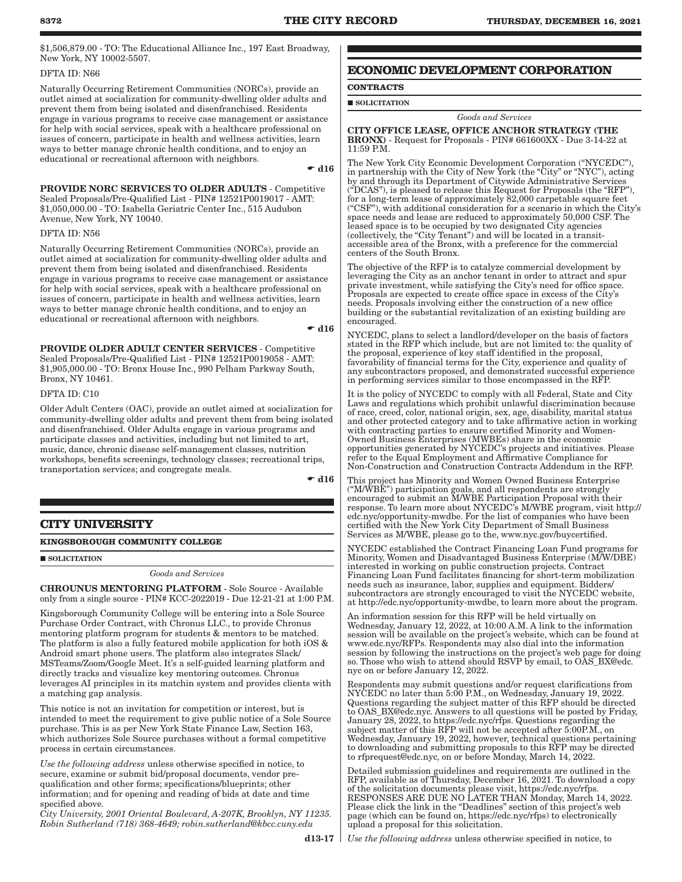\$1,506,879.00 - TO: The Educational Alliance Inc., 197 East Broadway, New York, NY 10002-5507.

### DFTA ID: N66

Naturally Occurring Retirement Communities (NORCs), provide an outlet aimed at socialization for community-dwelling older adults and prevent them from being isolated and disenfranchised. Residents engage in various programs to receive case management or assistance for help with social services, speak with a healthcare professional on issues of concern, participate in health and wellness activities, learn ways to better manage chronic health conditions, and to enjoy an educational or recreational afternoon with neighbors.

 $\bullet$  d16

PROVIDE NORC SERVICES TO OLDER ADULTS - Competitive Sealed Proposals/Pre-Qualified List - PIN# 12521P0019017 - AMT: \$1,050,000.00 - TO: Isabella Geriatric Center Inc., 515 Audubon Avenue, New York, NY 10040.

### DFTA ID: N56

Naturally Occurring Retirement Communities (NORCs), provide an outlet aimed at socialization for community-dwelling older adults and prevent them from being isolated and disenfranchised. Residents engage in various programs to receive case management or assistance for help with social services, speak with a healthcare professional on issues of concern, participate in health and wellness activities, learn ways to better manage chronic health conditions, and to enjoy an educational or recreational afternoon with neighbors.

#### $\bullet$  d16

PROVIDE OLDER ADULT CENTER SERVICES - Competitive Sealed Proposals/Pre-Qualified List - PIN# 12521P0019058 - AMT: \$1,905,000.00 - TO: Bronx House Inc., 990 Pelham Parkway South, Bronx, NY 10461.

DFTA ID: C10

Older Adult Centers (OAC), provide an outlet aimed at socialization for community-dwelling older adults and prevent them from being isolated and disenfranchised. Older Adults engage in various programs and participate classes and activities, including but not limited to art, music, dance, chronic disease self-management classes, nutrition workshops, benefits screenings, technology classes; recreational trips, transportation services; and congregate meals.

 $\bullet$  d16

### **CITY UNIVERSITY**

### **KINGSBOROUGH COMMUNITY COLLEGE**

**SOLICITATION** 

### *Goods and Services*

CHROUNUS MENTORING PLATFORM - Sole Source - Available only from a single source - PIN# KCC-2022019 - Due 12-21-21 at 1:00 P.M.

Kingsborough Community College will be entering into a Sole Source Purchase Order Contract, with Chronus LLC., to provide Chronus mentoring platform program for students & mentors to be matched. The platform is also a fully featured mobile application for both iOS & Android smart phone users. The platform also integrates Slack/ MSTeams/Zoom/Google Meet. It's a self-guided learning platform and directly tracks and visualize key mentoring outcomes. Chronus leverages AI principles in its matchin system and provides clients with a matching gap analysis.

This notice is not an invitation for competition or interest, but is intended to meet the requirement to give public notice of a Sole Source purchase. This is as per New York State Finance Law, Section 163, which authorizes Sole Source purchases without a formal competitive process in certain circumstances.

*Use the following address* unless otherwise specified in notice, to secure, examine or submit bid/proposal documents, vendor prequalification and other forms; specifications/blueprints; other information; and for opening and reading of bids at date and time specified above.

*City University, 2001 Oriental Boulevard, A-207K, Brooklyn, NY 11235. Robin Sutherland (718) 368-4649; robin.sutherland@kbcc.cuny.edu*

### **ECONOMIC DEVELOPMENT CORPORATION**

## **CONTRACTS**

### **SOLICITATION**

### *Goods and Services*

CITY OFFICE LEASE, OFFICE ANCHOR STRATEGY (THE BRONX) - Request for Proposals - PIN# 661600XX - Due 3-14-22 at 11:59 P.M.

The New York City Economic Development Corporation ("NYCEDC"), in partnership with the City of New York (the "City" or "NYC"), acting by and through its Department of Citywide Administrative Services ("DCAS"), is pleased to release this Request for Proposals (the "RFP"), for a long-term lease of approximately 82,000 carpetable square feet ("CSF"), with additional consideration for a scenario in which the City's space needs and lease are reduced to approximately 50,000 CSF. The leased space is to be occupied by two designated City agencies (collectively, the "City Tenant") and will be located in a transitaccessible area of the Bronx, with a preference for the commercial centers of the South Bronx.

The objective of the RFP is to catalyze commercial development by leveraging the City as an anchor tenant in order to attract and spur private investment, while satisfying the City's need for office space. Proposals are expected to create office space in excess of the City's needs. Proposals involving either the construction of a new office building or the substantial revitalization of an existing building are encouraged.

NYCEDC, plans to select a landlord/developer on the basis of factors stated in the RFP which include, but are not limited to: the quality of the proposal, experience of key staff identified in the proposal, favorability of financial terms for the City, experience and quality of any subcontractors proposed, and demonstrated successful experience in performing services similar to those encompassed in the RFP.

It is the policy of NYCEDC to comply with all Federal, State and City Laws and regulations which prohibit unlawful discrimination because of race, creed, color, national origin, sex, age, disability, marital status and other protected category and to take affirmative action in working with contracting parties to ensure certified Minority and Women-Owned Business Enterprises (MWBEs) share in the economic opportunities generated by NYCEDC's projects and initiatives. Please refer to the Equal Employment and Affirmative Compliance for Non-Construction and Construction Contracts Addendum in the RFP.

This project has Minority and Women Owned Business Enterprise ("M/WBE") participation goals, and all respondents are strongly encouraged to submit an M/WBE Participation Proposal with their response. To learn more about NYCEDC's M/WBE program, visit http:// edc.nyc/opportunity-mwdbe. For the list of companies who have been certified with the New York City Department of Small Business Services as M/WBE, please go to the, www.nyc.gov/buycertified.

NYCEDC established the Contract Financing Loan Fund programs for Minority, Women and Disadvantaged Business Enterprise (M/W/DBE) interested in working on public construction projects. Contract Financing Loan Fund facilitates financing for short-term mobilization needs such as insurance, labor, supplies and equipment. Bidders/ subcontractors are strongly encouraged to visit the NYCEDC website, at http://edc.nyc/opportunity-mwdbe, to learn more about the program.

An information session for this RFP will be held virtually on Wednesday, January 12, 2022, at 10:00 A.M. A link to the information session will be available on the project's website, which can be found at www.edc.nyc/RFPs. Respondents may also dial into the information session by following the instructions on the project's web page for doing so. Those who wish to attend should RSVP by email, to OAS\_BX@edc. nyc on or before January 12, 2022.

Respondents may submit questions and/or request clarifications from NYCEDC no later than 5:00 P.M., on Wednesday, January 19, 2022. Questions regarding the subject matter of this RFP should be directed to OAS\_BX@edc.nyc. Answers to all questions will be posted by Friday, January 28, 2022, to https://edc.nyc/rfps. Questions regarding the subject matter of this RFP will not be accepted after 5:00P.M., on Wednesday, January 19, 2022, however, technical questions pertaining to downloading and submitting proposals to this RFP may be directed to rfprequest@edc.nyc, on or before Monday, March 14, 2022.

Detailed submission guidelines and requirements are outlined in the RFP, available as of Thursday, December 16, 2021. To download a copy of the solicitation documents please visit, https://edc.nyc/rfps. RESPONSES ARE DUE NO LATER THAN Monday, March 14, 2022. Please click the link in the "Deadlines" section of this project's web page (which can be found on, https://edc.nyc/rfps) to electronically upload a proposal for this solicitation.

*Use the following address* unless otherwise specified in notice, to

 $d13-17$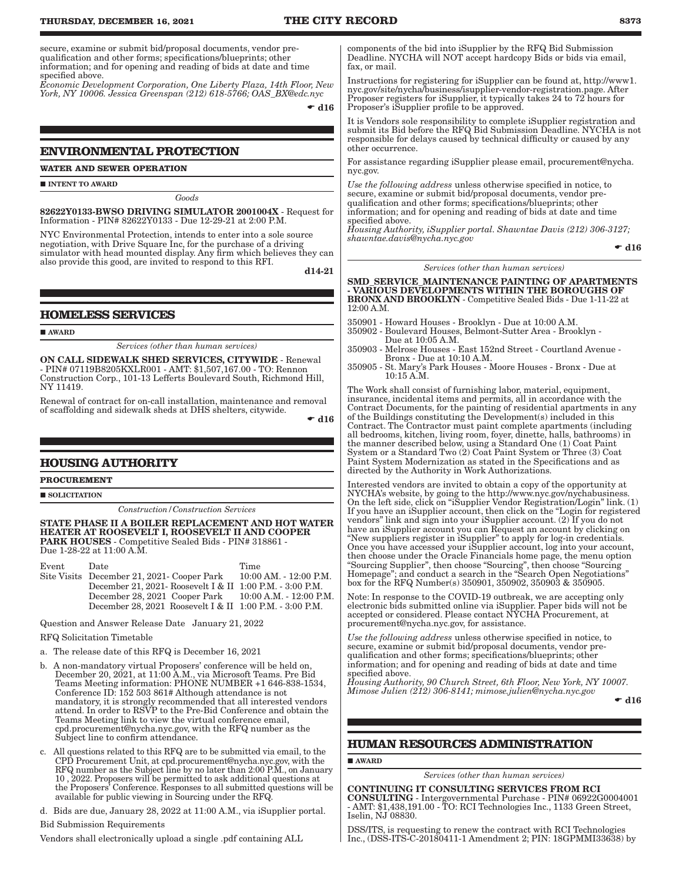secure, examine or submit bid/proposal documents, vendor prequalification and other forms; specifications/blueprints; other information; and for opening and reading of bids at date and time specified above.

*Economic Development Corporation, One Liberty Plaza, 14th Floor, New York, NY 10006. Jessica Greenspan (212) 618-5766; OAS\_BX@edc.nyc*

 $\bullet$  d16

### **ENVIRONMENTAL PROTECTION**

**WATER AND SEWER OPERATION**

INTENT TO AWARD

*Goods*

82622Y0133-BWSO DRIVING SIMULATOR 2001004X - Request for Information - PIN# 82622Y0133 - Due 12-29-21 at 2:00 P.M.

NYC Environmental Protection, intends to enter into a sole source negotiation, with Drive Square Inc, for the purchase of a driving simulator with head mounted display. Any firm which believes they can also provide this good, are invited to respond to this RFI.

d14-21

### **HOMELESS SERVICES**

AWARD

*Services (other than human services)*

ON CALL SIDEWALK SHED SERVICES, CITYWIDE - Renewal - PIN# 07119B8205KXLR001 - AMT: \$1,507,167.00 - TO: Rennon Construction Corp., 101-13 Lefferts Boulevard South, Richmond Hill, NY 11419.

Renewal of contract for on-call installation, maintenance and removal of scaffolding and sidewalk sheds at DHS shelters, citywide.

 $\bullet$  d16

### **HOUSING AUTHORITY**

### **PROCUREMENT**

**SOLICITATION** 

*Construction/Construction Services*

STATE PHASE II A BOILER REPLACEMENT AND HOT WATER HEATER AT ROOSEVELT I, ROOSEVELT II AND COOPER PARK HOUSES - Competitive Sealed Bids - PIN# 318861 - Due 1-28-22 at 11:00 A.M.

Event Date Time Site Visits December 21, 2021- Cooper Park 10:00 AM. - 12:00 P.M. December 21, 2021- Roosevelt I & II 1:00 P.M. - 3:00 P.M. December 28, 2021 Cooper Park 10:00 A.M. - 12:00 P.M. December 28, 2021 Roosevelt I & II 1:00 P.M. - 3:00 P.M.

Question and Answer Release Date January 21, 2022

#### RFQ Solicitation Timetable

a. The release date of this RFQ is December 16, 2021

- b. A non-mandatory virtual Proposers' conference will be held on, December 20, 2021, at 11:00 A.M., via Microsoft Teams. Pre Bid Teams Meeting information: PHONE NUMBER +1 646-838-1534, Conference ID: 152 503 861# Although attendance is not mandatory, it is strongly recommended that all interested vendors attend. In order to RSVP to the Pre-Bid Conference and obtain the Teams Meeting link to view the virtual conference email, cpd.procurement@nycha.nyc.gov, with the RFQ number as the Subject line to confirm attendance.
- c. All questions related to this RFQ are to be submitted via email, to the CPD Procurement Unit, at cpd.procurement@nycha.nyc.gov, with the RFQ number as the Subject line by no later than 2:00 P.M., on January 10 , 2022. Proposers will be permitted to ask additional questions at the Proposers' Conference. Responses to all submitted questions will be available for public viewing in Sourcing under the RFQ.
- d. Bids are due, January 28, 2022 at 11:00 A.M., via iSupplier portal.

Bid Submission Requirements

Vendors shall electronically upload a single .pdf containing ALL

components of the bid into iSupplier by the RFQ Bid Submission Deadline. NYCHA will NOT accept hardcopy Bids or bids via email, fax, or mail.

Instructions for registering for iSupplier can be found at, http://www1. nyc.gov/site/nycha/business/isupplier-vendor-registration.page. After Proposer registers for iSupplier, it typically takes 24 to 72 hours for Proposer's iSupplier profile to be approved.

It is Vendors sole responsibility to complete iSupplier registration and submit its Bid before the RFQ Bid Submission Deadline. NYCHA is not responsible for delays caused by technical difficulty or caused by any other occurrence.

For assistance regarding iSupplier please email, procurement@nycha. nyc.gov.

*Use the following address* unless otherwise specified in notice, to secure, examine or submit bid/proposal documents, vendor prequalification and other forms; specifications/blueprints; other information; and for opening and reading of bids at date and time specified above.

*Housing Authority, iSupplier portal. Shawntae Davis (212) 306-3127; shawntae.davis@nycha.nyc.gov*

 $\bullet$  d16

*Services (other than human services)*

#### SMD\_SERVICE\_MAINTENANCE PAINTING OF APARTMENTS - VARIOUS DEVELOPMENTS WITHIN THE BOROUGHS OF BRONX AND BROOKLYN - Competitive Sealed Bids - Due 1-11-22 at

12:00 A.M.

350901 - Howard Houses - Brooklyn - Due at 10:00 A.M.

350902 - Boulevard Houses, Belmont-Sutter Area - Brooklyn - Due at 10:05 A.M.

350903 - Melrose Houses - East 152nd Street - Courtland Avenue - Bronx - Due at 10:10 A.M.

350905 - St. Mary's Park Houses - Moore Houses - Bronx - Due at 10:15 A.M.

The Work shall consist of furnishing labor, material, equipment, insurance, incidental items and permits, all in accordance with the Contract Documents, for the painting of residential apartments in any of the Buildings constituting the Development(s) included in this Contract. The Contractor must paint complete apartments (including all bedrooms, kitchen, living room, foyer, dinette, halls, bathrooms) in the manner described below, using a Standard One (1) Coat Paint System or a Standard Two (2) Coat Paint System or Three (3) Coat Paint System Modernization as stated in the Specifications and as directed by the Authority in Work Authorizations.

Interested vendors are invited to obtain a copy of the opportunity at NYCHA's website, by going to the http://www.nyc.gov/nychabusiness. On the left side, click on "iSupplier Vendor Registration/Login" link. (1) If you have an iSupplier account, then click on the "Login for registered vendors" link and sign into your iSupplier account. (2) If you do not have an iSupplier account you can Request an account by clicking on "New suppliers register in iSupplier" to apply for log-in credentials. Once you have accessed your iSupplier account, log into your account, then choose under the Oracle Financials home page, the menu option "Sourcing Supplier", then choose "Sourcing", then choose "Sourcing Homepage"; and conduct a search in the "Search Open Negotiations" box for the RFQ Number(s) 350901, 350902, 350903 & 350905.

Note: In response to the COVID-19 outbreak, we are accepting only electronic bids submitted online via iSupplier. Paper bids will not be accepted or considered. Please contact NYCHA Procurement, at procurement@nycha.nyc.gov, for assistance.

*Use the following address* unless otherwise specified in notice, to secure, examine or submit bid/proposal documents, vendor prequalification and other forms; specifications/blueprints; other information; and for opening and reading of bids at date and time specified above.

*Housing Authority, 90 Church Street, 6th Floor, New York, NY 10007. Mimose Julien (212) 306-8141; mimose.julien@nycha.nyc.gov*

 $\bullet$  d16

### **HUMAN RESOURCES ADMINISTRATION**

### AWARD

*Services (other than human services)*

CONTINUING IT CONSULTING SERVICES FROM RCI CONSULTING - Intergovernmental Purchase - PIN# 06922G0004001 - AMT: \$1,438,191.00 - TO: RCI Technologies Inc., 1133 Green Street, Iselin, NJ 08830.

DSS/ITS, is requesting to renew the contract with RCI Technologies Inc., (DSS-ITS-C-20180411-1 Amendment 2; PIN: 18GPMMI33638) by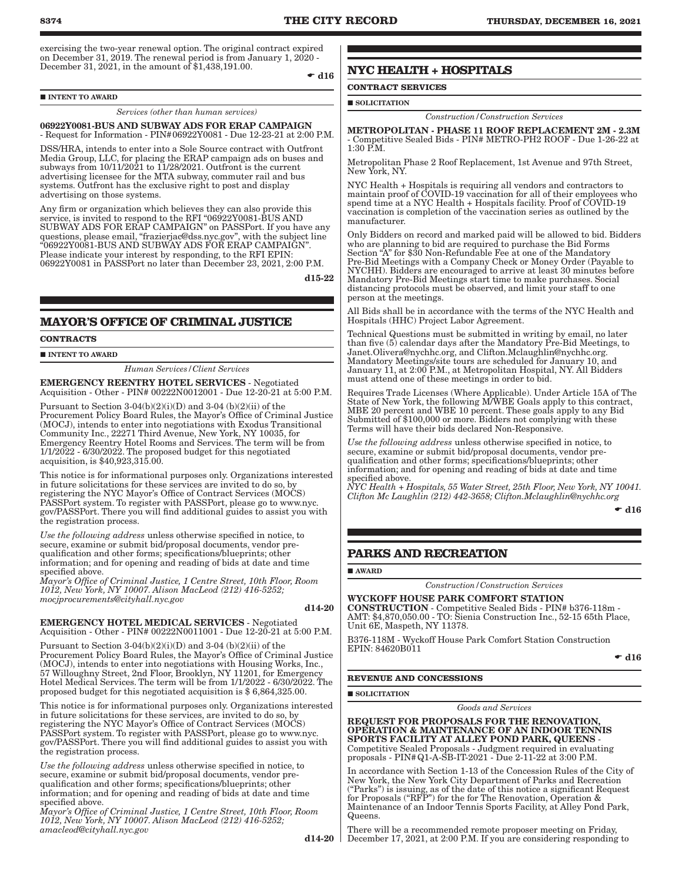exercising the two-year renewal option. The original contract expired on December 31, 2019. The renewal period is from January 1, 2020 - December 31, 2021, in the amount of \$1,438,191.00.

 $\bullet$  d16

### $\blacksquare$ INTENT TO AWARD

*Services (other than human services)*

#### 06922Y0081-BUS AND SUBWAY ADS FOR ERAP CAMPAIGN - Request for Information - PIN#06922Y0081 - Due 12-23-21 at 2:00 P.M.

DSS/HRA, intends to enter into a Sole Source contract with Outfront Media Group, LLC, for placing the ERAP campaign ads on buses and subways from  $10/11/2021$  to  $11/28/2021$ . Outfront is the current advertising licensee for the MTA subway, commuter rail and bus systems. Outfront has the exclusive right to post and display advertising on those systems.

Any firm or organization which believes they can also provide this service, is invited to respond to the RFI "06922Y0081-BUS AND SUBWAY ADS FOR ERAP CAMPAIGN" on PASSPort. If you have any questions, please email, "frazierjac@dss.nyc.gov", with the subject line "06922Y0081-BUS AND SUBWAY ADS FOR ERAP CAMPAIGN". Please indicate your interest by responding, to the RFI EPIN: 06922Y0081 in PASSPort no later than December 23, 2021, 2:00 P.M.

d15-22

### **MAYOR'S OFFICE OF CRIMINAL JUSTICE**

#### **CONTRACTS**

**INTENT TO AWARD** 

*Human Services/Client Services*

EMERGENCY REENTRY HOTEL SERVICES - Negotiated Acquisition - Other - PIN# 00222N0012001 - Due 12-20-21 at 5:00 P.M.

Pursuant to Section  $3-04(b)(2)(i)(D)$  and  $3-04(b)(2)(ii)$  of the Procurement Policy Board Rules, the Mayor's Office of Criminal Justice (MOCJ), intends to enter into negotiations with Exodus Transitional Community Inc., 22271 Third Avenue, New York, NY 10035, for Emergency Reentry Hotel Rooms and Services. The term will be from 1/1/2022 - 6/30/2022. The proposed budget for this negotiated acquisition, is \$40,923,315.00.

This notice is for informational purposes only. Organizations interested in future solicitations for these services are invited to do so, by registering the NYC Mayor's Office of Contract Services (MOCS) PASSPort system. To register with PASSPort, please go to www.nyc. gov/PASSPort. There you will find additional guides to assist you with the registration process.

*Use the following address* unless otherwise specified in notice, to secure, examine or submit bid/proposal documents, vendor prequalification and other forms; specifications/blueprints; other information; and for opening and reading of bids at date and time specified above.

*Mayor's Office of Criminal Justice, 1 Centre Street, 10th Floor, Room 1012, New York, NY 10007. Alison MacLeod (212) 416-5252; mocjprocurements@cityhall.nyc.gov*

d14-20

#### EMERGENCY HOTEL MEDICAL SERVICES - Negotiated Acquisition - Other - PIN# 00222N0011001 - Due 12-20-21 at 5:00 P.M.

Pursuant to Section  $3-04(b)(2)(i)(D)$  and  $3-04(b)(2)(ii)$  of the Procurement Policy Board Rules, the Mayor's Office of Criminal Justice (MOCJ), intends to enter into negotiations with Housing Works, Inc., 57 Willoughny Street, 2nd Floor, Brooklyn, NY 11201, for Emergency Hotel Medical Services. The term will be from 1/1/2022 - 6/30/2022. The proposed budget for this negotiated acquisition is \$ 6,864,325.00.

This notice is for informational purposes only. Organizations interested in future solicitations for these services, are invited to do so, by registering the NYC Mayor's Office of Contract Services (MOCS) PASSPort system. To register with PASSPort, please go to www.nyc. gov/PASSPort. There you will find additional guides to assist you with the registration process.

*Use the following address* unless otherwise specified in notice, to secure, examine or submit bid/proposal documents, vendor prequalification and other forms; specifications/blueprints; other information; and for opening and reading of bids at date and time specified above.

*Mayor's Office of Criminal Justice, 1 Centre Street, 10th Floor, Room 1012, New York, NY 10007. Alison MacLeod (212) 416-5252; amacleod@cityhall.nyc.gov*

 $d14-20$ 

### **NYC HEALTH + HOSPITALS**

## **CONTRACT SERVICES**

### SOLICITATION

*Construction/Construction Services*

METROPOLITAN - PHASE 11 ROOF REPLACEMENT 2M - 2.3M - Competitive Sealed Bids - PIN# METRO-PH2 ROOF - Due 1-26-22 at 1:30 P.M.

Metropolitan Phase 2 Roof Replacement, 1st Avenue and 97th Street, New York, NY.

NYC Health + Hospitals is requiring all vendors and contractors to maintain proof of COVID-19 vaccination for all of their employees who spend time at a NYC Health + Hospitals facility. Proof of COVID-19 vaccination is completion of the vaccination series as outlined by the manufacturer.

Only Bidders on record and marked paid will be allowed to bid. Bidders who are planning to bid are required to purchase the Bid Forms Section "A" for \$30 Non-Refundable Fee at one of the Mandatory Pre-Bid Meetings with a Company Check or Money Order (Payable to NYCHH). Bidders are encouraged to arrive at least 30 minutes before Mandatory Pre-Bid Meetings start time to make purchases. Social distancing protocols must be observed, and limit your staff to one person at the meetings.

All Bids shall be in accordance with the terms of the NYC Health and Hospitals (HHC) Project Labor Agreement.

Technical Questions must be submitted in writing by email, no later than five (5) calendar days after the Mandatory Pre-Bid Meetings, to Janet.Olivera@nychhc.org, and Clifton.Mclaughlin@nychhc.org. Mandatory Meetings/site tours are scheduled for January 10, and January 11, at 2:00 P.M., at Metropolitan Hospital, NY. All Bidders must attend one of these meetings in order to bid.

Requires Trade Licenses (Where Applicable). Under Article 15A of The State of New York, the following M/WBE Goals apply to this contract, MBE 20 percent and WBE 10 percent. These goals apply to any Bid Submitted of \$100,000 or more. Bidders not complying with these Terms will have their bids declared Non-Responsive.

*Use the following address* unless otherwise specified in notice, to secure, examine or submit bid/proposal documents, vendor prequalification and other forms; specifications/blueprints; other information; and for opening and reading of bids at date and time specified above.

*NYC Health + Hospitals, 55 Water Street, 25th Floor, New York, NY 10041. Clifton Mc Laughlin (212) 442-3658; Clifton.Mclaughlin@nychhc.org*

 $\bullet$  d16

### **PARKS AND RECREATION**

AWARD

*Construction/Construction Services*

### WYCKOFF HOUSE PARK COMFORT STATION

CONSTRUCTION - Competitive Sealed Bids - PIN# b376-118m - AMT: \$4,870,050.00 - TO: Sienia Construction Inc., 52-15 65th Place, Unit 6E, Maspeth, NY 11378.

B376-118M - Wyckoff House Park Comfort Station Construction EPIN: 84620B011

 $\bullet$  d16

#### **REVENUE AND CONCESSIONS**

**SOLICITATION** 

*Goods and Services*

REQUEST FOR PROPOSALS FOR THE RENOVATION, OPERATION & MAINTENANCE OF AN INDOOR TENNIS SPORTS FACILITY AT ALLEY POND PARK, QUEENS - Competitive Sealed Proposals - Judgment required in evaluating proposals - PIN#Q1-A-SB-IT-2021 - Due 2-11-22 at 3:00 P.M.

In accordance with Section 1-13 of the Concession Rules of the City of New York, the New York City Department of Parks and Recreation ("Parks") is issuing, as of the date of this notice a significant Request for Proposals ("RFP") for the for The Renovation, Operation & Maintenance of an Indoor Tennis Sports Facility, at Alley Pond Park, Queens.

There will be a recommended remote proposer meeting on Friday, December 17, 2021, at 2:00 P.M. If you are considering responding to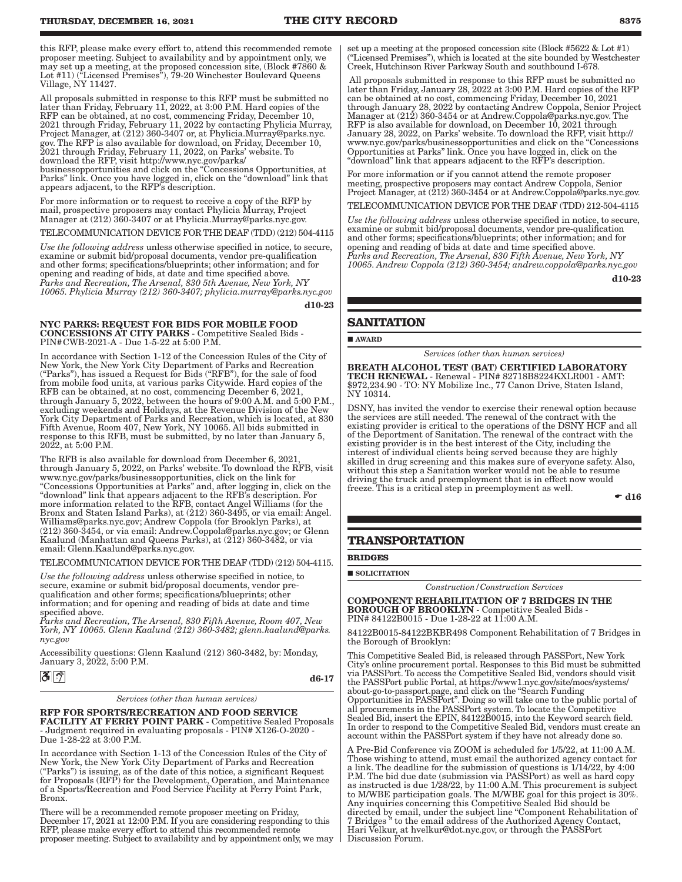this RFP, please make every effort to, attend this recommended remote proposer meeting. Subject to availability and by appointment only, we may set up a meeting, at the proposed concession site, (Block #7860 & Lot #11) ("Licensed Premises"), 79-20 Winchester Boulevard Queens Village, NY 11427.

All proposals submitted in response to this RFP must be submitted no later than Friday, February 11, 2022, at 3:00 P.M. Hard copies of the RFP can be obtained, at no cost, commencing Friday, December 10, 2021 through Friday, February 11, 2022 by contacting Phylicia Murray, Project Manager, at (212) 360-3407 or, at Phylicia.Murray@parks.nyc. gov. The RFP is also available for download, on Friday, December 10, 2021 through Friday, February 11, 2022, on Parks' website. To download the RFP, visit http://www.nyc.gov/parks/ businessopportunities and click on the "Concessions Opportunities, at Parks" link. Once you have logged in, click on the "download" link that

appears adjacent, to the RFP's description. For more information or to request to receive a copy of the RFP by mail, prospective proposers may contact Phylicia Murray, Project Manager at (212) 360-3407 or at Phylicia.Murray@parks.nyc.gov.

TELECOMMUNICATION DEVICE FOR THE DEAF (TDD) (212) 504-4115

*Use the following address* unless otherwise specified in notice, to secure, examine or submit bid/proposal documents, vendor pre-qualification and other forms; specifications/blueprints; other information; and for opening and reading of bids, at date and time specified above. *Parks and Recreation, The Arsenal, 830 5th Avenue, New York, NY 10065. Phylicia Murray (212) 360-3407; phylicia.murray@parks.nyc.gov*

d10-23

### NYC PARKS: REQUEST FOR BIDS FOR MOBILE FOOD CONCESSIONS AT CITY PARKS - Competitive Sealed Bids -

PIN#CWB-2021-A - Due 1-5-22 at 5:00 P.M.

In accordance with Section 1-12 of the Concession Rules of the City of New York, the New York City Department of Parks and Recreation ("Parks"), has issued a Request for Bids ("RFB"), for the sale of food from mobile food units, at various parks Citywide. Hard copies of the RFB can be obtained, at no cost, commencing December 6, 2021, through January 5, 2022, between the hours of 9:00 A.M. and 5:00 P.M., excluding weekends and Holidays, at the Revenue Division of the New York City Department of Parks and Recreation, which is located, at 830 Fifth Avenue, Room 407, New York, NY 10065. All bids submitted in response to this RFB, must be submitted, by no later than January 5, 2022, at 5:00 P.M.

The RFB is also available for download from December 6, 2021, through January 5, 2022, on Parks' website. To download the RFB, visit www.nyc.gov/parks/businessopportunities, click on the link for "Concessions Opportunities at Parks" and, after logging in, click on the "download" link that appears adjacent to the RFB's description. For more information related to the RFB, contact Angel Williams (for the Bronx and Staten Island Parks), at (212) 360-3495, or via email: Angel. Williams@parks.nyc.gov; Andrew Coppola (for Brooklyn Parks), at (212) 360-3454, or via email: Andrew.Coppola@parks.nyc.gov; or Glenn Kaalund (Manhattan and Queens Parks), at (212) 360-3482, or via email: Glenn.Kaalund@parks.nyc.gov.

TELECOMMUNICATION DEVICE FOR THE DEAF (TDD) (212) 504-4115.

*Use the following address* unless otherwise specified in notice, to secure, examine or submit bid/proposal documents, vendor prequalification and other forms; specifications/blueprints; other information; and for opening and reading of bids at date and time specified above.

*Parks and Recreation, The Arsenal, 830 Fifth Avenue, Room 407, New York, NY 10065. Glenn Kaalund (212) 360-3482; glenn.kaalund@parks. nyc.gov*

Accessibility questions: Glenn Kaalund (212) 360-3482, by: Monday, January 3, 2022, 5:00 P.M.

### $32$

d6-17

*Services (other than human services)*

### RFP FOR SPORTS/RECREATION AND FOOD SERVICE

FACILITY AT FERRY POINT PARK - Competitive Sealed Proposals - Judgment required in evaluating proposals - PIN# X126-O-2020 - Due 1-28-22 at 3:00 P.M.

In accordance with Section 1-13 of the Concession Rules of the City of New York, the New York City Department of Parks and Recreation ("Parks") is issuing, as of the date of this notice, a significant Request for Proposals (RFP) for the Development, Operation, and Maintenance of a Sports/Recreation and Food Service Facility at Ferry Point Park, Bronx.

There will be a recommended remote proposer meeting on Friday, December 17, 2021 at 12:00 P.M. If you are considering responding to this RFP, please make every effort to attend this recommended remote proposer meeting. Subject to availability and by appointment only, we may set up a meeting at the proposed concession site (Block #5622 & Lot #1) ("Licensed Premises"), which is located at the site bounded by Westchester Creek, Hutchinson River Parkway South and southbound I-678.

 All proposals submitted in response to this RFP must be submitted no later than Friday, January 28, 2022 at 3:00 P.M. Hard copies of the RFP can be obtained at no cost, commencing Friday, December 10, 2021 through January 28, 2022 by contacting Andrew Coppola, Senior Project Manager at (212) 360-3454 or at Andrew.Coppola@parks.nyc.gov. The RFP is also available for download, on December 10, 2021 through January 28, 2022, on Parks' website. To download the RFP, visit http:// www.nyc.gov/parks/businessopportunities and click on the "Concessions Opportunities at Parks" link. Once you have logged in, click on the "download" link that appears adjacent to the RFP's description.

For more information or if you cannot attend the remote proposer meeting, prospective proposers may contact Andrew Coppola, Senior Project Manager, at (212) 360-3454 or at Andrew.Coppola@parks.nyc.gov.

TELECOMMUNICATION DEVICE FOR THE DEAF (TDD) 212-504-4115

*Use the following address* unless otherwise specified in notice, to secure, examine or submit bid/proposal documents, vendor pre-qualification and other forms; specifications/blueprints; other information; and for opening and reading of bids at date and time specified above. *Parks and Recreation, The Arsenal, 830 Fifth Avenue, New York, NY 10065. Andrew Coppola (212) 360-3454; andrew.coppola@parks.nyc.gov*

d10-23

### **SANITATION**

AWARD

*Services (other than human services)*

BREATH ALCOHOL TEST (BAT) CERTIFIED LABORATORY TECH RENEWAL - Renewal - PIN# 82718B8224KXLR001 - AMT: \$972,234.90 - TO: NY Mobilize Inc., 77 Canon Drive, Staten Island, NY 10314.

DSNY, has invited the vendor to exercise their renewal option because the services are still needed. The renewal of the contract with the existing provider is critical to the operations of the DSNY HCF and all of the Deportment of Sanitation. The renewal of the contract with the existing provider is in the best interest of the City, including the interest of individual clients being served because they are highly skilled in drug screening and this makes sure of everyone safety. Also, without this step a Sanitation worker would not be able to resume driving the truck and preemployment that is in effect now would freeze. This is a critical step in preemployment as well.

 $\bullet$  d16

### **TRANSPORTATION**

**BRIDGES**

**SOLICITATION** 

*Construction/Construction Services*

COMPONENT REHABILITATION OF 7 BRIDGES IN THE BOROUGH OF BROOKLYN - Competitive Sealed Bids - PIN# 84122B0015 - Due 1-28-22 at 11:00 A.M.

84122B0015-84122BKBR498 Component Rehabilitation of 7 Bridges in the Borough of Brooklyn:

This Competitive Sealed Bid, is released through PASSPort, New York City's online procurement portal. Responses to this Bid must be submitted via PASSPort. To access the Competitive Sealed Bid, vendors should visit the PASSPort public Portal, at https://www1.nyc.gov/site/mocs/systems/ about-go-to-passport.page, and click on the "Search Funding Opportunities in PASSPort". Doing so will take one to the public portal of all procurements in the PASSPort system. To locate the Competitive Sealed Bid, insert the EPIN, 84122B0015, into the Keyword search field. In order to respond to the Competitive Sealed Bid, vendors must create an account within the PASSPort system if they have not already done so.

A Pre-Bid Conference via ZOOM is scheduled for 1/5/22, at 11:00 A.M. Those wishing to attend, must email the authorized agency contact for a link. The deadline for the submission of questions is 1/14/22, by 4:00 P.M. The bid due date (submission via PASSPort) as well as hard copy as instructed is due 1/28/22, by 11:00 A.M. This procurement is subject to M/WBE participation goals. The M/WBE goal for this project is 30%. Any inquiries concerning this Competitive Sealed Bid should be directed by email, under the subject line "Component Rehabilitation of 7 Bridges " to the email address of the Authorized Agency Contact, Hari Velkur, at hvelkur@dot.nyc.gov, or through the PASSPort Discussion Forum.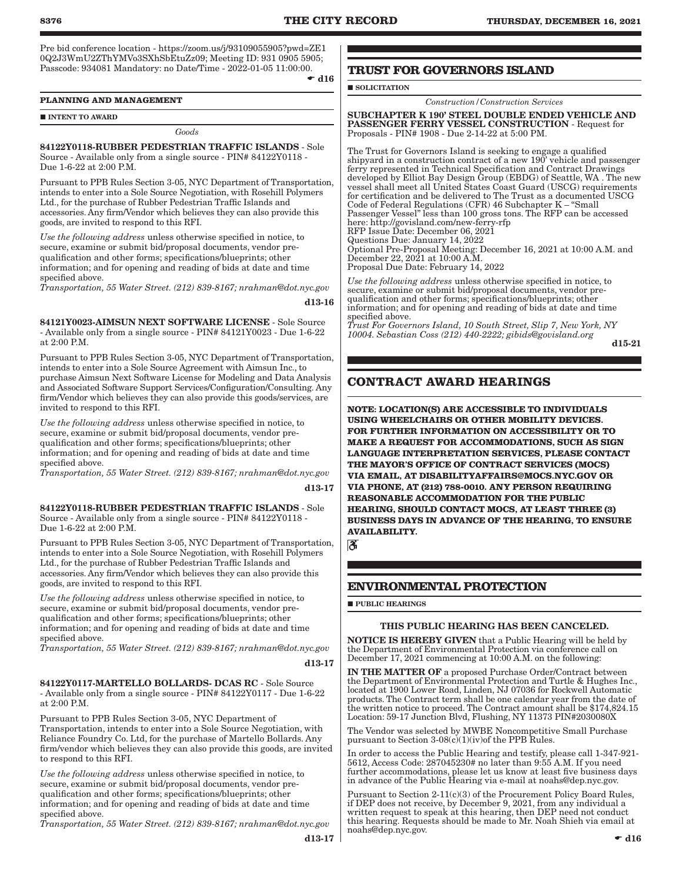Pre bid conference location - https://zoom.us/j/93109055905?pwd=ZE1 0Q2J3WmU2ZThYMVo3SXhSbEtuZz09; Meeting ID: 931 0905 5905; Passcode: 934081 Mandatory: no Date/Time - 2022-01-05 11:00:00.  $\bullet$  d16

**PLANNING AND MANAGEMENT**

**INTENT TO AWARD** 

*Goods*

84122Y0118-RUBBER PEDESTRIAN TRAFFIC ISLANDS - Sole Source - Available only from a single source - PIN# 84122Y0118 - Due 1-6-22 at 2:00 P.M.

Pursuant to PPB Rules Section 3-05, NYC Department of Transportation, intends to enter into a Sole Source Negotiation, with Rosehill Polymers Ltd., for the purchase of Rubber Pedestrian Traffic Islands and accessories. Any firm/Vendor which believes they can also provide this goods, are invited to respond to this RFI.

*Use the following address* unless otherwise specified in notice, to secure, examine or submit bid/proposal documents, vendor prequalification and other forms; specifications/blueprints; other information; and for opening and reading of bids at date and time specified above.

*Transportation, 55 Water Street. (212) 839-8167; nrahman@dot.nyc.gov*

d13-16

84121Y0023-AIMSUN NEXT SOFTWARE LICENSE - Sole Source - Available only from a single source - PIN# 84121Y0023 - Due 1-6-22 at 2:00 P.M.

Pursuant to PPB Rules Section 3-05, NYC Department of Transportation, intends to enter into a Sole Source Agreement with Aimsun Inc., to purchase Aimsun Next Software License for Modeling and Data Analysis and Associated Software Support Services/Configuration/Consulting. Any firm/Vendor which believes they can also provide this goods/services, are invited to respond to this RFI.

*Use the following address* unless otherwise specified in notice, to secure, examine or submit bid/proposal documents, vendor prequalification and other forms; specifications/blueprints; other information; and for opening and reading of bids at date and time specified above.

*Transportation, 55 Water Street. (212) 839-8167; nrahman@dot.nyc.gov* d13-17

84122Y0118-RUBBER PEDESTRIAN TRAFFIC ISLANDS - Sole Source - Available only from a single source - PIN# 84122Y0118 - Due 1-6-22 at 2:00 P.M.

Pursuant to PPB Rules Section 3-05, NYC Department of Transportation, intends to enter into a Sole Source Negotiation, with Rosehill Polymers Ltd., for the purchase of Rubber Pedestrian Traffic Islands and accessories. Any firm/Vendor which believes they can also provide this goods, are invited to respond to this RFI.

*Use the following address* unless otherwise specified in notice, to secure, examine or submit bid/proposal documents, vendor prequalification and other forms; specifications/blueprints; other information; and for opening and reading of bids at date and time specified above.

*Transportation, 55 Water Street. (212) 839-8167; nrahman@dot.nyc.gov*

### d13-17

84122Y0117-MARTELLO BOLLARDS- DCAS RC - Sole Source - Available only from a single source - PIN# 84122Y0117 - Due 1-6-22 at 2:00 P.M.

Pursuant to PPB Rules Section 3-05, NYC Department of Transportation, intends to enter into a Sole Source Negotiation, with Reliance Foundry Co. Ltd, for the purchase of Martello Bollards. Any firm/vendor which believes they can also provide this goods, are invited to respond to this RFI.

*Use the following address* unless otherwise specified in notice, to secure, examine or submit bid/proposal documents, vendor prequalification and other forms; specifications/blueprints; other information; and for opening and reading of bids at date and time specified above.

*Transportation, 55 Water Street. (212) 839-8167; nrahman@dot.nyc.gov*

d13-17

### **TRUST FOR GOVERNORS ISLAND**

SOLICITATION

*Construction/Construction Services*

SUBCHAPTER K 190' STEEL DOUBLE ENDED VEHICLE AND PASSENGER FERRY VESSEL CONSTRUCTION - Request for Proposals - PIN# 1908 - Due 2-14-22 at 5:00 PM.

The Trust for Governors Island is seeking to engage a qualified shipyard in a construction contract of a new 190' vehicle and passenger ferry represented in Technical Specification and Contract Drawings developed by Elliot Bay Design Group (EBDG) of Seattle, WA . The new vessel shall meet all United States Coast Guard (USCG) requirements for certification and be delivered to The Trust as a documented USCG Code of Federal Regulations (CFR) 46 Subchapter K – "Small Passenger Vessel" less than 100 gross tons. The RFP can be accessed here: http://govisland.com/new-ferry-rfp RFP Issue Date: December 06, 2021 Questions Due: January 14, 2022

Optional Pre-Proposal Meeting: December 16, 2021 at 10:00 A.M. and December 22, 2021 at 10:00 A.M. Proposal Due Date: February 14, 2022

*Use the following address* unless otherwise specified in notice, to secure, examine or submit bid/proposal documents, vendor prequalification and other forms; specifications/blueprints; other information; and for opening and reading of bids at date and time specified above.

*Trust For Governors Island, 10 South Street, Slip 7, New York, NY 10004. Sebastian Coss (212) 440-2222; gibids@govisland.org*

d15-21

### **CONTRACT AWARD HEARINGS**

**NOTE: LOCATION(S) ARE ACCESSIBLE TO INDIVIDUALS USING WHEELCHAIRS OR OTHER MOBILITY DEVICES. FOR FURTHER INFORMATION ON ACCESSIBILITY OR TO MAKE A REQUEST FOR ACCOMMODATIONS, SUCH AS SIGN LANGUAGE INTERPRETATION SERVICES, PLEASE CONTACT THE MAYOR'S OFFICE OF CONTRACT SERVICES (MOCS) VIA EMAIL, AT DISABILITYAFFAIRS@MOCS.NYC.GOV OR VIA PHONE, AT (212) 788-0010. ANY PERSON REQUIRING REASONABLE ACCOMMODATION FOR THE PUBLIC HEARING, SHOULD CONTACT MOCS, AT LEAST THREE (3) BUSINESS DAYS IN ADVANCE OF THE HEARING, TO ENSURE AVAILABILITY.**

ී

### **ENVIRONMENTAL PROTECTION**

**PUBLIC HEARINGS** 

### THIS PUBLIC HEARING HAS BEEN CANCELED.

**NOTICE IS HEREBY GIVEN** that a Public Hearing will be held by the Department of Environmental Protection via conference call on December 17, 2021 commencing at 10:00 A.M. on the following:

IN THE MATTER OF a proposed Purchase Order/Contract between the Department of Environmental Protection and Turtle & Hughes Inc., located at 1900 Lower Road, Linden, NJ 07036 for Rockwell Automatic products. The Contract term shall be one calendar year from the date of the written notice to proceed. The Contract amount shall be \$174,824.15 Location: 59-17 Junction Blvd, Flushing, NY 11373 PIN#2030080X

The Vendor was selected by MWBE Noncompetitive Small Purchase pursuant to Section 3-08(c)(1)(iv)of the PPB Rules.

In order to access the Public Hearing and testify, please call 1-347-921- 5612, Access Code: 287045230# no later than 9:55 A.M. If you need further accommodations, please let us know at least five business days in advance of the Public Hearing via e-mail at noahs@dep.nyc.gov.

Pursuant to Section 2-11(c)(3) of the Procurement Policy Board Rules, if DEP does not receive, by December 9, 2021, from any individual a written request to speak at this hearing, then DEP need not conduct this hearing. Requests should be made to Mr. Noah Shieh via email at noahs@dep.nyc.gov.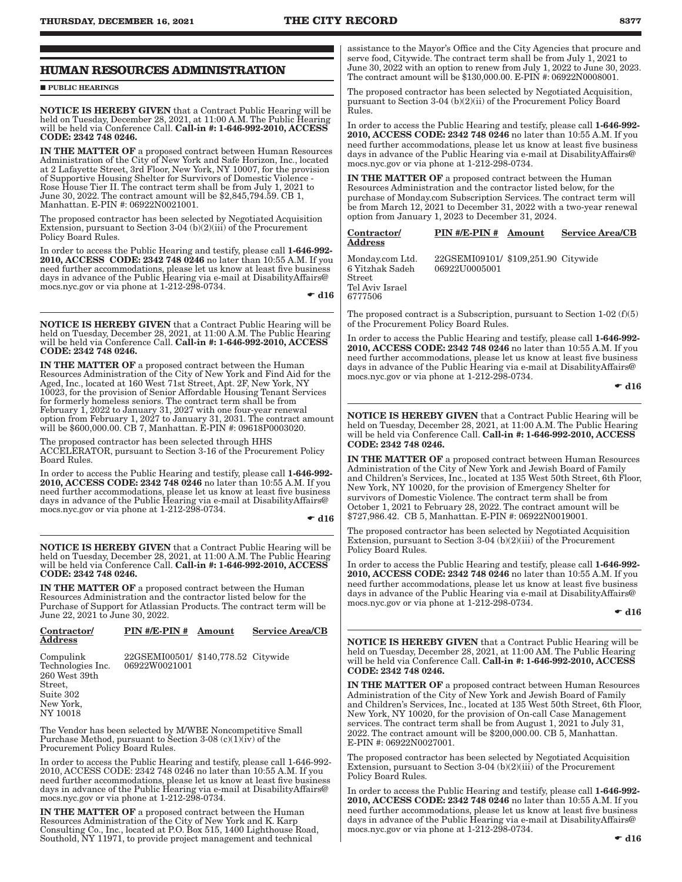### **HUMAN RESOURCES ADMINISTRATION**

**PUBLIC HEARINGS** 

NOTICE IS HEREBY GIVEN that a Contract Public Hearing will be held on Tuesday, December 28, 2021, at 11:00 A.M. The Public Hearing will be held via Conference Call. Call-in #: 1-646-992-2010, ACCESS CODE: 2342 748 0246.

IN THE MATTER OF a proposed contract between Human Resources Administration of the City of New York and Safe Horizon, Inc., located at 2 Lafayette Street, 3rd Floor, New York, NY 10007, for the provision of Supportive Housing Shelter for Survivors of Domestic Violence - Rose House Tier II. The contract term shall be from July 1, 2021 to June 30, 2022. The contract amount will be \$2,845,794.59. CB 1, Manhattan. E-PIN #: 06922N0021001.

The proposed contractor has been selected by Negotiated Acquisition Extension, pursuant to Section 3-04 (b)(2)(iii) of the Procurement Policy Board Rules.

In order to access the Public Hearing and testify, please call 1-646-992- 2010, ACCESS CODE: 2342 748 0246 no later than 10:55 A.M. If you need further accommodations, please let us know at least five business days in advance of the Public Hearing via e-mail at DisabilityAffairs@ mocs.nyc.gov or via phone at 1-212-298-0734.

 $\bullet$  d16

NOTICE IS HEREBY GIVEN that a Contract Public Hearing will be held on Tuesday, December 28, 2021, at 11:00 A.M. The Public Hearing will be held via Conference Call. Call-in #: 1-646-992-2010, ACCESS CODE: 2342 748 0246.

IN THE MATTER OF a proposed contract between the Human Resources Administration of the City of New York and Find Aid for the Aged, Inc., located at 160 West 71st Street, Apt. 2F, New York, NY 10023, for the provision of Senior Affordable Housing Tenant Services for formerly homeless seniors. The contract term shall be from February 1, 2022 to January 31, 2027 with one four-year renewal option from February 1, 2027 to January 31, 2031. The contract amount will be \$600,000.00. CB 7, Manhattan. E-PIN #: 09618P0003020.

The proposed contractor has been selected through HHS ACCELERATOR, pursuant to Section 3-16 of the Procurement Policy Board Rules.

In order to access the Public Hearing and testify, please call 1-646-992-2010, ACCESS CODE: 2342 748 0246 no later than 10:55 A.M. If you need further accommodations, please let us know at least five business days in advance of the Public Hearing via e-mail at DisabilityAffairs@ mocs.nyc.gov or via phone at 1-212-298-0734.

 $\div$  d16

NOTICE IS HEREBY GIVEN that a Contract Public Hearing will be held on Tuesday, December 28, 2021, at 11:00 A.M. The Public Hearing will be held via Conference Call. Call-in #: 1-646-992-2010, ACCESS CODE: 2342 748 0246.

IN THE MATTER OF a proposed contract between the Human Resources Administration and the contractor listed below for the Purchase of Support for Atlassian Products. The contract term will be June 22, 2021 to June 30, 2022.

| Contractor/<br><b>Address</b>                                                                    | PIN #/E-PIN # Amount                                 | <b>Service Area/CB</b> |
|--------------------------------------------------------------------------------------------------|------------------------------------------------------|------------------------|
| Compulink<br>Technologies Inc.<br>260 West 39th<br>Street,<br>Suite 302<br>New York,<br>NY 10018 | 22GSEMI00501/ \$140,778.52 Citywide<br>06922W0021001 |                        |
|                                                                                                  |                                                      |                        |

The Vendor has been selected by M/WBE Noncompetitive Small Purchase Method, pursuant to Section 3-08 (c)(1)( $iv$ ) of the Procurement Policy Board Rules.

In order to access the Public Hearing and testify, please call 1-646-992- 2010, ACCESS CODE: 2342 748 0246 no later than 10:55 A.M. If you need further accommodations, please let us know at least five business days in advance of the Public Hearing via e-mail at DisabilityAffairs@ mocs.nyc.gov or via phone at 1-212-298-0734.

IN THE MATTER OF a proposed contract between the Human Resources Administration of the City of New York and K. Karp Consulting Co., Inc., located at P.O. Box 515, 1400 Lighthouse Road, Southold, NY 11971, to provide project management and technical

assistance to the Mayor's Office and the City Agencies that procure and serve food, Citywide. The contract term shall be from July 1, 2021 to June 30, 2022 with an option to renew from July 1, 2022 to June 30, 2023. The contract amount will be \$130,000.00. E-PIN #: 06922N0008001.

The proposed contractor has been selected by Negotiated Acquisition, pursuant to Section 3-04 (b)(2)(ii) of the Procurement Policy Board Rules.

In order to access the Public Hearing and testify, please call 1-646-992- 2010, ACCESS CODE: 2342 748 0246 no later than 10:55 A.M. If you need further accommodations, please let us know at least five business days in advance of the Public Hearing via e-mail at DisabilityAffairs@ mocs.nyc.gov or via phone at 1-212-298-0734.

IN THE MATTER OF a proposed contract between the Human Resources Administration and the contractor listed below, for the purchase of Monday.com Subscription Services. The contract term will be from March 12, 2021 to December 31, 2022 with a two-year renewal option from January 1, 2023 to December 31, 2024.

#### Contractor/ Address PIN #/E-PIN # Amount Service Area/CB

06922U0005001

Monday.com Ltd. 22GSEMI09101/ \$109,251.90 Citywide 6 Yitzhak Sadeh Street Tel Aviv Israel 6777506

The proposed contract is a Subscription, pursuant to Section  $1-02(f)(5)$ of the Procurement Policy Board Rules.

In order to access the Public Hearing and testify, please call 1-646-992- 2010, ACCESS CODE: 2342 748 0246 no later than 10:55 A.M. If you need further accommodations, please let us know at least five business days in advance of the Public Hearing via e-mail at DisabilityAffairs@ mocs.nyc.gov or via phone at 1-212-298-0734.

 $\bullet$  d16

NOTICE IS HEREBY GIVEN that a Contract Public Hearing will be held on Tuesday, December 28, 2021, at 11:00 A.M. The Public Hearing will be held via Conference Call. Call-in #: 1-646-992-2010, ACCESS CODE: 2342 748 0246.

IN THE MATTER OF a proposed contract between Human Resources Administration of the City of New York and Jewish Board of Family and Children's Services, Inc., located at 135 West 50th Street, 6th Floor, New York, NY 10020, for the provision of Emergency Shelter for survivors of Domestic Violence. The contract term shall be from October 1, 2021 to February 28, 2022. The contract amount will be \$727,986.42. CB 5, Manhattan. E-PIN #: 06922N0019001.

The proposed contractor has been selected by Negotiated Acquisition Extension, pursuant to Section 3-04 (b)(2)(iii) of the Procurement Policy Board Rules.

In order to access the Public Hearing and testify, please call 1-646-992-2010, ACCESS CODE: 2342 748 0246 no later than 10:55 A.M. If you need further accommodations, please let us know at least five business days in advance of the Public Hearing via e-mail at DisabilityAffairs@ mocs.nyc.gov or via phone at 1-212-298-0734.

 $\bullet$  d16

NOTICE IS HEREBY GIVEN that a Contract Public Hearing will be held on Tuesday, December 28, 2021, at 11:00 AM. The Public Hearing will be held via Conference Call. Call-in #: 1-646-992-2010, ACCESS CODE: 2342 748 0246.

IN THE MATTER OF a proposed contract between Human Resources Administration of the City of New York and Jewish Board of Family and Children's Services, Inc., located at 135 West 50th Street, 6th Floor, New York, NY 10020, for the provision of On-call Case Management services. The contract term shall be from August 1, 2021 to July 31, 2022. The contract amount will be \$200,000.00. CB 5, Manhattan. E-PIN #: 06922N0027001.

The proposed contractor has been selected by Negotiated Acquisition Extension, pursuant to Section 3-04 (b)(2)(iii) of the Procurement Policy Board Rules.

In order to access the Public Hearing and testify, please call 1-646-992- 2010, ACCESS CODE: 2342 748 0246 no later than 10:55 A.M. If you need further accommodations, please let us know at least five business days in advance of the Public Hearing via e-mail at DisabilityAffairs@ mocs.nyc.gov or via phone at 1-212-298-0734.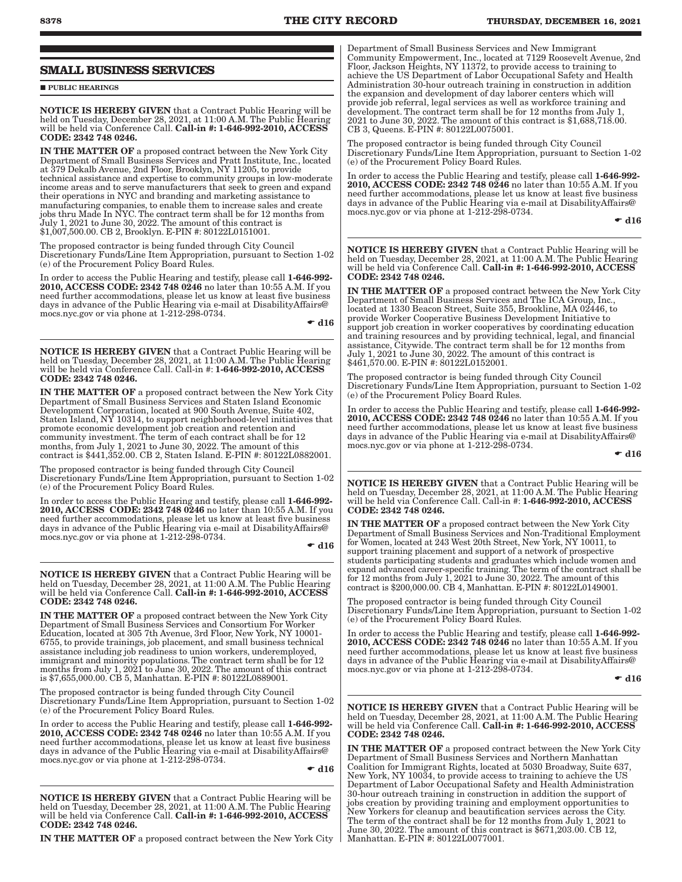### **SMALL BUSINESS SERVICES**

**PUBLIC HEARINGS** 

NOTICE IS HEREBY GIVEN that a Contract Public Hearing will be held on Tuesday, December 28, 2021, at 11:00 A.M. The Public Hearing will be held via Conference Call. Call-in #: 1-646-992-2010, ACCESS CODE: 2342 748 0246.

IN THE MATTER OF a proposed contract between the New York City Department of Small Business Services and Pratt Institute, Inc., located at 379 Dekalb Avenue, 2nd Floor, Brooklyn, NY 11205, to provide technical assistance and expertise to community groups in low-moderate income areas and to serve manufacturers that seek to green and expand their operations in NYC and branding and marketing assistance to manufacturing companies, to enable them to increase sales and create jobs thru Made In NYC. The contract term shall be for 12 months from July 1, 2021 to June 30, 2022. The amount of this contract is \$1,007,500.00. CB 2, Brooklyn. E-PIN #: 80122L0151001.

The proposed contractor is being funded through City Council Discretionary Funds/Line Item Appropriation, pursuant to Section 1-02 (e) of the Procurement Policy Board Rules.

In order to access the Public Hearing and testify, please call 1-646-992- 2010, ACCESS CODE: 2342 748 0246 no later than 10:55 A.M. If you need further accommodations, please let us know at least five business days in advance of the Public Hearing via e-mail at DisabilityAffairs@ mocs.nyc.gov or via phone at 1-212-298-0734.

 $\bullet$  d16

NOTICE IS HEREBY GIVEN that a Contract Public Hearing will be held on Tuesday, December 28, 2021, at 11:00 A.M. The Public Hearing will be held via Conference Call. Call-in #: 1-646-992-2010, ACCESS CODE: 2342 748 0246.

IN THE MATTER OF a proposed contract between the New York City Department of Small Business Services and Staten Island Economic Development Corporation, located at 900 South Avenue, Suite 402, Staten Island, NY 10314, to support neighborhood-level initiatives that promote economic development job creation and retention and community investment. The term of each contract shall be for 12 months, from July 1, 2021 to June 30, 2022. The amount of this contract is \$441,352.00. CB 2, Staten Island. E-PIN #: 80122L0882001.

The proposed contractor is being funded through City Council Discretionary Funds/Line Item Appropriation, pursuant to Section 1-02 (e) of the Procurement Policy Board Rules.

In order to access the Public Hearing and testify, please call 1-646-992- 2010, ACCESS CODE: 2342 748 0246 no later than 10:55 A.M. If you need further accommodations, please let us know at least five business days in advance of the Public Hearing via e-mail at DisabilityAffairs@ mocs.nyc.gov or via phone at 1-212-298-0734.

 $\bullet$  d16

NOTICE IS HEREBY GIVEN that a Contract Public Hearing will be held on Tuesday, December 28, 2021, at 11:00 A.M. The Public Hearing will be held via Conference Call. Call-in #: 1-646-992-2010, ACCESS CODE: 2342 748 0246.

IN THE MATTER OF a proposed contract between the New York City Department of Small Business Services and Consortium For Worker Education, located at 305 7th Avenue, 3rd Floor, New York, NY 10001- 6755, to provide trainings, job placement, and small business technical assistance including job readiness to union workers, underemployed, immigrant and minority populations. The contract term shall be for 12 months from July 1, 2021 to June 30, 2022. The amount of this contract is \$7,655,000.00. CB 5, Manhattan. E-PIN #: 80122L0889001.

The proposed contractor is being funded through City Council Discretionary Funds/Line Item Appropriation, pursuant to Section 1-02 (e) of the Procurement Policy Board Rules.

In order to access the Public Hearing and testify, please call 1-646-992-2010, ACCESS CODE: 2342 748 0246 no later than 10:55 A.M. If you need further accommodations, please let us know at least five business days in advance of the Public Hearing via e-mail at DisabilityAffairs@ mocs.nyc.gov or via phone at 1-212-298-0734.

 $-$  d16

NOTICE IS HEREBY GIVEN that a Contract Public Hearing will be held on Tuesday, December 28, 2021, at 11:00 A.M. The Public Hearing will be held via Conference Call. Call-in #: 1-646-992-2010, ACCESS CODE: 2342 748 0246.

IN THE MATTER OF a proposed contract between the New York City

Department of Small Business Services and New Immigrant Community Empowerment, Inc., located at 7129 Roosevelt Avenue, 2nd Floor, Jackson Heights, NY 11372, to provide access to training to achieve the US Department of Labor Occupational Safety and Health Administration 30-hour outreach training in construction in addition the expansion and development of day laborer centers which will provide job referral, legal services as well as workforce training and development. The contract term shall be for 12 months from July 1, 2021 to June 30, 2022. The amount of this contract is \$1,688,718.00. CB 3, Queens. E-PIN #: 80122L0075001.

The proposed contractor is being funded through City Council Discretionary Funds/Line Item Appropriation, pursuant to Section 1-02 (e) of the Procurement Policy Board Rules.

In order to access the Public Hearing and testify, please call 1-646-992-2010, ACCESS CODE: 2342 748 0246 no later than 10:55 A.M. If you need further accommodations, please let us know at least five business days in advance of the Public Hearing via e-mail at DisabilityAffairs@ mocs.nyc.gov or via phone at 1-212-298-0734.

 $\bullet$  d16

NOTICE IS HEREBY GIVEN that a Contract Public Hearing will be held on Tuesday, December 28, 2021, at 11:00 A.M. The Public Hearing will be held via Conference Call. Call-in #: 1-646-992-2010, ACCESS CODE: 2342 748 0246.

IN THE MATTER OF a proposed contract between the New York City Department of Small Business Services and The ICA Group, Inc., located at 1330 Beacon Street, Suite 355, Brookline, MA 02446, to provide Worker Cooperative Business Development Initiative to support job creation in worker cooperatives by coordinating education and training resources and by providing technical, legal, and financial assistance, Citywide. The contract term shall be for 12 months from July 1, 2021 to June 30, 2022. The amount of this contract is \$461,570.00. E-PIN #: 80122L0152001.

The proposed contractor is being funded through City Council Discretionary Funds/Line Item Appropriation, pursuant to Section 1-02 (e) of the Procurement Policy Board Rules.

In order to access the Public Hearing and testify, please call 1-646-992- 2010, ACCESS CODE: 2342 748 0246 no later than 10:55 A.M. If you need further accommodations, please let us know at least five business days in advance of the Public Hearing via e-mail at DisabilityAffairs@ mocs.nyc.gov or via phone at 1-212-298-0734.

 $\bullet$  d16

NOTICE IS HEREBY GIVEN that a Contract Public Hearing will be held on Tuesday, December 28, 2021, at 11:00 A.M. The Public Hearing will be held via Conference Call. Call-in #: 1-646-992-2010, ACCESS CODE: 2342 748 0246.

IN THE MATTER OF a proposed contract between the New York City Department of Small Business Services and Non-Traditional Employment for Women, located at 243 West 20th Street, New York, NY 10011, to support training placement and support of a network of prospective students participating students and graduates which include women and expand advanced career-specific training. The term of the contract shall be for 12 months from July 1, 2021 to June 30, 2022. The amount of this contract is \$200,000.00. CB 4, Manhattan. E-PIN #: 80122L0149001.

The proposed contractor is being funded through City Council Discretionary Funds/Line Item Appropriation, pursuant to Section 1-02 (e) of the Procurement Policy Board Rules.

In order to access the Public Hearing and testify, please call 1-646-992- 2010, ACCESS CODE: 2342 748 0246 no later than 10:55 A.M. If you need further accommodations, please let us know at least five business days in advance of the Public Hearing via e-mail at DisabilityAffairs@ mocs.nyc.gov or via phone at 1-212-298-0734.

 $\bullet$  d16

NOTICE IS HEREBY GIVEN that a Contract Public Hearing will be held on Tuesday, December 28, 2021, at 11:00 A.M. The Public Hearing will be held via Conference Call. Call-in #: 1-646-992-2010, ACCESS CODE: 2342 748 0246.

IN THE MATTER OF a proposed contract between the New York City Department of Small Business Services and Northern Manhattan Coalition for Immigrant Rights, located at 5030 Broadway, Suite 637, New York, NY 10034, to provide access to training to achieve the US Department of Labor Occupational Safety and Health Administration 30-hour outreach training in construction in addition the support of jobs creation by providing training and employment opportunities to New Yorkers for cleanup and beautification services across the City. The term of the contract shall be for 12 months from July 1, 2021 to June 30, 2022. The amount of this contract is \$671,203.00. CB 12, Manhattan. E-PIN #: 80122L0077001.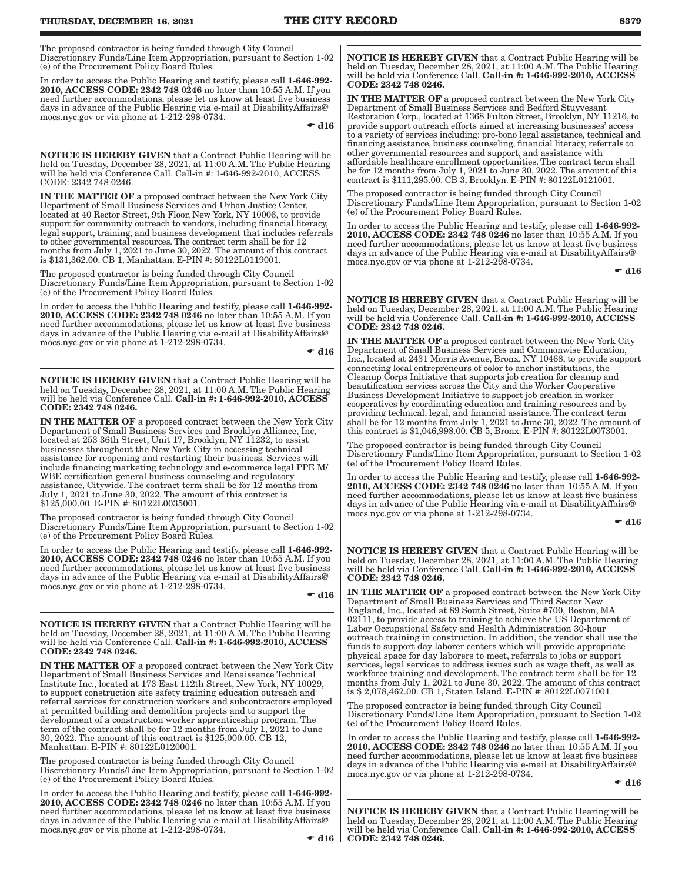The proposed contractor is being funded through City Council Discretionary Funds/Line Item Appropriation, pursuant to Section 1-02 (e) of the Procurement Policy Board Rules.

In order to access the Public Hearing and testify, please call 1-646-992- 2010, ACCESS CODE: 2342 748 0246 no later than 10:55 A.M. If you need further accommodations, please let us know at least five business days in advance of the Public Hearing via e-mail at DisabilityAffairs@ mocs.nyc.gov or via phone at 1-212-298-0734.

 $\bullet$  d16

NOTICE IS HEREBY GIVEN that a Contract Public Hearing will be held on Tuesday, December 28, 2021, at 11:00 A.M. The Public Hearing will be held via Conference Call. Call-in #: 1-646-992-2010, ACCESS CODE: 2342 748 0246.

IN THE MATTER OF a proposed contract between the New York City Department of Small Business Services and Urban Justice Center, located at 40 Rector Street, 9th Floor, New York, NY 10006, to provide support for community outreach to vendors, including financial literacy, legal support, training, and business development that includes referrals to other governmental resources. The contract term shall be for 12 months from July 1, 2021 to June 30, 2022. The amount of this contract is \$131,362.00. CB 1, Manhattan. E-PIN #: 80122L0119001.

The proposed contractor is being funded through City Council Discretionary Funds/Line Item Appropriation, pursuant to Section 1-02 (e) of the Procurement Policy Board Rules.

In order to access the Public Hearing and testify, please call 1-646-992-2010, ACCESS CODE: 2342 748 0246 no later than 10:55 A.M. If you need further accommodations, please let us know at least five business days in advance of the Public Hearing via e-mail at DisabilityAffairs@ mocs.nyc.gov or via phone at 1-212-298-0734.

 $\bullet$  d16

NOTICE IS HEREBY GIVEN that a Contract Public Hearing will be held on Tuesday, December 28, 2021, at 11:00 A.M. The Public Hearing will be held via Conference Call. Call-in #: 1-646-992-2010, ACCESS CODE: 2342 748 0246.

IN THE MATTER OF a proposed contract between the New York City Department of Small Business Services and Brooklyn Alliance, Inc, located at 253 36th Street, Unit 17, Brooklyn, NY 11232, to assist businesses throughout the New York City in accessing technical assistance for reopening and restarting their business. Services will include financing marketing technology and e-commerce legal PPE M/ WBE certification general business counseling and regulatory assistance, Citywide. The contract term shall be for 12 months from July 1, 2021 to June 30, 2022. The amount of this contract is \$125,000.00. E-PIN #: 80122L0035001.

The proposed contractor is being funded through City Council Discretionary Funds/Line Item Appropriation, pursuant to Section 1-02 (e) of the Procurement Policy Board Rules.

In order to access the Public Hearing and testify, please call 1-646-992- 2010, ACCESS CODE: 2342 748 0246 no later than 10:55 A.M. If you need further accommodations, please let us know at least five business days in advance of the Public Hearing via e-mail at DisabilityAffairs@ mocs.nyc.gov or via phone at 1-212-298-0734.

 $-$  d16

NOTICE IS HEREBY GIVEN that a Contract Public Hearing will be held on Tuesday, December 28, 2021, at 11:00 A.M. The Public Hearing will be held via Conference Call. Call-in #: 1-646-992-2010, ACCESS CODE: 2342 748 0246.

IN THE MATTER OF a proposed contract between the New York City Department of Small Business Services and Renaissance Technical Institute Inc., located at 173 East 112th Street, New York, NY 10029, to support construction site safety training education outreach and referral services for construction workers and subcontractors employed at permitted building and demolition projects and to support the development of a construction worker apprenticeship program. The term of the contract shall be for 12 months from July 1, 2021 to June 30, 2022. The amount of this contract is \$125,000.00. CB 12, Manhattan. E-PIN #: 80122L0120001.

The proposed contractor is being funded through City Council Discretionary Funds/Line Item Appropriation, pursuant to Section 1-02 (e) of the Procurement Policy Board Rules.

In order to access the Public Hearing and testify, please call 1-646-992- 2010, ACCESS CODE: 2342 748 0246 no later than 10:55 A.M. If you need further accommodations, please let us know at least five business days in advance of the Public Hearing via e-mail at DisabilityAffairs@ mocs.nyc.gov or via phone at 1-212-298-0734.

NOTICE IS HEREBY GIVEN that a Contract Public Hearing will be held on Tuesday, December 28, 2021, at 11:00 A.M. The Public Hearing will be held via Conference Call. Call-in #: 1-646-992-2010, ACCESS CODE: 2342 748 0246.

IN THE MATTER OF a proposed contract between the New York City Department of Small Business Services and Bedford Stuyvesant Restoration Corp., located at 1368 Fulton Street, Brooklyn, NY 11216, to provide support outreach efforts aimed at increasing businesses' access to a variety of services including: pro-bono legal assistance, technical and financing assistance, business counseling, financial literacy, referrals to other governmental resources and support, and assistance with affordable healthcare enrollment opportunities. The contract term shall be for 12 months from July 1, 2021 to June 30, 2022. The amount of this contract is \$111,295.00. CB 3, Brooklyn. E-PIN #: 80122L0121001.

The proposed contractor is being funded through City Council Discretionary Funds/Line Item Appropriation, pursuant to Section 1-02 (e) of the Procurement Policy Board Rules.

In order to access the Public Hearing and testify, please call 1-646-992- 2010, ACCESS CODE: 2342 748 0246 no later than 10:55 A.M. If you need further accommodations, please let us know at least five business days in advance of the Public Hearing via e-mail at DisabilityAffairs@ mocs.nyc.gov or via phone at 1-212-298-0734.

 $\bullet$  d16

NOTICE IS HEREBY GIVEN that a Contract Public Hearing will be held on Tuesday, December 28, 2021, at 11:00 A.M. The Public Hearing will be held via Conference Call. Call-in #: 1-646-992-2010, ACCESS CODE: 2342 748 0246.

IN THE MATTER OF a proposed contract between the New York City Department of Small Business Services and Commonwise Education, Inc., located at 2431 Morris Avenue, Bronx, NY 10468, to provide support connecting local entrepreneurs of color to anchor institutions, the Cleanup Corps Initiative that supports job creation for cleanup and beautification services across the City and the Worker Cooperative Business Development Initiative to support job creation in worker cooperatives by coordinating education and training resources and by providing technical, legal, and financial assistance. The contract term shall be for 12 months from July 1, 2021 to June 30, 2022. The amount of this contract is \$1,046,998.00. CB 5, Bronx. E-PIN #: 80122L0073001.

The proposed contractor is being funded through City Council Discretionary Funds/Line Item Appropriation, pursuant to Section 1-02 (e) of the Procurement Policy Board Rules.

In order to access the Public Hearing and testify, please call 1-646-992- 2010, ACCESS CODE: 2342 748 0246 no later than 10:55 A.M. If you need further accommodations, please let us know at least five business days in advance of the Public Hearing via e-mail at DisabilityAffairs@ mocs.nyc.gov or via phone at 1-212-298-0734.

NOTICE IS HEREBY GIVEN that a Contract Public Hearing will be held on Tuesday, December 28, 2021, at 11:00 A.M. The Public Hearing will be held via Conference Call. Call-in #: 1-646-992-2010, ACCESS CODE: 2342 748 0246.

IN THE MATTER OF a proposed contract between the New York City Department of Small Business Services and Third Sector New England, Inc., located at 89 South Street, Suite #700, Boston, MA 02111, to provide access to training to achieve the US Department of Labor Occupational Safety and Health Administration 30-hour outreach training in construction. In addition, the vendor shall use the funds to support day laborer centers which will provide appropriate physical space for day laborers to meet, referrals to jobs or support services, legal services to address issues such as wage theft, as well as workforce training and development. The contract term shall be for 12 months from July 1, 2021 to June 30, 2022. The amount of this contract is \$ 2,078,462.00. CB 1, Staten Island. E-PIN #: 80122L0071001.

The proposed contractor is being funded through City Council Discretionary Funds/Line Item Appropriation, pursuant to Section 1-02 (e) of the Procurement Policy Board Rules.

In order to access the Public Hearing and testify, please call 1-646-992- 2010, ACCESS CODE: 2342 748 0246 no later than 10:55 A.M. If you need further accommodations, please let us know at least five business days in advance of the Public Hearing via e-mail at DisabilityAffairs@ mocs.nyc.gov or via phone at 1-212-298-0734.

 $\bullet$  d16

NOTICE IS HEREBY GIVEN that a Contract Public Hearing will be held on Tuesday, December 28, 2021, at 11:00 A.M. The Public Hearing will be held via Conference Call. Call-in #: 1-646-992-2010, ACCESS CODE: 2342 748 0246.

 $\bullet$  d16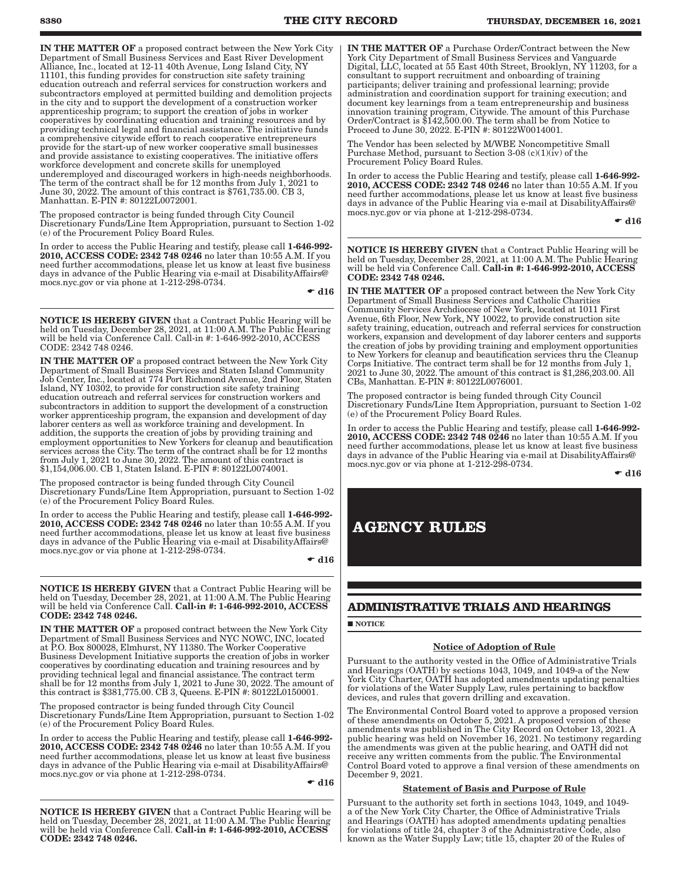IN THE MATTER OF a proposed contract between the New York City Department of Small Business Services and East River Development Alliance, Inc., located at 12-11 40th Avenue, Long Island City, NY 11101, this funding provides for construction site safety training education outreach and referral services for construction workers and subcontractors employed at permitted building and demolition projects in the city and to support the development of a construction worker apprenticeship program; to support the creation of jobs in worker cooperatives by coordinating education and training resources and by providing technical legal and financial assistance. The initiative funds a comprehensive citywide effort to reach cooperative entrepreneurs provide for the start-up of new worker cooperative small businesses and provide assistance to existing cooperatives. The initiative offers workforce development and concrete skills for unemployed underemployed and discouraged workers in high-needs neighborhoods. The term of the contract shall be for 12 months from July 1, 2021 to June 30, 2022. The amount of this contract is \$761,735.00. CB 3, Manhattan. E-PIN #: 80122L0072001.

The proposed contractor is being funded through City Council Discretionary Funds/Line Item Appropriation, pursuant to Section 1-02 (e) of the Procurement Policy Board Rules.

In order to access the Public Hearing and testify, please call 1-646-992- 2010, ACCESS CODE: 2342 748 0246 no later than 10:55 A.M. If you need further accommodations, please let us know at least five business days in advance of the Public Hearing via e-mail at DisabilityAffairs@ mocs.nyc.gov or via phone at 1-212-298-0734.

 $\bullet$  d16

NOTICE IS HEREBY GIVEN that a Contract Public Hearing will be held on Tuesday, December 28, 2021, at 11:00 A.M. The Public Hearing will be held via Conference Call. Call-in #: 1-646-992-2010, ACCESS CODE: 2342 748 0246.

IN THE MATTER OF a proposed contract between the New York City Department of Small Business Services and Staten Island Community Job Center, Inc., located at 774 Port Richmond Avenue, 2nd Floor, Staten Island, NY 10302, to provide for construction site safety training education outreach and referral services for construction workers and subcontractors in addition to support the development of a construction worker apprenticeship program, the expansion and development of day laborer centers as well as workforce training and development. In addition, the supports the creation of jobs by providing training and employment opportunities to New Yorkers for cleanup and beautification services across the City. The term of the contract shall be for 12 months from July 1, 2021 to June 30, 2022. The amount of this contract is \$1,154,006.00. CB 1, Staten Island. E-PIN #: 80122L0074001.

The proposed contractor is being funded through City Council Discretionary Funds/Line Item Appropriation, pursuant to Section 1-02 (e) of the Procurement Policy Board Rules.

In order to access the Public Hearing and testify, please call 1-646-992- 2010, ACCESS CODE: 2342 748 0246 no later than 10:55 A.M. If you need further accommodations, please let us know at least five business days in advance of the Public Hearing via e-mail at DisabilityAffairs@ mocs.nyc.gov or via phone at 1-212-298-0734.

 $\bullet$  d16

NOTICE IS HEREBY GIVEN that a Contract Public Hearing will be held on Tuesday, December 28, 2021, at 11:00 A.M. The Public Hearing will be held via Conference Call. Call-in #: 1-646-992-2010, ACCESS CODE: 2342 748 0246.

IN THE MATTER OF a proposed contract between the New York City Department of Small Business Services and NYC NOWC, INC, located at P.O. Box 800028, Elmhurst, NY 11380. The Worker Cooperative Business Development Initiative supports the creation of jobs in worker cooperatives by coordinating education and training resources and by providing technical legal and financial assistance. The contract term shall be for 12 months from July 1, 2021 to June 30, 2022. The amount of this contract is \$381,775.00. CB 3, Queens. E-PIN #: 80122L0150001.

The proposed contractor is being funded through City Council Discretionary Funds/Line Item Appropriation, pursuant to Section 1-02 (e) of the Procurement Policy Board Rules.

In order to access the Public Hearing and testify, please call 1-646-992- 2010, ACCESS CODE: 2342 748 0246 no later than 10:55 A.M. If you need further accommodations, please let us know at least five business days in advance of the Public Hearing via e-mail at DisabilityAffairs@ mocs.nyc.gov or via phone at 1-212-298-0734.

 $\bullet$  d16

NOTICE IS HEREBY GIVEN that a Contract Public Hearing will be held on Tuesday, December 28, 2021, at 11:00 A.M. The Public Hearing will be held via Conference Call. Call-in #: 1-646-992-2010, ACCESS CODE: 2342 748 0246.

IN THE MATTER OF a Purchase Order/Contract between the New York City Department of Small Business Services and Vanguarde Digital, LLC, located at 55 East 40th Street, Brooklyn, NY 11203, for a consultant to support recruitment and onboarding of training participants; deliver training and professional learning; provide administration and coordination support for training execution; and document key learnings from a team entrepreneurship and business innovation training program, Citywide. The amount of this Purchase Order/Contract is \$142,500.00. The term shall be from Notice to Proceed to June 30, 2022. E-PIN #: 80122W0014001.

The Vendor has been selected by M/WBE Noncompetitive Small Purchase Method, pursuant to Section 3-08 (c)(1)(iv) of the Procurement Policy Board Rules.

In order to access the Public Hearing and testify, please call 1-646-992-2010, ACCESS CODE: 2342 748 0246 no later than 10:55 A.M. If you need further accommodations, please let us know at least five business days in advance of the Public Hearing via e-mail at DisabilityAffairs@ mocs.nyc.gov or via phone at 1-212-298-0734.

 $\bullet$  d16

NOTICE IS HEREBY GIVEN that a Contract Public Hearing will be held on Tuesday, December 28, 2021, at 11:00 A.M. The Public Hearing will be held via Conference Call. Call-in #: 1-646-992-2010, ACCESS CODE: 2342 748 0246.

IN THE MATTER OF a proposed contract between the New York City Department of Small Business Services and Catholic Charities Community Services Archdiocese of New York, located at 1011 First Avenue, 6th Floor, New York, NY 10022, to provide construction site safety training, education, outreach and referral services for construction workers, expansion and development of day laborer centers and supports the creation of jobs by providing training and employment opportunities to New Yorkers for cleanup and beautification services thru the Cleanup Corps Initiative. The contract term shall be for 12 months from July 1, 2021 to June 30, 2022. The amount of this contract is \$1,286,203.00. All CBs, Manhattan. E-PIN #: 80122L0076001.

The proposed contractor is being funded through City Council Discretionary Funds/Line Item Appropriation, pursuant to Section 1-02 (e) of the Procurement Policy Board Rules.

In order to access the Public Hearing and testify, please call 1-646-992- 2010, ACCESS CODE: 2342 748 0246 no later than 10:55 A.M. If you need further accommodations, please let us know at least five business days in advance of the Public Hearing via e-mail at DisabilityAffairs@ mocs.nyc.gov or via phone at 1-212-298-0734.

 $\bullet$  d16

## **AGENCY RULES**

### **ADMINISTRATIVE TRIALS AND HEARINGS**

### **NOTICE**

### Notice of Adoption of Rule

Pursuant to the authority vested in the Office of Administrative Trials and Hearings (OATH) by sections 1043, 1049, and 1049-a of the New York City Charter, OATH has adopted amendments updating penalties for violations of the Water Supply Law, rules pertaining to backflow devices, and rules that govern drilling and excavation.

The Environmental Control Board voted to approve a proposed version of these amendments on October 5, 2021. A proposed version of these amendments was published in The City Record on October 13, 2021. A public hearing was held on November 16, 2021. No testimony regarding the amendments was given at the public hearing, and OATH did not receive any written comments from the public. The Environmental Control Board voted to approve a final version of these amendments on December 9, 2021.

### Statement of Basis and Purpose of Rule

Pursuant to the authority set forth in sections 1043, 1049, and 1049 a of the New York City Charter, the Office of Administrative Trials and Hearings (OATH) has adopted amendments updating penalties for violations of title 24, chapter 3 of the Administrative Code, also known as the Water Supply Law; title 15, chapter 20 of the Rules of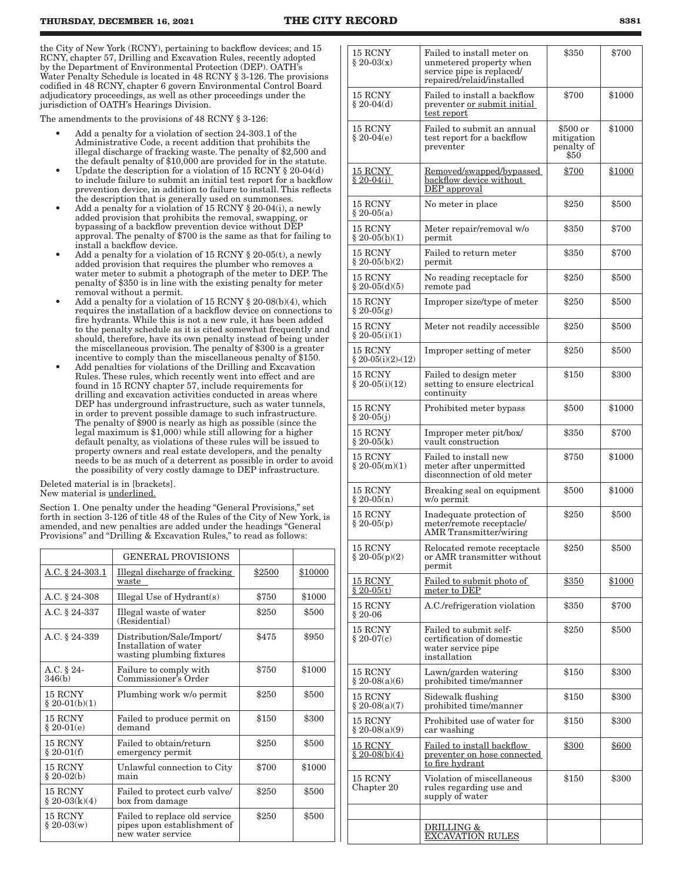the City of New York (RCNY), pertaining to backflow devices; and 15 RCNY, chapter 57, Drilling and Excavation Rules, recently adopted by the Department of Environmental Protection (DEP). OATH's Water Penalty Schedule is located in 48 RCNY § 3-126. The provisions codified in 48 RCNY, chapter 6 govern Environmental Control Board adjudicatory proceedings, as well as other proceedings under the jurisdiction of OATH's Hearings Division.

The amendments to the provisions of 48 RCNY § 3-126:

- Add a penalty for a violation of section 24-303.1 of the Administrative Code, a recent addition that prohibits the illegal discharge of fracking waste. The penalty of \$2,500 and the default penalty of \$10,000 are provided for in the statute.
- Update the description for a violation of 15 RCNY § 20-04(d) to include failure to submit an initial test report for a backflow prevention device, in addition to failure to install. This reflects the description that is generally used on summonses.
- Add a penalty for a violation of 15 RCNY § 20-04(i), a newly added provision that prohibits the removal, swapping, or bypassing of a backflow prevention device without DEP approval. The penalty of \$700 is the same as that for failing to install a backflow device.
- Add a penalty for a violation of 15 RCNY  $\S 20-05(t)$ , a newly added provision that requires the plumber who removes a water meter to submit a photograph of the meter to DEP. The penalty of \$350 is in line with the existing penalty for meter removal without a permit.
- Add a penalty for a violation of 15 RCNY  $\S 20-08(b)(4)$ , which requires the installation of a backflow device on connections to fire hydrants. While this is not a new rule, it has been added to the penalty schedule as it is cited somewhat frequently and should, therefore, have its own penalty instead of being under the miscellaneous provision. The penalty of \$300 is a greater incentive to comply than the miscellaneous penalty of \$150.
- Add penalties for violations of the Drilling and Excavation Rules. These rules, which recently went into effect and are found in 15 RCNY chapter 57, include requirements for drilling and excavation activities conducted in areas where DEP has underground infrastructure, such as water tunnels, in order to prevent possible damage to such infrastructure. The penalty of \$900 is nearly as high as possible (since the legal maximum is \$1,000) while still allowing for a higher default penalty, as violations of these rules will be issued to property owners and real estate developers, and the penalty needs to be as much of a deterrent as possible in order to avoid the possibility of very costly damage to DEP infrastructure.

Deleted material is in [brackets]. New material is underlined.

Section 1. One penalty under the heading "General Provisions," set forth in section 3-126 of title 48 of the Rules of the City of New York, is amended, and new penalties are added under the headings "General Provisions" and "Drilling & Excavation Rules," to read as follows:

|                            | <b>GENERAL PROVISIONS</b>                                                         |        |         |
|----------------------------|-----------------------------------------------------------------------------------|--------|---------|
| A.C. § 24-303.1            | Illegal discharge of fracking<br>waste                                            | \$2500 | \$10000 |
| A.C. § 24-308              | Illegal Use of $Hydrant(s)$                                                       | \$750  | \$1000  |
| A.C. § 24-337              | Illegal waste of water<br>(Residential)                                           | \$250  | \$500   |
| A.C. § 24-339              | Distribution/Sale/Import/<br>Installation of water<br>wasting plumbing fixtures   | \$475  | \$950   |
| A.C. § 24-<br>346(b)       | Failure to comply with<br>Commissioner's Order                                    | \$750  | \$1000  |
| 15 RCNY<br>$§ 20-01(b)(1)$ | Plumbing work w/o permit                                                          | \$250  | \$500   |
| 15 RCNY<br>$$20-01(e)$     | Failed to produce permit on<br>demand                                             | \$150  | \$300   |
| 15 RCNY<br>$$20-01(f)$     | Failed to obtain/return<br>emergency permit                                       | \$250  | \$500   |
| 15 RCNY<br>$$20-02(b)$     | Unlawful connection to City<br>main                                               | \$700  | \$1000  |
| 15 RCNY<br>$$20-03(k)(4)$  | Failed to protect curb valve/<br>box from damage                                  | \$250  | \$500   |
| 15 RCNY<br>$$20-03(w)$     | Failed to replace old service<br>pipes upon establishment of<br>new water service | \$250  | \$500   |

| 15 RCNY<br>$\S 20-03(x)$              | Failed to install meter on<br>unmetered property when<br>service pipe is replaced/<br>repaired/relaid/installed | \$350                                        | \$700  |
|---------------------------------------|-----------------------------------------------------------------------------------------------------------------|----------------------------------------------|--------|
| 15 RCNY<br>$§ 20-04(d)$               | Failed to install a backflow<br>preventer or submit initial<br>test report                                      | \$700                                        | \$1000 |
| 15 RCNY<br>$§ 20-04(e)$               | Failed to submit an annual<br>test report for a backflow<br>preventer                                           | \$500 or<br>mitigation<br>penalty of<br>\$50 | \$1000 |
| 15 RCNY<br>$$20-04(i)$                | Removed/swapped/bypassed<br>backflow device without<br>DEP approval                                             | \$700                                        | \$1000 |
| 15 RCNY<br>$§ 20-05(a)$               | No meter in place                                                                                               | \$250                                        | \$500  |
| 15 RCNY<br>$§ 20-05(b)(1)$            | Meter repair/removal w/o<br>permit                                                                              | \$350                                        | \$700  |
| 15 RCNY<br>$§ 20-05(b)(2)$            | Failed to return meter<br>permit                                                                                | \$350                                        | \$700  |
| 15 RCNY<br>$§ 20-05(d)(5)$            | No reading receptacle for<br>remote pad                                                                         | \$250                                        | \$500  |
| 15 RCNY<br>$§ 20-05(g)$               | Improper size/type of meter                                                                                     | \$250                                        | \$500  |
| 15 RCNY<br>$§ 20-05(i)(1)$            | Meter not readily accessible                                                                                    | \$250                                        | \$500  |
| $15$ $\rm RCNY$<br>§ 20-05(i)(2)-(12) | Improper setting of meter                                                                                       | \$250                                        | \$500  |
| 15 RCNY<br>$§ 20-05(i)(12)$           | Failed to design meter<br>setting to ensure electrical<br>continuity                                            | \$150                                        | \$300  |
| 15 RCNY<br>$§ 20-05(i)$               | Prohibited meter bypass                                                                                         | \$500                                        | \$1000 |
| 15 RCNY<br>$§ 20-05(k)$               | Improper meter pit/box/<br>vault construction                                                                   | \$350                                        | \$700  |
| 15 RCNY<br>$\S 20-05(m)(1)$           | Failed to install new<br>meter after unpermitted<br>disconnection of old meter                                  | \$750                                        | \$1000 |
| 15 RCNY<br>$§ 20-05(n)$               | Breaking seal on equipment<br>w/o permit                                                                        | \$500                                        | \$1000 |
| 15 RCNY<br>$§ 20-05(p)$               | Inadequate protection of<br>meter/remote receptacle/<br><b>AMR</b> Transmitter/wiring                           | \$250                                        | \$500  |
| $15$ RCNY $\,$<br>$\S 20-05(p)(2)$    | Relocated remote receptacle<br>or AMR transmitter without<br>permit                                             | \$250                                        | \$500  |
| 15 RCNY<br>$$20-05(t)$                | Failed to submit photo of<br>meter to DEP                                                                       | \$350                                        | \$1000 |
| 15 RCNY<br>$§ 20-06$                  | A.C./refrigeration violation                                                                                    | \$350                                        | \$700  |
| 15 RCNY<br>$$20-07(c)$                | Failed to submit self-<br>certification of domestic<br>water service pipe<br>installation                       | \$250                                        | \$500  |
| 15 RCNY<br>$§ 20-08(a)(6)$            | Lawn/garden watering<br>prohibited time/manner                                                                  | \$150                                        | \$300  |
| 15 RCNY<br>$§ 20-08(a)(7)$            | Sidewalk flushing<br>prohibited time/manner                                                                     | \$150                                        | \$300  |
| 15 RCNY<br>$§ 20-08(a)(9)$            | Prohibited use of water for<br>car washing                                                                      | \$150                                        | \$300  |
| 15 RCNY<br>$$20-08(b)(4)$             | Failed to install backflow<br>preventer on hose connected<br>to fire hydrant                                    | \$300                                        | \$600  |
| 15 RCNY<br>Chapter 20                 | Violation of miscellaneous<br>rules regarding use and<br>supply of water                                        | \$150                                        | \$300  |
|                                       | <u>DRILLING &amp;</u>                                                                                           |                                              |        |
|                                       | <b>EXCAVATION RULES</b>                                                                                         |                                              |        |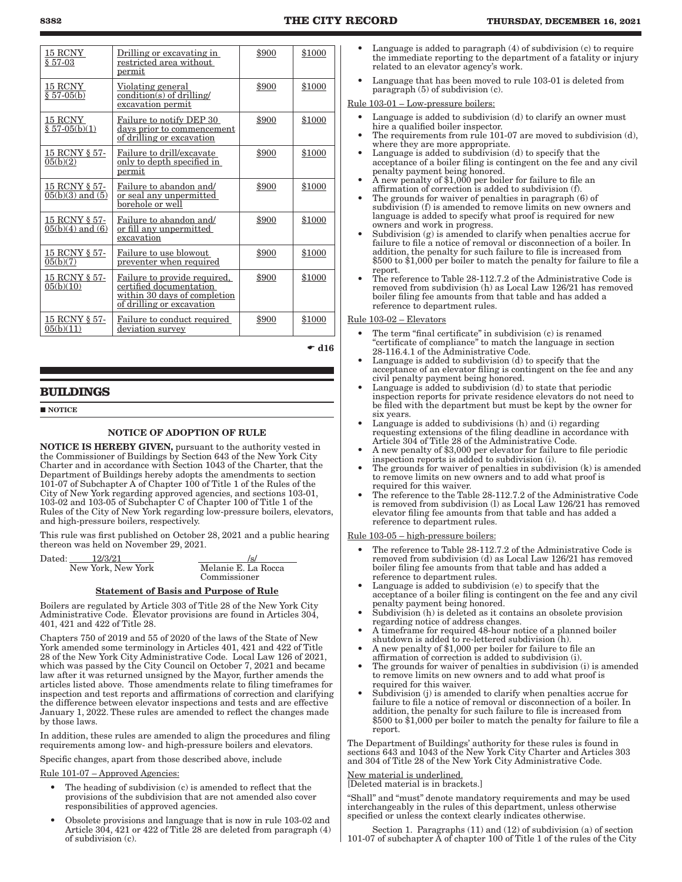| 15 RCNY<br>$$57-03$                   | Drilling or excavating in<br>restricted area without<br>permit                                                       | \$900 | \$1000        |
|---------------------------------------|----------------------------------------------------------------------------------------------------------------------|-------|---------------|
| 15 RCNY<br>$$57-05(b)$                | Violating general<br>$condition(s)$ of drilling/<br>excavation permit                                                | \$900 | \$1000        |
| 15 RCNY<br>$$57-05(b)(1)$             | Failure to notify DEP 30<br>days prior to commencement<br>of drilling or excavation                                  | \$900 | \$1000        |
| 15 RCNY § 57-<br>05(b)(2)             | Failure to drill/excavate<br>only to depth specified in<br>permit                                                    | \$900 | \$1000        |
| 15 RCNY § 57-<br>$05(b)(3)$ and $(5)$ | Failure to abandon and/<br>or seal any unpermitted<br>borehole or well                                               | \$900 | \$1000        |
| 15 RCNY § 57-<br>$05(b)(4)$ and $(6)$ | Failure to abandon and/<br>or fill any unpermitted<br>excavation                                                     | \$900 | \$1000        |
| 15 RCNY § 57-<br>05(b)(7)             | Failure to use blowout<br>preventer when required                                                                    | \$900 | \$1000        |
| 15 RCNY § 57-<br>05(b)(10)            | Failure to provide required,<br>certified documentation<br>within 30 days of completion<br>of drilling or excavation | \$900 | \$1000        |
| 15 RCNY § 57-<br>05(b)(11)            | Failure to conduct required<br>deviation survey                                                                      | \$900 | \$1000        |
|                                       |                                                                                                                      |       | $\bullet$ d16 |

### **BUILDINGS**

**NOTICE** 

### NOTICE OF ADOPTION OF RULE

NOTICE IS HEREBY GIVEN, pursuant to the authority vested in the Commissioner of Buildings by Section 643 of the New York City Charter and in accordance with Section 1043 of the Charter, that the Department of Buildings hereby adopts the amendments to section 101-07 of Subchapter A of Chapter 100 of Title 1 of the Rules of the City of New York regarding approved agencies, and sections 103-01, 103-02 and 103-05 of Subchapter C of Chapter 100 of Title 1 of the Rules of the City of New York regarding low-pressure boilers, elevators, and high-pressure boilers, respectively.

This rule was first published on October 28, 2021 and a public hearing thereon was held on November 29, 2021.

| 12/3/21<br>Dated:  | $/\mathrm{s}/$      |
|--------------------|---------------------|
| New York, New York | Melanie E. La Rocca |
|                    | Commissioner        |

### Statement of Basis and Purpose of Rule

Boilers are regulated by Article 303 of Title 28 of the New York City Administrative Code. Elevator provisions are found in Articles 304, 401, 421 and 422 of Title 28.

Chapters 750 of 2019 and 55 of 2020 of the laws of the State of New York amended some terminology in Articles 401, 421 and 422 of Title 28 of the New York City Administrative Code. Local Law 126 of 2021, which was passed by the City Council on October 7, 2021 and became law after it was returned unsigned by the Mayor, further amends the articles listed above. Those amendments relate to filing timeframes for inspection and test reports and affirmations of correction and clarifying the difference between elevator inspections and tests and are effective January 1, 2022. These rules are amended to reflect the changes made by those laws.

In addition, these rules are amended to align the procedures and filing requirements among low- and high-pressure boilers and elevators.

Specific changes, apart from those described above, include

#### Rule 101-07 – Approved Agencies:

- The heading of subdivision (c) is amended to reflect that the provisions of the subdivision that are not amended also cover responsibilities of approved agencies.
- Obsolete provisions and language that is now in rule 103-02 and Article 304, 421 or 422 of Title 28 are deleted from paragraph (4) of subdivision (c).
- Language is added to paragraph  $(4)$  of subdivision  $(c)$  to require the immediate reporting to the department of a fatality or injury related to an elevator agency's work.
- Language that has been moved to rule 103-01 is deleted from paragraph (5) of subdivision (c).

### Rule 103-01 – Low-pressure boilers:

- Language is added to subdivision (d) to clarify an owner must hire a qualified boiler inspector.
- The requirements from rule 101-07 are moved to subdivision (d), where they are more appropriate.
- Language is added to subdivision  $(d)$  to specify that the acceptance of a boiler filing is contingent on the fee and any civil penalty payment being honored.
- A new penalty of \$1,000 per boiler for failure to file an affirmation of correction is added to subdivision (f).
- The grounds for waiver of penalties in paragraph (6) of subdivision (f) is amended to remove limits on new owners and language is added to specify what proof is required for new owners and work in progress.
- Subdivision (g) is amended to clarify when penalties accrue for failure to file a notice of removal or disconnection of a boiler. In addition, the penalty for such failure to file is increased from \$500 to \$1,000 per boiler to match the penalty for failure to file a report.
- The reference to Table 28-112.7.2 of the Administrative Code is removed from subdivision (h) as Local Law 126/21 has removed boiler filing fee amounts from that table and has added a reference to department rules.

### Rule 103-02 – Elevators

- The term "final certificate" in subdivision (c) is renamed "certificate of compliance" to match the language in section 28-116.4.1 of the Administrative Code.
- Language is added to subdivision (d) to specify that the acceptance of an elevator filing is contingent on the fee and any civil penalty payment being honored.
- Language is added to subdivision (d) to state that periodic inspection reports for private residence elevators do not need to be filed with the department but must be kept by the owner for six years.
- Language is added to subdivisions (h) and (i) regarding requesting extensions of the filing deadline in accordance with Article 304 of Title 28 of the Administrative Code.
- A new penalty of \$3,000 per elevator for failure to file periodic inspection reports is added to subdivision (i).
- The grounds for waiver of penalties in subdivision  $(k)$  is amended to remove limits on new owners and to add what proof is required for this waiver.
- The reference to the Table 28-112.7.2 of the Administrative Code is removed from subdivision (l) as Local Law 126/21 has removed elevator filing fee amounts from that table and has added a reference to department rules.

#### Rule 103-05 – high-pressure boilers:

- The reference to Table 28-112.7.2 of the Administrative Code is removed from subdivision (d) as Local Law 126/21 has removed boiler filing fee amounts from that table and has added a reference to department rules.
- Language is added to subdivision (e) to specify that the acceptance of a boiler filing is contingent on the fee and any civil penalty payment being honored.
- Subdivision (h) is deleted as it contains an obsolete provision regarding notice of address changes.
- A timeframe for required 48-hour notice of a planned boiler shutdown is added to re-lettered subdivision (h).
- A new penalty of \$1,000 per boiler for failure to file an affirmation of correction is added to subdivision (i).
- The grounds for waiver of penalties in subdivision (i) is amended to remove limits on new owners and to add what proof is required for this waiver.
- Subdivision (j) is amended to clarify when penalties accrue for failure to file a notice of removal or disconnection of a boiler. In addition, the penalty for such failure to file is increased from \$500 to \$1,000 per boiler to match the penalty for failure to file a report.

The Department of Buildings' authority for these rules is found in sections 643 and 1043 of the New York City Charter and Articles 303 and 304 of Title 28 of the New York City Administrative Code.

### <u>lew material is underlined.</u> New material is under three.<br>[Deleted material is in brackets.]

"Shall" and "must" denote mandatory requirements and may be used interchangeably in the rules of this department, unless otherwise specified or unless the context clearly indicates otherwise.

Section 1. Paragraphs (11) and (12) of subdivision (a) of section 101-07 of subchapter A of chapter 100 of Title 1 of the rules of the City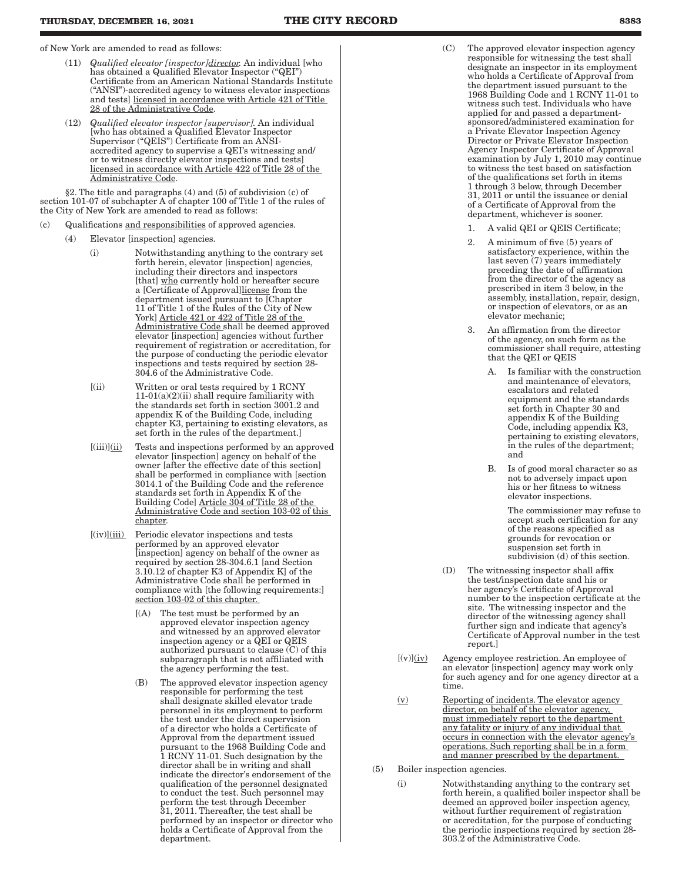of New York are amended to read as follows:

- (11) *Qualified elevator [inspector]director.* An individual [who has obtained a Qualified Elevator Inspector ("QEI") Certificate from an American National Standards Institute ("ANSI")-accredited agency to witness elevator inspections and tests] licensed in accordance with Article 421 of Title 28 of the Administrative Code.
- (12) *Qualified elevator inspector [supervisor].* An individual [who has obtained a Qualified Elevator Inspector Supervisor ("QEIS") Certificate from an ANSIaccredited agency to supervise a QEI's witnessing and/ or to witness directly elevator inspections and tests] licensed in accordance with Article 422 of Title 28 of the Administrative Code.

§2. The title and paragraphs (4) and (5) of subdivision (c) of section 101-07 of subchapter A of chapter 100 of Title 1 of the rules of the City of New York are amended to read as follows:

- (c) Qualifications and responsibilities of approved agencies.
	- (4) Elevator [inspection] agencies.
		- (i) Notwithstanding anything to the contrary set forth herein, elevator [inspection] agencies, including their directors and inspectors [that] who currently hold or hereafter secure a [Certificate of Approval]license from the department issued pursuant to [Chapter 11 of Title 1 of the Rules of the City of New York] Article 421 or 422 of Title 28 of the Administrative Code shall be deemed approved elevator [inspection] agencies without further requirement of registration or accreditation, for the purpose of conducting the periodic elevator inspections and tests required by section 28- 304.6 of the Administrative Code.
		- [(ii) Written or oral tests required by 1 RCNY 11-01(a)(2)(ii) shall require familiarity with the standards set forth in section 3001.2 and appendix K of the Building Code, including chapter K3, pertaining to existing elevators, as set forth in the rules of the department.]
		- $[(iii)]$  $(iii)$  Tests and inspections performed by an approved elevator [inspection] agency on behalf of the owner [after the effective date of this section] shall be performed in compliance with [section 3014.1 of the Building Code and the reference standards set forth in Appendix K of the Building Code] Article 304 of Title 28 of the Administrative Code and section 103-02 of this chapter.
		- $[(iv)]$  $(iii)$  Periodic elevator inspections and tests performed by an approved elevator [inspection] agency on behalf of the owner as required by section 28-304.6.1 [and Section 3.10.12 of chapter K3 of Appendix K] of the Administrative Code shall be performed in compliance with [the following requirements:] section 103-02 of this chapter.
			- [(A) The test must be performed by an approved elevator inspection agency and witnessed by an approved elevator inspection agency or a QEI or QEIS authorized pursuant to clause (C) of this subparagraph that is not affiliated with the agency performing the test.
			- (B) The approved elevator inspection agency responsible for performing the test shall designate skilled elevator trade personnel in its employment to perform the test under the direct supervision of a director who holds a Certificate of Approval from the department issued pursuant to the 1968 Building Code and 1 RCNY 11-01. Such designation by the director shall be in writing and shall indicate the director's endorsement of the qualification of the personnel designated to conduct the test. Such personnel may perform the test through December 31, 2011. Thereafter, the test shall be performed by an inspector or director who holds a Certificate of Approval from the department.
- (C) The approved elevator inspection agency responsible for witnessing the test shall designate an inspector in its employment who holds a Certificate of Approval from the department issued pursuant to the 1968 Building Code and 1 RCNY 11-01 to witness such test. Individuals who have applied for and passed a departmentsponsored/administered examination for a Private Elevator Inspection Agency Director or Private Elevator Inspection Agency Inspector Certificate of Approval examination by July 1, 2010 may continue to witness the test based on satisfaction of the qualifications set forth in items 1 through 3 below, through December 31, 2011 or until the issuance or denial of a Certificate of Approval from the department, whichever is sooner.
	- 1. A valid QEI or QEIS Certificate;
	- 2. A minimum of five (5) years of satisfactory experience, within the last seven (7) years immediately preceding the date of affirmation from the director of the agency as prescribed in item 3 below, in the assembly, installation, repair, design, or inspection of elevators, or as an elevator mechanic;
	- 3. An affirmation from the director of the agency, on such form as the commissioner shall require, attesting that the QEI or QEIS
		- A. Is familiar with the construction and maintenance of elevators, escalators and related equipment and the standards set forth in Chapter 30 and appendix K of the Building Code, including appendix K3, pertaining to existing elevators, in the rules of the department; and
		- B. Is of good moral character so as not to adversely impact upon his or her fitness to witness elevator inspections.

The commissioner may refuse to accept such certification for any of the reasons specified as grounds for revocation or suspension set forth in subdivision (d) of this section.

- (D) The witnessing inspector shall affix the test/inspection date and his or her agency's Certificate of Approval number to the inspection certificate at the site. The witnessing inspector and the director of the witnessing agency shall further sign and indicate that agency's Certificate of Approval number in the test report.]
- $[(v)](iv)$  Agency employee restriction. An employee of an elevator [inspection] agency may work only for such agency and for one agency director at a time.
- (v) Reporting of incidents. The elevator agency director, on behalf of the elevator agency, must immediately report to the department any fatality or injury of any individual that occurs in connection with the elevator agency's operations. Such reporting shall be in a form and manner prescribed by the department.
- (5) Boiler inspection agencies.
	- (i) Notwithstanding anything to the contrary set forth herein, a qualified boiler inspector shall be deemed an approved boiler inspection agency, without further requirement of registration or accreditation, for the purpose of conducting the periodic inspections required by section 28- 303.2 of the Administrative Code.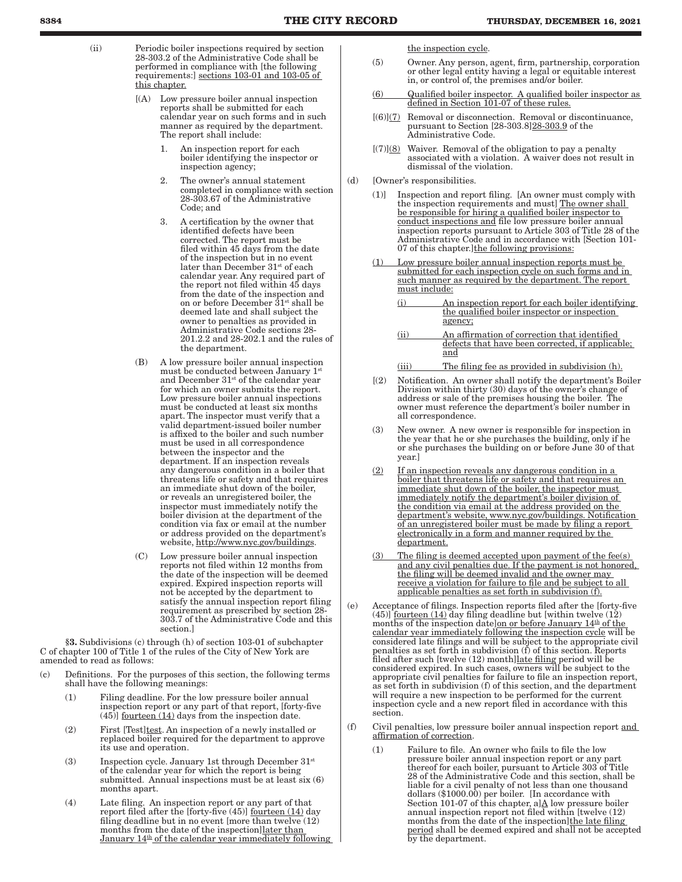- (ii) Periodic boiler inspections required by section 28-303.2 of the Administrative Code shall be performed in compliance with [the following requirements:] sections 103-01 and 103-05 of this chapter.
	- [(A) Low pressure boiler annual inspection reports shall be submitted for each calendar year on such forms and in such manner as required by the department. The report shall include:
		- 1. An inspection report for each boiler identifying the inspector or inspection agency;
		- 2. The owner's annual statement completed in compliance with section 28-303.67 of the Administrative Code; and
		- 3. A certification by the owner that identified defects have been corrected. The report must be filed within 45 days from the date of the inspection but in no event later than December 31<sup>st</sup> of each calendar year. Any required part of the report not filed within 45 days from the date of the inspection and on or before December 31st shall be deemed late and shall subject the owner to penalties as provided in Administrative Code sections 28- 201.2.2 and 28-202.1 and the rules of the department.
	- (B) A low pressure boiler annual inspection must be conducted between January 1<sup>st</sup> and December  $31<sup>st</sup>$  of the calendar year for which an owner submits the report. Low pressure boiler annual inspections must be conducted at least six months apart. The inspector must verify that a valid department-issued boiler number is affixed to the boiler and such number must be used in all correspondence between the inspector and the department. If an inspection reveals any dangerous condition in a boiler that threatens life or safety and that requires an immediate shut down of the boiler, or reveals an unregistered boiler, the inspector must immediately notify the boiler division at the department of the condition via fax or email at the number or address provided on the department's website, http://www.nyc.gov/buildings.
	- (C) Low pressure boiler annual inspection reports not filed within 12 months from the date of the inspection will be deemed expired. Expired inspection reports will not be accepted by the department to satisfy the annual inspection report filing requirement as prescribed by section 28- 303.7 of the Administrative Code and this section.]

§3. Subdivisions (c) through (h) of section 103-01 of subchapter C of chapter 100 of Title 1 of the rules of the City of New York are amended to read as follows:

- (c) Definitions. For the purposes of this section, the following terms shall have the following meanings:
	- (1) Filing deadline. For the low pressure boiler annual inspection report or any part of that report, [forty-five  $(45)$ ] <u>fourteen  $(14)$ </u> days from the inspection date.
	- (2) First [Test]test. An inspection of a newly installed or replaced boiler required for the department to approve its use and operation.
	- (3) Inspection cycle. January 1st through December  $31<sup>st</sup>$ of the calendar year for which the report is being submitted. Annual inspections must be at least six (6) months apart.
	- (4) Late filing. An inspection report or any part of that report filed after the [forty-five (45)] <u>fourteen (14)</u> day filing deadline but in no event [more than twelve (12) months from the date of the inspection]later than January 14<sup>th</sup> of the calendar year immediately following

the inspection cycle.

- (5) Owner. Any person, agent, firm, partnership, corporation or other legal entity having a legal or equitable interest in, or control of, the premises and/or boiler.
- (6) Qualified boiler inspector. A qualified boiler inspector as defined in Section 101-07 of these rules.
- [(6)](7) Removal or disconnection. Removal or discontinuance, pursuant to Section [28-303.8]28-303.9 of the Administrative Code.
- $[(7)]$ (8) Waiver. Removal of the obligation to pay a penalty associated with a violation. A waiver does not result in dismissal of the violation.
- (d) [Owner's responsibilities.
	- (1)] Inspection and report filing. [An owner must comply with the inspection requirements and must] The owner shall be responsible for hiring a qualified boiler inspector to conduct inspections and file low pressure boiler annual inspection reports pursuant to Article 303 of Title 28 of the Administrative Code and in accordance with [Section 101- 07 of this chapter.] the following provisions:
	- Low pressure boiler annual inspection reports must be submitted for each inspection cycle on such forms and in such manner as required by the department. The report must include:
		- (i) An inspection report for each boiler identifying the qualified boiler inspector or inspection agency;
		- (ii) An affirmation of correction that identified defects that have been corrected, if applicable; and
		- (iii) The filing fee as provided in subdivision (h).
	- [(2) Notification. An owner shall notify the department's Boiler Division within thirty (30) days of the owner's change of address or sale of the premises housing the boiler. The owner must reference the department's boiler number in all correspondence.
	- (3) New owner. A new owner is responsible for inspection in the year that he or she purchases the building, only if he or she purchases the building on or before June 30 of that year.]
	- (2) If an inspection reveals any dangerous condition in a boiler that threatens life or safety and that requires an immediate shut down of the boiler, the inspector must immediately notify the department's boiler division of the condition via email at the address provided on the department's website, www.nyc.gov/buildings. Notification of an unregistered boiler must be made by filing a report electronically in a form and manner required by the department.
	- (3) The filing is deemed accepted upon payment of the fee(s) and any civil penalties due. If the payment is not honored, the filing will be deemed invalid and the owner may receive a violation for failure to file and be subject to all applicable penalties as set forth in subdivision (f).
- (e) Acceptance of filings. Inspection reports filed after the [forty-five  $(45)$ ] <u>fourteen  $(14)$ </u> day filing deadline but [within twelve  $(12)$ ] months of the inspection date]on or before January 14<sup>th</sup> of the calendar year immediately following the inspection cycle will be considered late filings and will be subject to the appropriate civil penalties as set forth in subdivision (f) of this section. Reports filed after such [twelve (12) month]late filing period will be considered expired. In such cases, owners will be subject to the appropriate civil penalties for failure to file an inspection report, as set forth in subdivision (f) of this section, and the department will require a new inspection to be performed for the current inspection cycle and a new report filed in accordance with this section.
- (f) Civil penalties, low pressure boiler annual inspection report and affirmation of correction.
	- (1) Failure to file. An owner who fails to file the low pressure boiler annual inspection report or any part thereof for each boiler, pursuant to Article 303 of Title 28 of the Administrative Code and this section, shall be liable for a civil penalty of not less than one thousand dollars (\$1000.00) per boiler. [In accordance with Section 101-07 of this chapter, a] $\Delta$  low pressure boiler annual inspection report not filed within [twelve (12) months from the date of the inspection]the late filing period shall be deemed expired and shall not be accepted by the department.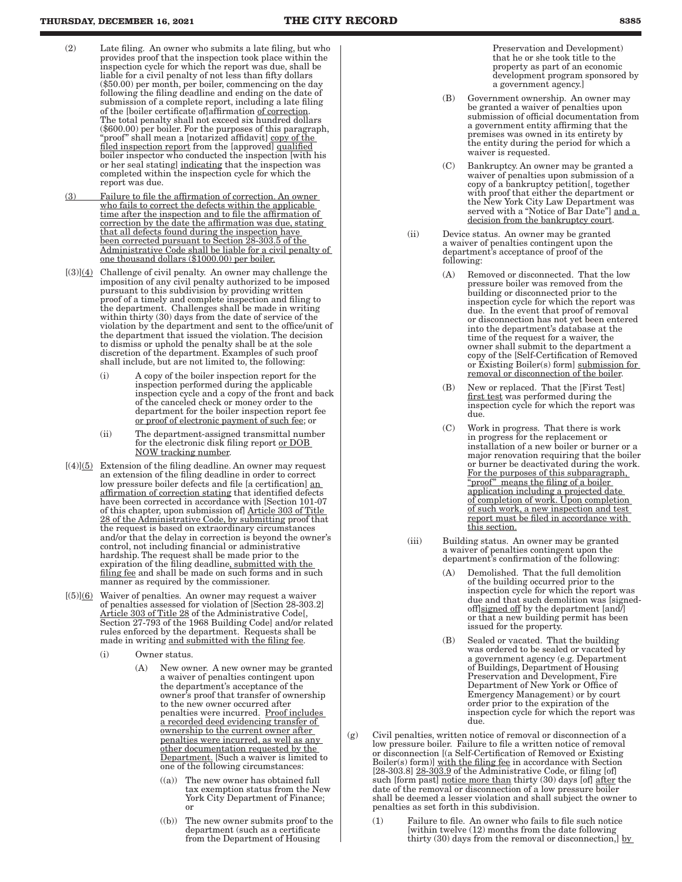- (2) Late filing. An owner who submits a late filing, but who provides proof that the inspection took place within the inspection cycle for which the report was due, shall be liable for a civil penalty of not less than fifty dollars (\$50.00) per month, per boiler, commencing on the day following the filing deadline and ending on the date of submission of a complete report, including a late filing of the [boiler certificate of]affirmation of correction. The total penalty shall not exceed six hundred dollars (\$600.00) per boiler. For the purposes of this paragraph, "proof" shall mean a [notarized affidavit] copy of the filed inspection report from the [approved] qualified boiler inspector who conducted the inspection [with his or her seal stating] indicating that the inspection was completed within the inspection cycle for which the report was due.
- (3) Failure to file the affirmation of correction. An owner who fails to correct the defects within the applicable time after the inspection and to file the affirmation of correction by the date the affirmation was due, stating that all defects found during the inspection have been corrected pursuant to Section 28-303.5 of the Administrative Code shall be liable for a civil penalty of one thousand dollars (\$1000.00) per boiler.
- $[(3)]$ (4) Challenge of civil penalty. An owner may challenge the imposition of any civil penalty authorized to be imposed pursuant to this subdivision by providing written proof of a timely and complete inspection and filing to the department. Challenges shall be made in writing within thirty (30) days from the date of service of the violation by the department and sent to the office/unit of the department that issued the violation. The decision to dismiss or uphold the penalty shall be at the sole discretion of the department. Examples of such proof shall include, but are not limited to, the following:
	- (i) A copy of the boiler inspection report for the inspection performed during the applicable inspection cycle and a copy of the front and back of the canceled check or money order to the department for the boiler inspection report fee or proof of electronic payment of such fee; or
	- (ii) The department-assigned transmittal number for the electronic disk filing report or DOB NOW tracking number.
- $[(4)]$  Extension of the filing deadline. An owner may request an extension of the filing deadline in order to correct low pressure boiler defects and file [a certification] an affirmation of correction stating that identified defects have been corrected in accordance with [Section 101-07 of this chapter, upon submission of] Article 303 of Title 28 of the Administrative Code, by submitting proof that the request is based on extraordinary circumstances and/or that the delay in correction is beyond the owner's control, not including financial or administrative hardship. The request shall be made prior to the expiration of the filing deadline, submitted with the filing fee and shall be made on such forms and in such manner as required by the commissioner.
- $[(5)]$ (6) Waiver of penalties. An owner may request a waiver of penalties assessed for violation of [Section 28-303.2] Article 303 of Title 28 of the Administrative Code[, Section 27-793 of the 1968 Building Code] and/or related rules enforced by the department. Requests shall be made in writing and submitted with the filing fee.
	- (i) Owner status.
		- (A) New owner. A new owner may be granted a waiver of penalties contingent upon the department's acceptance of the owner's proof that transfer of ownership to the new owner occurred after penalties were incurred. Proof includes a recorded deed evidencing transfer of ownership to the current owner after penalties were incurred, as well as any other documentation requested by the Department. [Such a waiver is limited to one of the following circumstances:
			- The new owner has obtained full tax exemption status from the New York City Department of Finance; or
			- ((b)) The new owner submits proof to the department (such as a certificate from the Department of Housing

Preservation and Development) that he or she took title to the property as part of an economic development program sponsored by a government agency.]

- (B) Government ownership. An owner may be granted a waiver of penalties upon submission of official documentation from a government entity affirming that the premises was owned in its entirety by the entity during the period for which a waiver is requested.
- (C) Bankruptcy. An owner may be granted a waiver of penalties upon submission of a copy of a bankruptcy petition[, together with proof that either the department or the New York City Law Department was served with a "Notice of Bar Date"] and a decision from the bankruptcy court.
- (ii) Device status. An owner may be granted a waiver of penalties contingent upon the department's acceptance of proof of the following:
	- (A) Removed or disconnected. That the low pressure boiler was removed from the building or disconnected prior to the inspection cycle for which the report was due. In the event that proof of removal or disconnection has not yet been entered into the department's database at the time of the request for a waiver, the owner shall submit to the department a copy of the [Self-Certification of Removed or Existing Boiler(s) form] submission for removal or disconnection of the boiler.
	- (B) New or replaced. That the [First Test] first test was performed during the inspection cycle for which the report was due.
	- (C) Work in progress. That there is work in progress for the replacement or installation of a new boiler or burner or a major renovation requiring that the boiler or burner be deactivated during the work. For the purposes of this subparagraph, "proof" means the filing of a boiler application including a projected date of completion of work. Upon completion of such work, a new inspection and test report must be filed in accordance with this section.
- (iii) Building status. An owner may be granted a waiver of penalties contingent upon the department's confirmation of the following:
	- (A) Demolished. That the full demolition of the building occurred prior to the inspection cycle for which the report was due and that such demolition was [signedoff $|$ signed off by the department  $|$ and $|$ or that a new building permit has been issued for the property.
	- (B) Sealed or vacated. That the building was ordered to be sealed or vacated by a government agency (e.g. Department of Buildings, Department of Housing Preservation and Development, Fire Department of New York or Office of Emergency Management) or by court order prior to the expiration of the inspection cycle for which the report was due.
- (g) Civil penalties, written notice of removal or disconnection of a low pressure boiler. Failure to file a written notice of removal or disconnection [(a Self-Certification of Removed or Existing Boiler(s) form)] with the filing fee in accordance with Section [28-303.8] 28-303.9 of the Administrative Code, or filing [of] such [form past] notice more than thirty (30) days [of] after the date of the removal or disconnection of a low pressure boiler shall be deemed a lesser violation and shall subject the owner to penalties as set forth in this subdivision.
	- (1) Failure to file. An owner who fails to file such notice [within twelve (12) months from the date following thirty  $(30)$  days from the removal or disconnection,] by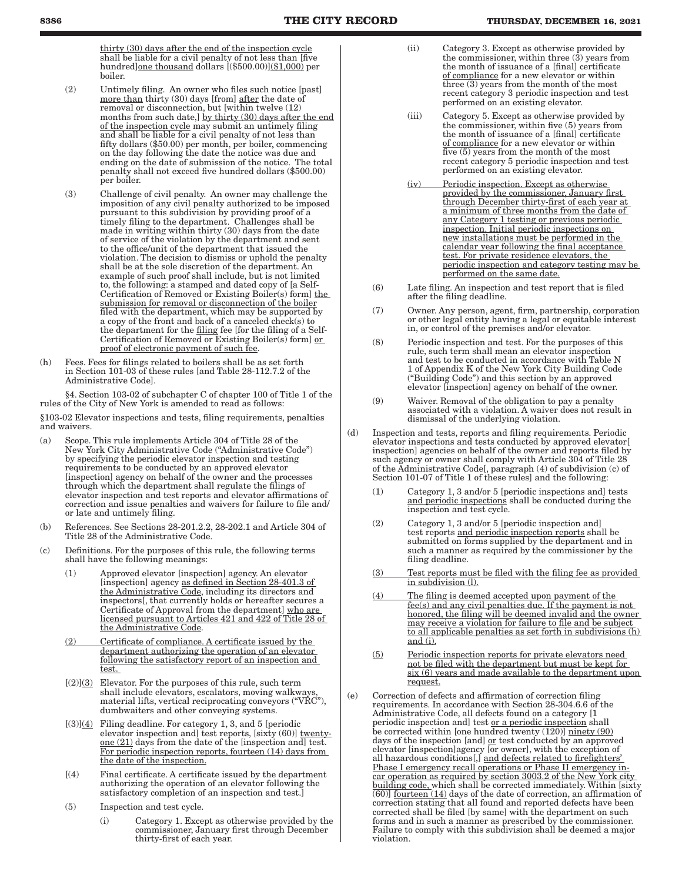thirty (30) days after the end of the inspection cycle shall be liable for a civil penalty of not less than [five hundred]one thousand dollars [(\$500.00)](\$1,000) per boiler.

- (2) Untimely filing. An owner who files such notice [past] more than thirty (30) days [from] after the date of removal or disconnection, but [within twelve (12) months from such date,] by thirty (30) days after the end of the inspection cycle may submit an untimely filing and shall be liable for a civil penalty of not less than fifty dollars (\$50.00) per month, per boiler, commencing on the day following the date the notice was due and ending on the date of submission of the notice. The total penalty shall not exceed five hundred dollars (\$500.00) per boiler.
- (3) Challenge of civil penalty. An owner may challenge the imposition of any civil penalty authorized to be imposed pursuant to this subdivision by providing proof of a timely filing to the department. Challenges shall be made in writing within thirty (30) days from the date of service of the violation by the department and sent to the office/unit of the department that issued the violation. The decision to dismiss or uphold the penalty shall be at the sole discretion of the department. An example of such proof shall include, but is not limited to, the following: a stamped and dated copy of [a Self-Certification of Removed or Existing Boiler(s) form] the submission for removal or disconnection of the boiler filed with the department, which may be supported by a copy of the front and back of a canceled check(s) to the department for the filing fee [for the filing of a Self-Certification of Removed or Existing Boiler(s) form] or proof of electronic payment of such fee.
- (h) Fees. Fees for filings related to boilers shall be as set forth in Section 101-03 of these rules [and Table 28-112.7.2 of the Administrative Code].

§4. Section 103-02 of subchapter C of chapter 100 of Title 1 of the rules of the City of New York is amended to read as follows:

§103-02 Elevator inspections and tests, filing requirements, penalties and waivers.

- (a) Scope. This rule implements Article 304 of Title 28 of the New York City Administrative Code ("Administrative Code") by specifying the periodic elevator inspection and testing requirements to be conducted by an approved elevator [inspection] agency on behalf of the owner and the processes through which the department shall regulate the filings of elevator inspection and test reports and elevator affirmations of correction and issue penalties and waivers for failure to file and/ or late and untimely filing.
- (b) References. See Sections 28-201.2.2, 28-202.1 and Article 304 of Title 28 of the Administrative Code.
- (c) Definitions. For the purposes of this rule, the following terms shall have the following meanings:
	- (1) Approved elevator [inspection] agency. An elevator [inspection] agency as defined in Section 28-401.3 of the Administrative Code, including its directors and inspectors[, that currently holds or hereafter secures a Certificate of Approval from the department] who are licensed pursuant to Articles 421 and 422 of Title 28 of the Administrative Code.
	- (2) Certificate of compliance. A certificate issued by the department authorizing the operation of an elevator following the satisfactory report of an inspection and test.
	- $[(2)](3)$  Elevator. For the purposes of this rule, such term shall include elevators, escalators, moving walkways, material lifts, vertical reciprocating conveyors ("VRC"), dumbwaiters and other conveying systems.
	- $[(3)]$ (4) Filing deadline. For category 1, 3, and 5 [periodic elevator inspection and] test reports, [sixty (60)] twentyone (21) days from the date of the [inspection and] test. For periodic inspection reports, fourteen (14) days from the date of the inspection.
	- [(4) Final certificate. A certificate issued by the department authorizing the operation of an elevator following the satisfactory completion of an inspection and test.]
	- (5) Inspection and test cycle.
		- (i) Category 1. Except as otherwise provided by the commissioner, January first through December thirty-first of each year.
- (ii) Category 3. Except as otherwise provided by the commissioner, within three (3) years from the month of issuance of a [final] certificate of compliance for a new elevator or within three (3) years from the month of the most recent category 3 periodic inspection and test performed on an existing elevator.
- (iii) Category 5. Except as otherwise provided by the commissioner, within five (5) years from the month of issuance of a [final] certificate of compliance for a new elevator or within five  $(5)$  years from the month of the most recent category 5 periodic inspection and test performed on an existing elevator.
- (iv) Periodic inspection. Except as otherwise provided by the commissioner, January first through December thirty-first of each year at a minimum of three months from the date of any Category 1 testing or previous periodic inspection. Initial periodic inspections on new installations must be performed in the calendar year following the final acceptance test. For private residence elevators, the periodic inspection and category testing may be performed on the same date.
- (6) Late filing. An inspection and test report that is filed after the filing deadline.
- (7) Owner. Any person, agent, firm, partnership, corporation or other legal entity having a legal or equitable interest in, or control of the premises and/or elevator.
- (8) Periodic inspection and test. For the purposes of this rule, such term shall mean an elevator inspection and test to be conducted in accordance with Table N 1 of Appendix K of the New York City Building Code ("Building Code") and this section by an approved elevator [inspection] agency on behalf of the owner.
- (9) Waiver. Removal of the obligation to pay a penalty associated with a violation. A waiver does not result in dismissal of the underlying violation.
- (d) Inspection and tests, reports and filing requirements. Periodic elevator inspections and tests conducted by approved elevator[ inspection] agencies on behalf of the owner and reports filed by such agency or owner shall comply with Article 304 of Title 28 of the Administrative Code[, paragraph (4) of subdivision (c) of Section 101-07 of Title 1 of these rules] and the following:
	- (1) Category 1, 3 and/or 5 [periodic inspections and] tests and periodic inspections shall be conducted during the inspection and test cycle.
	- (2) Category 1, 3 and/or 5 [periodic inspection and] test reports and periodic inspection reports shall be submitted on forms supplied by the department and in such a manner as required by the commissioner by the filing deadline.
	- (3) Test reports must be filed with the filing fee as provided in subdivision (l).
	- (4) The filing is deemed accepted upon payment of the fee(s) and any civil penalties due. If the payment is not honored, the filing will be deemed invalid and the owner may receive a violation for failure to file and be subject to all applicable penalties as set forth in subdivisions  $(h)$ and (i).
	- (5) Periodic inspection reports for private elevators need not be filed with the department but must be kept for six (6) years and made available to the department upon request.
- (e) Correction of defects and affirmation of correction filing requirements. In accordance with Section 28-304.6.6 of the Administrative Code, all defects found on a category [1 periodic inspection and] test or a periodic inspection shall be corrected within [one hundred twenty (120)] <u>ninety (90)</u> days of the inspection [and] <u>or</u> test conducted by an approved elevator [inspection]agency [or owner], with the exception of all hazardous conditions[,] and defects related to firefighters' Phase I emergency recall operations or Phase II emergency incar operation as required by section 3003.2 of the New York city building code, which shall be corrected immediately. Within [sixty (60)] fourteen (14) days of the date of correction, an affirmation of correction stating that all found and reported defects have been corrected shall be filed [by same] with the department on such forms and in such a manner as prescribed by the commissioner. Failure to comply with this subdivision shall be deemed a major violation.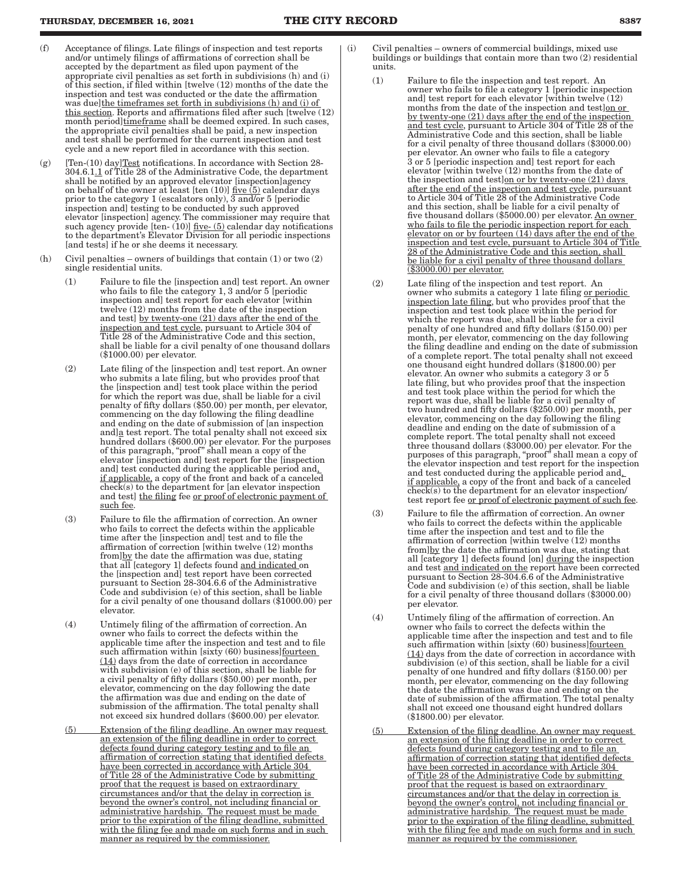### **THURSDAY, DECEMBER 16, 2021 THE CITY RECORD 8387**

- (f) Acceptance of filings. Late filings of inspection and test reports and/or untimely filings of affirmations of correction shall be accepted by the department as filed upon payment of the appropriate civil penalties as set forth in subdivisions (h) and (i) of this section, if filed within [twelve (12) months of the date the inspection and test was conducted or the date the affirmation was due]the timeframes set forth in subdivisions (h) and (i) of this section. Reports and affirmations filed after such [twelve (12) month period]timeframe shall be deemed expired. In such cases, the appropriate civil penalties shall be paid, a new inspection and test shall be performed for the current inspection and test cycle and a new report filed in accordance with this section.
- (g) [Ten-(10) day] $Test notifications. In accordance with Section 28-$ </u> 304.6.1.1 of Title 28 of the Administrative Code, the department shall be notified by an approved elevator [inspection]agency on behalf of the owner at least [ten  $(10)$ ] five  $(5)$  calendar days prior to the category 1 (escalators only), 3 and/or 5 [periodic inspection and] testing to be conducted by such approved elevator [inspection] agency. The commissioner may require that such agency provide  $[ten-(10)]$  five- $(5)$  calendar day notifications to the department's Elevator Division for all periodic inspections [and tests] if he or she deems it necessary.
- (h) Civil penalties owners of buildings that contain  $(1)$  or two  $(2)$ single residential units.
	- (1) Failure to file the [inspection and] test report. An owner who fails to file the category 1, 3 and/or 5 [periodic inspection and] test report for each elevator [within twelve (12) months from the date of the inspection and test] by twenty-one (21) days after the end of the inspection and test cycle, pursuant to Article 304 of Title 28 of the Administrative Code and this section, shall be liable for a civil penalty of one thousand dollars (\$1000.00) per elevator.
	- (2) Late filing of the [inspection and] test report. An owner who submits a late filing, but who provides proof that the [inspection and] test took place within the period for which the report was due, shall be liable for a civil penalty of fifty dollars (\$50.00) per month, per elevator, commencing on the day following the filing deadline and ending on the date of submission of [an inspection and]<sup>a</sup> test report. The total penalty shall not exceed six hundred dollars (\$600.00) per elevator. For the purposes of this paragraph, "proof" shall mean a copy of the elevator [inspection and] test report for the [inspection and] test conducted during the applicable period and, if applicable, a copy of the front and back of a canceled check(s) to the department for [an elevator inspection and test] the filing fee or proof of electronic payment of such fee.
	- (3) Failure to file the affirmation of correction. An owner who fails to correct the defects within the applicable time after the [inspection and] test and to file the affirmation of correction [within twelve (12) months from]by the date the affirmation was due, stating that all [category 1] defects found and indicated on the [inspection and] test report have been corrected pursuant to Section 28-304.6.6 of the Administrative Code and subdivision (e) of this section, shall be liable for a civil penalty of one thousand dollars (\$1000.00) per elevator.
	- (4) Untimely filing of the affirmation of correction. An owner who fails to correct the defects within the applicable time after the inspection and test and to file such affirmation within [sixty (60) business] fourteen (14) days from the date of correction in accordance with subdivision (e) of this section, shall be liable for a civil penalty of fifty dollars (\$50.00) per month, per elevator, commencing on the day following the date the affirmation was due and ending on the date of submission of the affirmation. The total penalty shall not exceed six hundred dollars (\$600.00) per elevator.
	- (5) Extension of the filing deadline. An owner may request an extension of the filing deadline in order to correct defects found during category testing and to file an affirmation of correction stating that identified defects have been corrected in accordance with Article 304 of Title 28 of the Administrative Code by submitting proof that the request is based on extraordinary circumstances and/or that the delay in correction is beyond the owner's control, not including financial or administrative hardship. The request must be made prior to the expiration of the filing deadline, submitted with the filing fee and made on such forms and in such manner as required by the commissioner.
- (i) Civil penalties owners of commercial buildings, mixed use buildings or buildings that contain more than two (2) residential units.
	- (1) Failure to file the inspection and test report. An owner who fails to file a category 1 [periodic inspection and] test report for each elevator [within twelve (12) months from the date of the inspection and test]on or by twenty-one (21) days after the end of the inspection and test cycle, pursuant to Article 304 of Title 28 of the Administrative Code and this section, shall be liable for a civil penalty of three thousand dollars (\$3000.00) per elevator. An owner who fails to file a category 3 or 5 [periodic inspection and] test report for each elevator [within twelve (12) months from the date of the inspection and test]on or by twenty-one  $(21)$  days after the end of the inspection and test cycle, pursuant to Article 304 of Title 28 of the Administrative Code and this section, shall be liable for a civil penalty of five thousand dollars (\$5000.00) per elevator. An owner who fails to file the periodic inspection report for each elevator on or by fourteen (14) days after the end of the inspection and test cycle, pursuant to Article 304 of Title 28 of the Administrative Code and this section, shall be liable for a civil penalty of three thousand dollars (\$3000.00) per elevator.
	- (2) Late filing of the inspection and test report. An owner who submits a category 1 late filing or periodic inspection late filing, but who provides proof that the inspection and test took place within the period for which the report was due, shall be liable for a civil penalty of one hundred and fifty dollars (\$150.00) per month, per elevator, commencing on the day following the filing deadline and ending on the date of submission of a complete report. The total penalty shall not exceed one thousand eight hundred dollars (\$1800.00) per elevator. An owner who submits a category 3 or 5 late filing, but who provides proof that the inspection and test took place within the period for which the report was due, shall be liable for a civil penalty of two hundred and fifty dollars (\$250.00) per month, per elevator, commencing on the day following the filing deadline and ending on the date of submission of a complete report. The total penalty shall not exceed three thousand dollars (\$3000.00) per elevator. For the purposes of this paragraph, "proof" shall mean a copy of the elevator inspection and test report for the inspection and test conducted during the applicable period and, if applicable, a copy of the front and back of a canceled check(s) to the department for an elevator inspection/ test report fee or proof of electronic payment of such fee.
	- (3) Failure to file the affirmation of correction. An owner who fails to correct the defects within the applicable time after the inspection and test and to file the affirmation of correction [within twelve (12) months from]by the date the affirmation was due, stating that all [category 1] defects found [on] during the inspection and test and indicated on the report have been corrected pursuant to Section 28-304.6.6 of the Administrative Code and subdivision (e) of this section, shall be liable for a civil penalty of three thousand dollars (\$3000.00) per elevator.
	- (4) Untimely filing of the affirmation of correction. An owner who fails to correct the defects within the applicable time after the inspection and test and to file such affirmation within [sixty (60) business] fourteen (14) days from the date of correction in accordance with subdivision (e) of this section, shall be liable for a civil penalty of one hundred and fifty dollars (\$150.00) per month, per elevator, commencing on the day following the date the affirmation was due and ending on the date of submission of the affirmation. The total penalty shall not exceed one thousand eight hundred dollars (\$1800.00) per elevator.
	- (5) Extension of the filing deadline. An owner may request an extension of the filing deadline in order to correct defects found during category testing and to file an affirmation of correction stating that identified defects have been corrected in accordance with Article 304 of Title 28 of the Administrative Code by submitting proof that the request is based on extraordinary circumstances and/or that the delay in correction is beyond the owner's control, not including financial or administrative hardship. The request must be made prior to the expiration of the filing deadline, submitted with the filing fee and made on such forms and in such manner as required by the commissioner.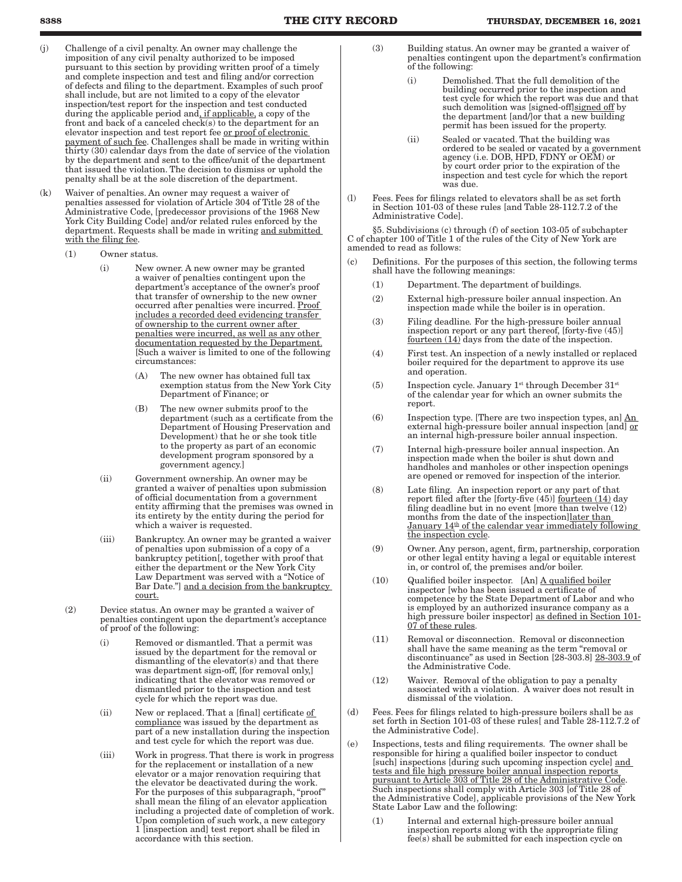- (j) Challenge of a civil penalty. An owner may challenge the imposition of any civil penalty authorized to be imposed pursuant to this section by providing written proof of a timely and complete inspection and test and filing and/or correction of defects and filing to the department. Examples of such proof shall include, but are not limited to a copy of the elevator inspection/test report for the inspection and test conducted during the applicable period and, if applicable, a copy of the front and back of a canceled check(s) to the department for an elevator inspection and test report fee or proof of electronic payment of such fee. Challenges shall be made in writing within thirty (30) calendar days from the date of service of the violation by the department and sent to the office/unit of the department that issued the violation. The decision to dismiss or uphold the penalty shall be at the sole discretion of the department.
- (k) Waiver of penalties. An owner may request a waiver of penalties assessed for violation of Article 304 of Title 28 of the Administrative Code, [predecessor provisions of the 1968 New York City Building Code] and/or related rules enforced by the department. Requests shall be made in writing and submitted with the filing fee.
	- (1) Owner status.
		- (i) New owner. A new owner may be granted a waiver of penalties contingent upon the department's acceptance of the owner's proof that transfer of ownership to the new owner occurred after penalties were incurred. Proof includes a recorded deed evidencing transfer of ownership to the current owner after penalties were incurred, as well as any other documentation requested by the Department. [Such a waiver is limited to one of the following circumstances:
			- (A) The new owner has obtained full tax exemption status from the New York City Department of Finance; or
			- (B) The new owner submits proof to the department (such as a certificate from the Department of Housing Preservation and Development) that he or she took title to the property as part of an economic development program sponsored by a government agency.]
		- (ii) Government ownership. An owner may be granted a waiver of penalties upon submission of official documentation from a government entity affirming that the premises was owned in its entirety by the entity during the period for which a waiver is requested.
		- (iii) Bankruptcy. An owner may be granted a waiver of penalties upon submission of a copy of a bankruptcy petition[, together with proof that either the department or the New York City Law Department was served with a "Notice of Bar Date."] and a decision from the bankruptcy court.
	- (2) Device status. An owner may be granted a waiver of penalties contingent upon the department's acceptance of proof of the following:
		- (i) Removed or dismantled. That a permit was issued by the department for the removal or dismantling of the elevator(s) and that there was department sign-off, [for removal only,] indicating that the elevator was removed or dismantled prior to the inspection and test cycle for which the report was due.
		- (ii) New or replaced. That a [final] certificate of compliance was issued by the department as part of a new installation during the inspection and test cycle for which the report was due.
		- (iii) Work in progress. That there is work in progress for the replacement or installation of a new elevator or a major renovation requiring that the elevator be deactivated during the work. For the purposes of this subparagraph, "proof" shall mean the filing of an elevator application including a projected date of completion of work. Upon completion of such work, a new category 1 [inspection and] test report shall be filed in accordance with this section.
- (3) Building status. An owner may be granted a waiver of penalties contingent upon the department's confirmation of the following:
	- (i) Demolished. That the full demolition of the building occurred prior to the inspection and test cycle for which the report was due and that such demolition was [signed-off]signed off by the department [and/]or that a new building permit has been issued for the property.
	- (ii) Sealed or vacated. That the building was ordered to be sealed or vacated by a government agency (i.e. DOB, HPD, FDNY or OEM) or by court order prior to the expiration of the inspection and test cycle for which the report was due.
- (l) Fees. Fees for filings related to elevators shall be as set forth in Section 101-03 of these rules [and Table 28-112.7.2 of the Administrative Code].

§5. Subdivisions (c) through (f) of section 103-05 of subchapter C of chapter 100 of Title 1 of the rules of the City of New York are amended to read as follows:

- (c) Definitions. For the purposes of this section, the following terms shall have the following meanings:
	- (1) Department. The department of buildings.
	- (2) External high-pressure boiler annual inspection. An inspection made while the boiler is in operation.
	- (3) Filing deadline*.* For the high-pressure boiler annual inspection report or any part thereof, [forty-five (45)] fourteen (14) days from the date of the inspection.
	- (4) First test. An inspection of a newly installed or replaced boiler required for the department to approve its use and operation.
	- (5) Inspection cycle. January  $1^{st}$  through December  $31^{st}$ of the calendar year for which an owner submits the report.
	- $(6)$  Inspection type. [There are two inspection types, an]  $\underline{An}$ external high-pressure boiler annual inspection [and] or an internal high-pressure boiler annual inspection.
	- (7) Internal high-pressure boiler annual inspection. An inspection made when the boiler is shut down and handholes and manholes or other inspection openings are opened or removed for inspection of the interior.
	- (8) Late filing*.* An inspection report or any part of that report filed after the [forty-five  $(45)$ ] fourteen  $(14)$  day filing deadline but in no event [more than twelve  $(12)$ months from the date of the inspection]later than January 14<sup>th</sup> of the calendar year immediately following the inspection cycle.
	- (9) Owner. Any person, agent, firm, partnership, corporation or other legal entity having a legal or equitable interest in, or control of, the premises and/or boiler.
	- (10) Qualified boiler inspector. [An]  $\underline{A}$  qualified boiler inspector [who has been issued a certificate of competence by the State Department of Labor and who is employed by an authorized insurance company as a high pressure boiler inspector] as defined in Section 101-07 of these rules.
	- (11) Removal or disconnection. Removal or disconnection shall have the same meaning as the term "removal or discontinuance" as used in Section [28-303.8] 28-303.9 of the Administrative Code.
	- (12) Waiver*.* Removal of the obligation to pay a penalty associated with a violation. A waiver does not result in dismissal of the violation.
- (d) Fees. Fees for filings related to high-pressure boilers shall be as set forth in Section 101-03 of these rules[ and Table 28-112.7.2 of the Administrative Code].
- (e) Inspections, tests and filing requirements. The owner shall be responsible for hiring a qualified boiler inspector to conduct [such] inspections [during such upcoming inspection cycle] and tests and file high pressure boiler annual inspection reports pursuant to Article 303 of Title 28 of the Administrative Code. Such inspections shall comply with Article 303 [of Title 28 of the Administrative Code], applicable provisions of the New York State Labor Law and the following:
	- (1) Internal and external high-pressure boiler annual inspection reports along with the appropriate filing fee(s) shall be submitted for each inspection cycle on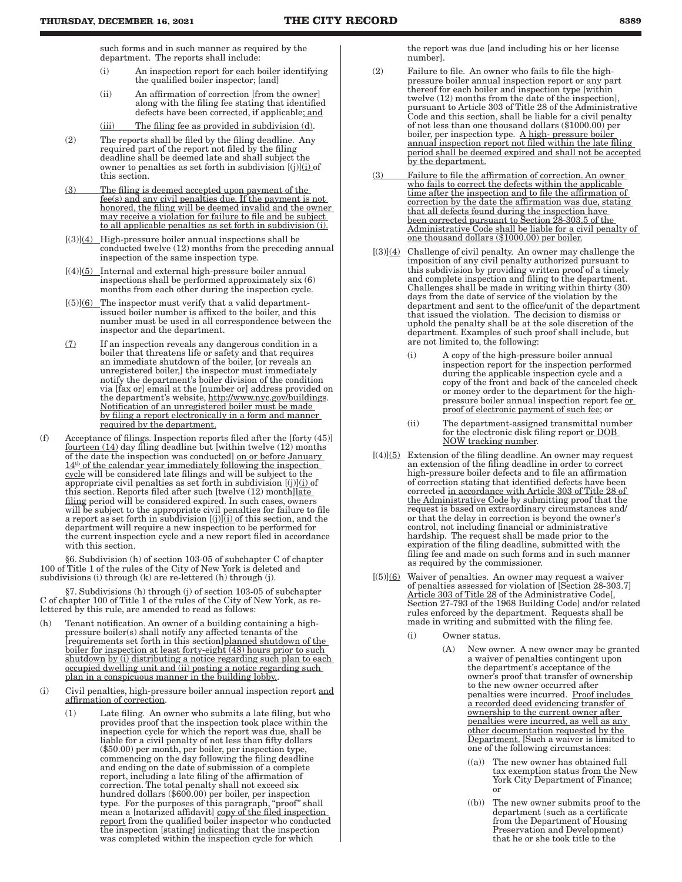such forms and in such manner as required by the department. The reports shall include:

- (i) An inspection report for each boiler identifying the qualified boiler inspector; [and]
- (ii) An affirmation of correction [from the owner] along with the filing fee stating that identified defects have been corrected, if applicable; and
- (iii) The filing fee as provided in subdivision (d).
- (2) The reports shall be filed by the filing deadline. Any required part of the report not filed by the filing deadline shall be deemed late and shall subject the owner to penalties as set forth in subdivision  $[(j)](i)$  of this section.
- (3) The filing is deemed accepted upon payment of the fee(s) and any civil penalties due. If the payment is not honored, the filing will be deemed invalid and the owner may receive a violation for failure to file and be subject to all applicable penalties as set forth in subdivision (i).
- $[(3)]$ (4) High-pressure boiler annual inspections shall be conducted twelve (12) months from the preceding annual inspection of the same inspection type.
- $[(4)](5)$  Internal and external high-pressure boiler annual inspections shall be performed approximately six (6) months from each other during the inspection cycle.
- $[(5)]$ (6) The inspector must verify that a valid departmentissued boiler number is affixed to the boiler, and this number must be used in all correspondence between the inspector and the department.
- (7) If an inspection reveals any dangerous condition in a boiler that threatens life or safety and that requires an immediate shutdown of the boiler, [or reveals an unregistered boiler,] the inspector must immediately notify the department's boiler division of the condition via [fax or] email at the [number or] address provided on the department's website, http://www.nyc.gov/buildings. Notification of an unregistered boiler must be made by filing a report electronically in a form and manner required by the department.
- (f) Acceptance of filings. Inspection reports filed after the [forty (45)] fourteen (14) day filing deadline but [within twelve (12) months of the date the inspection was conducted] on or before January  $14<sup>th</sup>$  of the calendar year immediately following the inspection cycle will be considered late filings and will be subject to the appropriate civil penalties as set forth in subdivision  $[(j)](i)$  of this section. Reports filed after such [twelve  $(12)$  month]late filing period will be considered expired. In such cases, owners will be subject to the appropriate civil penalties for failure to file a report as set forth in subdivision  $[(j)]$  $(i)$  of this section, and the department will require a new inspection to be performed for the current inspection cycle and a new report filed in accordance with this section.

§6. Subdivision (h) of section 103-05 of subchapter C of chapter 100 of Title 1 of the rules of the City of New York is deleted and subdivisions (i) through (k) are re-lettered (h) through (j).

§7. Subdivisions (h) through (j) of section 103-05 of subchapter C of chapter 100 of Title 1 of the rules of the City of New York, as relettered by this rule, are amended to read as follows:

- (h) Tenant notification. An owner of a building containing a highpressure boiler(s) shall notify any affected tenants of the [requirements set forth in this section]planned shutdown of the boiler for inspection at least forty-eight (48) hours prior to such shutdown by (i) distributing a notice regarding such plan to each occupied dwelling unit and (ii) posting a notice regarding such plan in a conspicuous manner in the building lobby..
- (i) Civil penalties, high-pressure boiler annual inspection report and affirmation of correction.
	- (1) Late filing. An owner who submits a late filing, but who provides proof that the inspection took place within the inspection cycle for which the report was due, shall be liable for a civil penalty of not less than fifty dollars (\$50.00) per month, per boiler, per inspection type, commencing on the day following the filing deadline and ending on the date of submission of a complete report, including a late filing of the affirmation of correction. The total penalty shall not exceed six hundred dollars (\$600.00) per boiler, per inspection type. For the purposes of this paragraph, "proof" shall mean a [notarized affidavit] copy of the filed inspection report from the qualified boiler inspector who conducted the inspection [stating] indicating that the inspection was completed within the inspection cycle for which

the report was due [and including his or her license number].

- (2) Failure to file. An owner who fails to file the highpressure boiler annual inspection report or any part thereof for each boiler and inspection type [within twelve (12) months from the date of the inspection], pursuant to Article 303 of Title 28 of the Administrative Code and this section, shall be liable for a civil penalty of not less than one thousand dollars (\$1000.00) per boiler, per inspection type. A high- pressure boiler annual inspection report not filed within the late filing period shall be deemed expired and shall not be accepted by the department.
- (3) Failure to file the affirmation of correction. An owner who fails to correct the defects within the applicable time after the inspection and to file the affirmation of correction by the date the affirmation was due, stating that all defects found during the inspection have been corrected pursuant to Section 28-303.5 of the Administrative Code shall be liable for a civil penalty of one thousand dollars (\$1000.00) per boiler.
- $[(3)](4)$  Challenge of civil penalty. An owner may challenge the imposition of any civil penalty authorized pursuant to this subdivision by providing written proof of a timely and complete inspection and filing to the department. Challenges shall be made in writing within thirty (30) days from the date of service of the violation by the department and sent to the office/unit of the department that issued the violation. The decision to dismiss or uphold the penalty shall be at the sole discretion of the department. Examples of such proof shall include, but are not limited to, the following:
	- (i) A copy of the high-pressure boiler annual inspection report for the inspection performed during the applicable inspection cycle and a copy of the front and back of the canceled check or money order to the department for the highpressure boiler annual inspection report fee or proof of electronic payment of such fee; or
	- (ii) The department-assigned transmittal number for the electronic disk filing report or DOB NOW tracking number.
- $[(4)](5)$  Extension of the filing deadline. An owner may request an extension of the filing deadline in order to correct high-pressure boiler defects and to file an affirmation of correction stating that identified defects have been corrected in accordance with Article 303 of Title 28 of the Administrative Code by submitting proof that the request is based on extraordinary circumstances and/ or that the delay in correction is beyond the owner's control, not including financial or administrative hardship. The request shall be made prior to the expiration of the filing deadline, submitted with the filing fee and made on such forms and in such manner as required by the commissioner.
- $[(5)]$ (6) Waiver of penalties. An owner may request a waiver of penalties assessed for violation of [Section 28-303.7] Article 303 of Title 28 of the Administrative Code[, Section 27-793 of the 1968 Building Code] and/or related rules enforced by the department. Requests shall be made in writing and submitted with the filing fee.
	- (i) Owner status.
		- (A) New owner. A new owner may be granted a waiver of penalties contingent upon the department's acceptance of the owner's proof that transfer of ownership to the new owner occurred after penalties were incurred. Proof includes a recorded deed evidencing transfer of ownership to the current owner after penalties were incurred, as well as any other documentation requested by the Department. [Such a waiver is limited to one of the following circumstances:
			- $((a))$  The new owner has obtained full tax exemption status from the New York City Department of Finance; or
			- ((b)) The new owner submits proof to the department (such as a certificate from the Department of Housing Preservation and Development) that he or she took title to the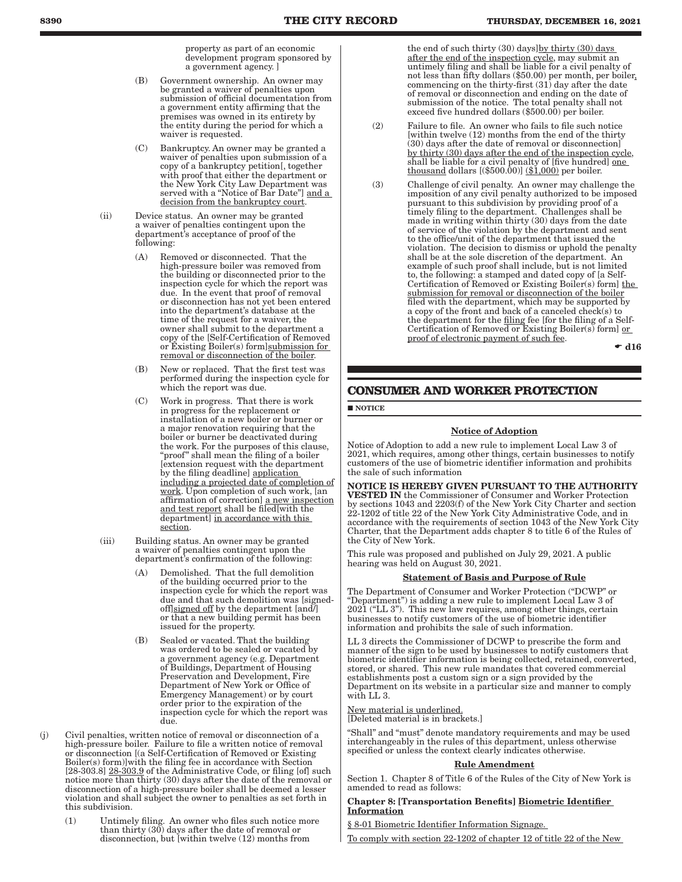property as part of an economic development program sponsored by a government agency. ]

- (B) Government ownership. An owner may be granted a waiver of penalties upon submission of official documentation from a government entity affirming that the premises was owned in its entirety by the entity during the period for which a waiver is requested.
- (C) Bankruptcy. An owner may be granted a waiver of penalties upon submission of a copy of a bankruptcy petition[, together with proof that either the department or the New York City Law Department was served with a "Notice of Bar Date"] and a decision from the bankruptcy court.
- (ii) Device status. An owner may be granted a waiver of penalties contingent upon the department's acceptance of proof of the following:
	- (A) Removed or disconnected. That the high-pressure boiler was removed from the building or disconnected prior to the inspection cycle for which the report was due. In the event that proof of removal or disconnection has not yet been entered into the department's database at the time of the request for a waiver, the owner shall submit to the department a copy of the [Self-Certification of Removed or Existing Boiler(s) form]submission for removal or disconnection of the boiler.
	- (B) New or replaced. That the first test was performed during the inspection cycle for which the report was due.
	- (C) Work in progress. That there is work in progress for the replacement or installation of a new boiler or burner or a major renovation requiring that the boiler or burner be deactivated during the work. For the purposes of this clause, "proof" shall mean the filing of a boiler [extension request with the department by the filing deadline] application including a projected date of completion of work. Upon completion of such work, [an affirmation of correction] a new inspection and test report shall be filed[with the department] in accordance with this section.
- (iii) Building status. An owner may be granted a waiver of penalties contingent upon the department's confirmation of the following:
	- (A) Demolished. That the full demolition of the building occurred prior to the inspection cycle for which the report was due and that such demolition was [signedoff $|$ signed off by the department  $|$ and $|$ or that a new building permit has been issued for the property.
	- (B) Sealed or vacated. That the building was ordered to be sealed or vacated by a government agency (e.g. Department of Buildings, Department of Housing Preservation and Development, Fire Department of New York or Office of Emergency Management) or by court order prior to the expiration of the inspection cycle for which the report was due.
- (j) Civil penalties, written notice of removal or disconnection of a high-pressure boiler. Failure to file a written notice of removal or disconnection [(a Self-Certification of Removed or Existing Boiler(s) form)]with the filing fee in accordance with Section [28-303.8] 28-303.9 of the Administrative Code, or filing [of] such notice more than thirty (30) days after the date of the removal or disconnection of a high-pressure boiler shall be deemed a lesser violation and shall subject the owner to penalties as set forth in this subdivision.
	- (1) Untimely filing. An owner who files such notice more than thirty (30) days after the date of removal or disconnection, but [within twelve (12) months from

the end of such thirty (30) days]by thirty (30) days after the end of the inspection cycle, may submit an untimely filing and shall be liable for a civil penalty of not less than fifty dollars (\$50.00) per month, per boiler, commencing on the thirty-first (31) day after the date of removal or disconnection and ending on the date of submission of the notice. The total penalty shall not exceed five hundred dollars (\$500.00) per boiler.

- (2) Failure to file. An owner who fails to file such notice [within twelve (12) months from the end of the thirty (30) days after the date of removal or disconnection] by thirty (30) days after the end of the inspection cycle, shall be liable for a civil penalty of [five hundred] one thousand dollars  $[(\$500.00)]$   $(\underline{\$1,000})$  per boiler.
- (3) Challenge of civil penalty. An owner may challenge the imposition of any civil penalty authorized to be imposed pursuant to this subdivision by providing proof of a timely filing to the department. Challenges shall be made in writing within thirty (30) days from the date of service of the violation by the department and sent to the office/unit of the department that issued the violation. The decision to dismiss or uphold the penalty shall be at the sole discretion of the department. An example of such proof shall include, but is not limited to, the following: a stamped and dated copy of [a Self-Certification of Removed or Existing Boiler(s) form] the submission for removal or disconnection of the boiler filed with the department, which may be supported by a copy of the front and back of a canceled check(s) to the department for the filing fee [for the filing of a Self-Certification of Removed or Existing Boiler(s) form] or proof of electronic payment of such fee.

 $\bullet$  d16

### **CONSUMER AND WORKER PROTECTION**

**NOTICE** 

### Notice of Adoption

Notice of Adoption to add a new rule to implement Local Law 3 of 2021, which requires, among other things, certain businesses to notify customers of the use of biometric identifier information and prohibits the sale of such information

NOTICE IS HEREBY GIVEN PURSUANT TO THE AUTHORITY VESTED IN the Commissioner of Consumer and Worker Protection by sections 1043 and 2203(f) of the New York City Charter and section 22-1202 of title 22 of the New York City Administrative Code, and in accordance with the requirements of section 1043 of the New York City Charter, that the Department adds chapter 8 to title 6 of the Rules of the City of New York.

This rule was proposed and published on July 29, 2021. A public hearing was held on August 30, 2021.

#### Statement of Basis and Purpose of Rule

The Department of Consumer and Worker Protection ("DCWP" or "Department") is adding a new rule to implement Local Law 3 of 2021 ("LL 3"). This new law requires, among other things, certain businesses to notify customers of the use of biometric identifier information and prohibits the sale of such information.

LL 3 directs the Commissioner of DCWP to prescribe the form and manner of the sign to be used by businesses to notify customers that biometric identifier information is being collected, retained, converted, stored, or shared. This new rule mandates that covered commercial establishments post a custom sign or a sign provided by the Department on its website in a particular size and manner to comply with LL 3.

#### New material is underlined.

[Deleted material is in brackets.]

"Shall" and "must" denote mandatory requirements and may be used interchangeably in the rules of this department, unless otherwise specified or unless the context clearly indicates otherwise.

#### Rule Amendment

Section 1. Chapter 8 of Title 6 of the Rules of the City of New York is amended to read as follows:

#### Chapter 8: [Transportation Benefits] Biometric Identifier Information

§ 8-01 Biometric Identifier Information Signage.

To comply with section 22-1202 of chapter 12 of title 22 of the New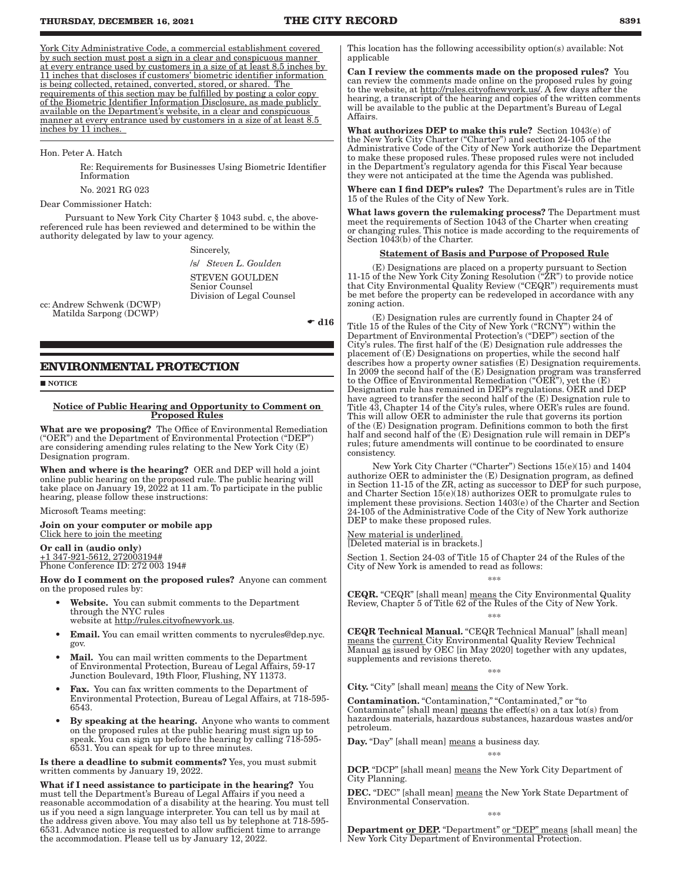York City Administrative Code, a commercial establishment covered by such section must post a sign in a clear and conspicuous manner at every entrance used by customers in a size of at least 8.5 inches by 11 inches that discloses if customers' biometric identifier information is being collected, retained, converted, stored, or shared. The requirements of this section may be fulfilled by posting a color copy of the Biometric Identifier Information Disclosure, as made publicly available on the Department's website, in a clear and conspicuous manner at every entrance used by customers in a size of at least 8.5 inches by 11 inches.

#### Hon. Peter A. Hatch

Re: Requirements for Businesses Using Biometric Identifier Information

No. 2021 RG 023

#### Dear Commissioner Hatch:

Pursuant to New York City Charter § 1043 subd. c, the abovereferenced rule has been reviewed and determined to be within the authority delegated by law to your agency.

Sincerely,

/s/ *Steven L. Goulden* STEVEN GOULDEN Senior Counsel Division of Legal Counsel

cc: Andrew Schwenk (DCWP) Matilda Sarpong (DCWP)

 $\bullet$  d16

### **ENVIRONMENTAL PROTECTION**

**NOTICE** 

### Notice of Public Hearing and Opportunity to Comment on Proposed Rules

What are we proposing? The Office of Environmental Remediation ("OER") and the Department of Environmental Protection ("DEP") are considering amending rules relating to the New York City (E) Designation program.

When and where is the hearing? OER and DEP will hold a joint online public hearing on the proposed rule. The public hearing will take place on January 19, 2022 at 11 am. To participate in the public hearing, please follow these instructions:

Microsoft Teams meeting:

Join on your computer or mobile app Click here to join the meeting

Or call in (audio only) +1 347-921-5612, 272003194# Phone Conference ID: 272 003 194#

How do I comment on the proposed rules? Anyone can comment on the proposed rules by:

- Website. You can submit comments to the Department through the NYC rules website at http://rules.cityofnewyork.us.
- Email. You can email written comments to nycrules@dep.nyc. gov.
- Mail. You can mail written comments to the Department of Environmental Protection, Bureau of Legal Affairs, 59-17 Junction Boulevard, 19th Floor, Flushing, NY 11373.
- Fax. You can fax written comments to the Department of Environmental Protection, Bureau of Legal Affairs, at 718-595- 6543.
- By speaking at the hearing. Anyone who wants to comment on the proposed rules at the public hearing must sign up to speak. You can sign up before the hearing by calling 718-595- 6531. You can speak for up to three minutes.

Is there a deadline to submit comments? Yes, you must submit written comments by January 19, 2022.

What if I need assistance to participate in the hearing? You must tell the Department's Bureau of Legal Affairs if you need a reasonable accommodation of a disability at the hearing. You must tell us if you need a sign language interpreter. You can tell us by mail at the address given above. You may also tell us by telephone at 718-595- 6531. Advance notice is requested to allow sufficient time to arrange the accommodation. Please tell us by January 12, 2022.

This location has the following accessibility option(s) available: Not applicable

Can I review the comments made on the proposed rules? You can review the comments made online on the proposed rules by going to the website, at http://rules.cityofnewyork.us/. A few days after the hearing, a transcript of the hearing and copies of the written comments will be available to the public at the Department's Bureau of Legal Affairs.

What authorizes DEP to make this rule? Section 1043(e) of the New York City Charter ("Charter") and section 24-105 of the Administrative Code of the City of New York authorize the Department to make these proposed rules. These proposed rules were not included in the Department's regulatory agenda for this Fiscal Year because they were not anticipated at the time the Agenda was published.

Where can I find DEP's rules? The Department's rules are in Title 15 of the Rules of the City of New York.

What laws govern the rulemaking process? The Department must meet the requirements of Section 1043 of the Charter when creating or changing rules. This notice is made according to the requirements of Section 1043(b) of the Charter.

#### Statement of Basis and Purpose of Proposed Rule

(E) Designations are placed on a property pursuant to Section 11-15 of the New York City Zoning Resolution ("ZR") to provide notice that City Environmental Quality Review ("CEQR") requirements must be met before the property can be redeveloped in accordance with any zoning action.

(E) Designation rules are currently found in Chapter 24 of Title 15 of the Rules of the City of New York ("RCNY") within the Department of Environmental Protection's ("DEP") section of the City's rules. The first half of the (E) Designation rule addresses the placement of (E) Designations on properties, while the second half describes how a property owner satisfies (E) Designation requirements. In 2009 the second half of the (E) Designation program was transferred to the Office of Environmental Remediation (" $\overline{\text{OER}}}$ "), yet the (E) Designation rule has remained in DEP's regulations. OER and DEP have agreed to transfer the second half of the (E) Designation rule to Title 43, Chapter 14 of the City's rules, where OER's rules are found. This will allow OER to administer the rule that governs its portion of the (E) Designation program. Definitions common to both the first half and second half of the (E) Designation rule will remain in DEP's rules; future amendments will continue to be coordinated to ensure consistency.

New York City Charter ("Charter") Sections 15(e)(15) and 1404 authorize OER to administer the (E) Designation program, as defined in Section 11-15 of the ZR, acting as successor to DEP for such purpose, and Charter Section  $15(e)(18)$  authorizes OER to promulgate rules to implement these provisions. Section 1403(e) of the Charter and Section 24-105 of the Administrative Code of the City of New York authorize DEP to make these proposed rules.

New material is underlined. [Deleted material is in brackets.]

Section 1. Section 24-03 of Title 15 of Chapter 24 of the Rules of the City of New York is amended to read as follows:

\*\*\*

CEQR. "CEQR" [shall mean] means the City Environmental Quality Review, Chapter 5 of Title 62 of the Rules of the City of New York. \*\*\*

CEQR Technical Manual. "CEQR Technical Manual" [shall mean] means the current City Environmental Quality Review Technical Manual as issued by OEC [in May 2020] together with any updates, supplements and revisions thereto.

\*\*\*

City. "City" [shall mean] means the City of New York.

Contamination. "Contamination," "Contaminated," or "to Contaminate" [shall mean]  $means$  the effect(s) on a tax  $lot(s)$  from</u> hazardous materials, hazardous substances, hazardous wastes and/or petroleum.

Day. "Day" [shall mean] means a business day.

\*\*\*

DCP. "DCP" [shall mean] means the New York City Department of City Planning.

DEC. "DEC" [shall mean] means the New York State Department of Environmental Conservation.

\*\*\*

Department or DEP. "Department" or "DEP" means [shall mean] the New York City Department of Environmental Protection.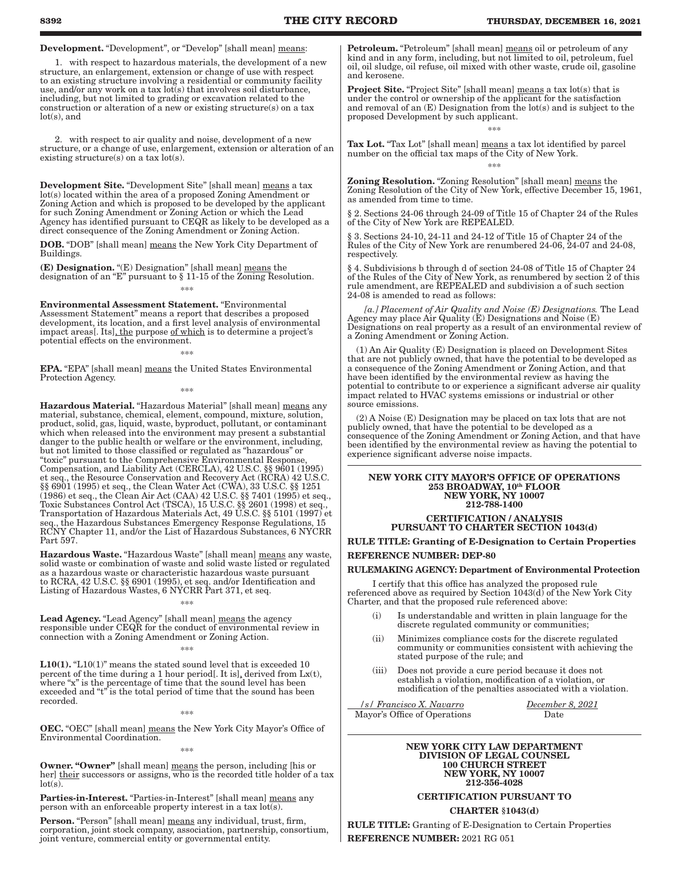Development. "Development", or "Develop" [shall mean] means:

 1. with respect to hazardous materials, the development of a new structure, an enlargement, extension or change of use with respect to an existing structure involving a residential or community facility use, and/or any work on a tax lot(s) that involves soil disturbance, including, but not limited to grading or excavation related to the construction or alteration of a new or existing structure(s) on a tax lot(s), and

 2. with respect to air quality and noise, development of a new structure, or a change of use, enlargement, extension or alteration of an existing structure(s) on a tax  $lot(s)$ .

Development Site. "Development Site" [shall mean] means a tax lot(s) located within the area of a proposed Zoning Amendment or Zoning Action and which is proposed to be developed by the applicant for such Zoning Amendment or Zoning Action or which the Lead Agency has identified pursuant to CEQR as likely to be developed as a direct consequence of the Zoning Amendment or Zoning Action.

DOB. "DOB" [shall mean] means the New York City Department of Buildings.

(E) Designation. "(E) Designation" [shall mean] means the designation of an "E" pursuant to § 11-15 of the Zoning Resolution.

\*\*\*

Environmental Assessment Statement. "Environmental Assessment Statement" means a report that describes a proposed development, its location, and a first level analysis of environmental impact areas[. Its], the purpose of which is to determine a project's potential effects on the environment.

EPA. "EPA" [shall mean] means the United States Environmental Protection Agency.

\*\*\*

\*\*\*

Hazardous Material. "Hazardous Material" [shall mean] means any material, substance, chemical, element, compound, mixture, solution, product, solid, gas, liquid, waste, byproduct, pollutant, or contaminant which when released into the environment may present a substantial danger to the public health or welfare or the environment, including, but not limited to those classified or regulated as "hazardous" or "toxic" pursuant to the Comprehensive Environmental Response, Compensation, and Liability Act (CERCLA), 42 U.S.C. §§ 9601 (1995) et seq., the Resource Conservation and Recovery Act (RCRA) 42 U.S.C. §§ 6901 (1995) et seq., the Clean Water Act (CWA), 33 U.S.C. §§ 1251 (1986) et seq., the Clean Air Act (CAA) 42 U.S.C. §§ 7401 (1995) et seq., Toxic Substances Control Act (TSCA), 15 U.S.C. §§ 2601 (1998) et seq., Transportation of Hazardous Materials Act, 49 U.S.C. §§ 5101 (1997) et seq., the Hazardous Substances Emergency Response Regulations, 15 RCNY Chapter 11, and/or the List of Hazardous Substances, 6 NYCRR Part 597.

Hazardous Waste. "Hazardous Waste" [shall mean] means any waste, solid waste or combination of waste and solid waste listed or regulated as a hazardous waste or characteristic hazardous waste pursuant to RCRA, 42 U.S.C. §§ 6901 (1995), et seq. and/or Identification and Listing of Hazardous Wastes, 6 NYCRR Part 371, et seq.

\*\*\* Lead Agency. "Lead Agency" [shall mean] means the agency responsible under CEQR for the conduct of environmental review in connection with a Zoning Amendment or Zoning Action.

 $****$ 

L10(1). "L10(1)" means the stated sound level that is exceeded 10 percent of the time during a 1 hour period[. It is], derived from  $Lx(t)$ , where "x" is the percentage of time that the sound level has been exceeded and "t" is the total period of time that the sound has been recorded.

\*\*\*

OEC. "OEC" [shall mean] means the New York City Mayor's Office of Environmental Coordination. \*\*\*

Owner. "Owner" [shall mean] means the person, including [his or her] their successors or assigns, who is the recorded title holder of a tax lot(s).

Parties-in-Interest. "Parties-in-Interest" [shall mean] means any person with an enforceable property interest in a tax lot(s).

Person. "Person" [shall mean] means any individual, trust, firm, corporation, joint stock company, association, partnership, consortium, joint venture, commercial entity or governmental entity.

Petroleum. "Petroleum" [shall mean] means oil or petroleum of any kind and in any form, including, but not limited to oil, petroleum, fuel oil, oil sludge, oil refuse, oil mixed with other waste, crude oil, gasoline and kerosene.

**Project Site.** "Project Site" [shall mean] means a tax lot(s) that is under the control or ownership of the applicant for the satisfaction and removal of an (E) Designation from the lot(s) and is subject to the proposed Development by such applicant.

\*\*\*

Tax Lot. "Tax Lot" [shall mean] means a tax lot identified by parcel number on the official tax maps of the City of New York. \*\*\*

Zoning Resolution. "Zoning Resolution" [shall mean] means the Zoning Resolution of the City of New York, effective December 15, 1961, as amended from time to time.

§ 2. Sections 24-06 through 24-09 of Title 15 of Chapter 24 of the Rules of the City of New York are REPEALED.

§ 3. Sections 24-10, 24-11 and 24-12 of Title 15 of Chapter 24 of the Rules of the City of New York are renumbered 24-06, 24-07 and 24-08, respectively.

§ 4. Subdivisions b through d of section 24-08 of Title 15 of Chapter 24 of the Rules of the City of New York, as renumbered by section 2 of this rule amendment, are REPEALED and subdivision a of such section 24-08 is amended to read as follows:

 *[a.] Placement of Air Quality and Noise (E) Designations.* The Lead Agency may place Air Quality (E) Designations and Noise (E) Designations on real property as a result of an environmental review of a Zoning Amendment or Zoning Action.

(1) An Air Quality (E) Designation is placed on Development Sites that are not publicly owned, that have the potential to be developed as a consequence of the Zoning Amendment or Zoning Action, and that have been identified by the environmental review as having the potential to contribute to or experience a significant adverse air quality impact related to HVAC systems emissions or industrial or other source emissions.

(2) A Noise (E) Designation may be placed on tax lots that are not publicly owned, that have the potential to be developed as a consequence of the Zoning Amendment or Zoning Action, and that have been identified by the environmental review as having the potential to experience significant adverse noise impacts.

```
NEW YORK CITY MAYOR'S OFFICE OF OPERATIONS
253 BROADWAY, 10th FLOOR
   NEW YORK, NY 10007
      212-788-1400
```
### CERTIFICATION / ANALYSIS PURSUANT TO CHARTER SECTION 1043(d)

RULE TITLE: Granting of E-Designation to Certain Properties

REFERENCE NUMBER: DEP-80

### RULEMAKING AGENCY: Department of Environmental Protection

I certify that this office has analyzed the proposed rule referenced above as required by Section 1043(d) of the New York City Charter, and that the proposed rule referenced above:

- Is understandable and written in plain language for the discrete regulated community or communities;
- (ii) Minimizes compliance costs for the discrete regulated community or communities consistent with achieving the stated purpose of the rule; and
- (iii) Does not provide a cure period because it does not establish a violation, modification of a violation, or modification of the penalties associated with a violation.

 */s/ Francisco X. Navarro December 8, 2021* Mayor's Office of Operations

#### NEW YORK CITY LAW DEPARTMENT DIVISION OF LEGAL COUNSEL 100 CHURCH STREET NEW YORK, NY 10007 212-356-4028

### CERTIFICATION PURSUANT TO

CHARTER §1043(d)

RULE TITLE: Granting of E-Designation to Certain Properties REFERENCE NUMBER: 2021 RG 051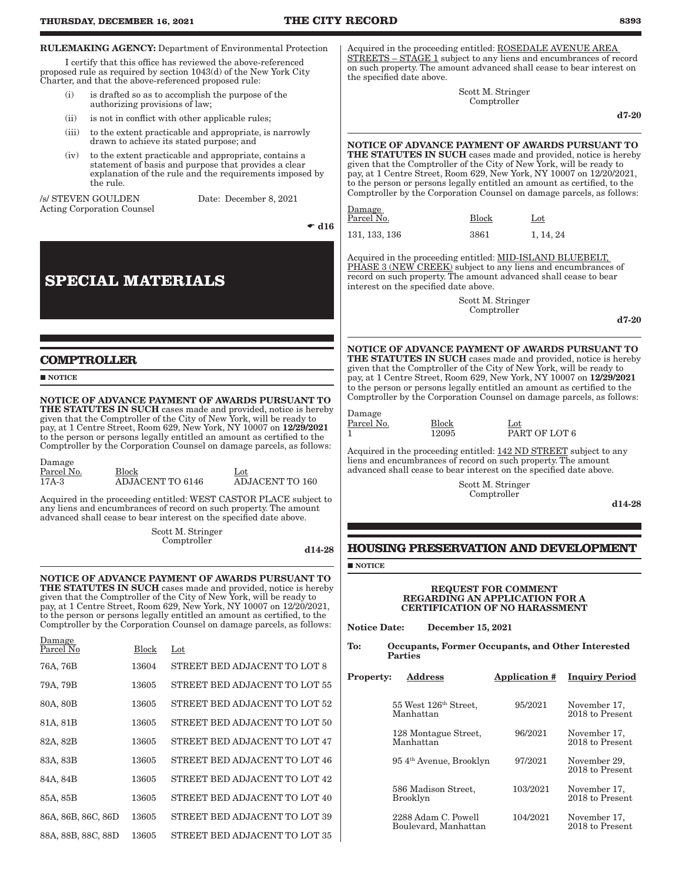| <b>RULEMAKING AGENCY:</b> Department of Environmental Protection<br>I certify that this office has reviewed the above-referenced<br>proposed rule as required by section 1043(d) of the New York City<br>Charter, and that the above-referenced proposed rule: |           |              |                                                                                                                                                                                                                                                                                                                                                    |               | Acquired in the proceeding entitled: ROSEDALE AVENUE AREA<br>STREETS – STAGE 1 subject to any liens and encumbrances of record<br>on such property. The amount advanced shall cease to bear interest on<br>the specified date above. |                                                                                                                                                                                                                                        |                                  |                            |                                                                                                                                                                                                                           |
|----------------------------------------------------------------------------------------------------------------------------------------------------------------------------------------------------------------------------------------------------------------|-----------|--------------|----------------------------------------------------------------------------------------------------------------------------------------------------------------------------------------------------------------------------------------------------------------------------------------------------------------------------------------------------|---------------|--------------------------------------------------------------------------------------------------------------------------------------------------------------------------------------------------------------------------------------|----------------------------------------------------------------------------------------------------------------------------------------------------------------------------------------------------------------------------------------|----------------------------------|----------------------------|---------------------------------------------------------------------------------------------------------------------------------------------------------------------------------------------------------------------------|
| (i)                                                                                                                                                                                                                                                            |           |              | is drafted so as to accomplish the purpose of the<br>authorizing provisions of law;                                                                                                                                                                                                                                                                |               |                                                                                                                                                                                                                                      |                                                                                                                                                                                                                                        | Scott M. Stringer<br>Comptroller |                            |                                                                                                                                                                                                                           |
| (ii)                                                                                                                                                                                                                                                           |           |              | is not in conflict with other applicable rules;                                                                                                                                                                                                                                                                                                    |               |                                                                                                                                                                                                                                      |                                                                                                                                                                                                                                        |                                  |                            | $d7-20$                                                                                                                                                                                                                   |
| (iii)                                                                                                                                                                                                                                                          |           |              | to the extent practicable and appropriate, is narrowly<br>drawn to achieve its stated purpose; and                                                                                                                                                                                                                                                 |               |                                                                                                                                                                                                                                      |                                                                                                                                                                                                                                        |                                  |                            | NOTICE OF ADVANCE PAYMENT OF AWARDS PURSUANT TO<br>THE STATUTES IN SUCH cases made and provided, notice is hereby                                                                                                         |
| (iv)                                                                                                                                                                                                                                                           | the rule. |              | to the extent practicable and appropriate, contains a<br>statement of basis and purpose that provides a clear<br>explanation of the rule and the requirements imposed by                                                                                                                                                                           |               |                                                                                                                                                                                                                                      | given that the Comptroller of the City of New York, will be ready to                                                                                                                                                                   |                                  |                            | pay, at 1 Centre Street, Room 629, New York, NY 10007 on 12/20/2021,<br>to the person or persons legally entitled an amount as certified, to the<br>Comptroller by the Corporation Counsel on damage parcels, as follows: |
| /s/ STEVEN GOULDEN<br><b>Acting Corporation Counsel</b>                                                                                                                                                                                                        |           |              | Date: December 8, 2021                                                                                                                                                                                                                                                                                                                             |               | Damage                                                                                                                                                                                                                               |                                                                                                                                                                                                                                        |                                  |                            |                                                                                                                                                                                                                           |
|                                                                                                                                                                                                                                                                |           |              |                                                                                                                                                                                                                                                                                                                                                    | $\bullet$ d16 | Parcel No.                                                                                                                                                                                                                           |                                                                                                                                                                                                                                        | <b>Block</b>                     | Lot                        |                                                                                                                                                                                                                           |
|                                                                                                                                                                                                                                                                |           |              |                                                                                                                                                                                                                                                                                                                                                    |               | 131, 133, 136                                                                                                                                                                                                                        |                                                                                                                                                                                                                                        | 3861                             | 1, 14, 24                  |                                                                                                                                                                                                                           |
|                                                                                                                                                                                                                                                                |           |              | <b>SPECIAL MATERIALS</b>                                                                                                                                                                                                                                                                                                                           |               |                                                                                                                                                                                                                                      | Acquired in the proceeding entitled: MID-ISLAND BLUEBELT,<br>PHASE 3 (NEW CREEK) subject to any liens and encumbrances of<br>record on such property. The amount advanced shall cease to bear<br>interest on the specified date above. |                                  |                            |                                                                                                                                                                                                                           |
|                                                                                                                                                                                                                                                                |           |              |                                                                                                                                                                                                                                                                                                                                                    |               |                                                                                                                                                                                                                                      |                                                                                                                                                                                                                                        | Scott M. Stringer<br>Comptroller |                            |                                                                                                                                                                                                                           |
|                                                                                                                                                                                                                                                                |           |              |                                                                                                                                                                                                                                                                                                                                                    |               |                                                                                                                                                                                                                                      |                                                                                                                                                                                                                                        |                                  |                            | $d7-20$                                                                                                                                                                                                                   |
| <b>COMPTROLLER</b><br>NOTICE                                                                                                                                                                                                                                   |           |              |                                                                                                                                                                                                                                                                                                                                                    |               |                                                                                                                                                                                                                                      | given that the Comptroller of the City of New York, will be ready to                                                                                                                                                                   |                                  |                            | NOTICE OF ADVANCE PAYMENT OF AWARDS PURSUANT TO<br><b>THE STATUTES IN SUCH</b> cases made and provided, notice is hereby<br>pay, at 1 Centre Street, Room 629, New York, NY 10007 on 12/29/2021                           |
|                                                                                                                                                                                                                                                                |           |              |                                                                                                                                                                                                                                                                                                                                                    |               |                                                                                                                                                                                                                                      |                                                                                                                                                                                                                                        |                                  |                            | to the person or persons legally entitled an amount as certified to the<br>Comptroller by the Corporation Counsel on damage parcels, as follows:                                                                          |
|                                                                                                                                                                                                                                                                |           |              | NOTICE OF ADVANCE PAYMENT OF AWARDS PURSUANT TO<br><b>THE STATUTES IN SUCH</b> cases made and provided, notice is hereby<br>given that the Comptroller of the City of New York, will be ready to<br>pay, at 1 Centre Street, Room 629, New York, NY 10007 on 12/29/2021<br>to the person or persons legally entitled an amount as certified to the |               | Damage<br>Parcel No.<br>$\mathbf{1}$                                                                                                                                                                                                 | Block<br>12095                                                                                                                                                                                                                         |                                  | Lot<br>PART OF LOT 6       |                                                                                                                                                                                                                           |
| Damage<br>Parcel No.                                                                                                                                                                                                                                           |           | <b>Block</b> | Comptroller by the Corporation Counsel on damage parcels, as follows:<br>Lot                                                                                                                                                                                                                                                                       |               |                                                                                                                                                                                                                                      | Acquired in the proceeding entitled: 142 ND STREET subject to any<br>liens and encumbrances of record on such property. The amount<br>advanced shall cease to bear interest on the specified date above.                               |                                  |                            |                                                                                                                                                                                                                           |
| $17A-3$                                                                                                                                                                                                                                                        |           |              | ADJACENT TO 160<br><b>ADJACENT TO 6146</b>                                                                                                                                                                                                                                                                                                         |               |                                                                                                                                                                                                                                      |                                                                                                                                                                                                                                        | Scott M. Stringer<br>Comptroller |                            |                                                                                                                                                                                                                           |
|                                                                                                                                                                                                                                                                |           |              | Acquired in the proceeding entitled: WEST CASTOR PLACE subject to<br>any liens and encumbrances of record on such property. The amount<br>advanced shall cease to bear interest on the specified date above.                                                                                                                                       |               |                                                                                                                                                                                                                                      |                                                                                                                                                                                                                                        |                                  |                            | d14-28                                                                                                                                                                                                                    |
|                                                                                                                                                                                                                                                                |           |              | Scott M. Stringer<br>Comptroller                                                                                                                                                                                                                                                                                                                   |               |                                                                                                                                                                                                                                      |                                                                                                                                                                                                                                        |                                  |                            |                                                                                                                                                                                                                           |
|                                                                                                                                                                                                                                                                |           |              |                                                                                                                                                                                                                                                                                                                                                    | d14-28        |                                                                                                                                                                                                                                      |                                                                                                                                                                                                                                        |                                  |                            | <b>HOUSING PRESERVATION AND DEVELOPMENT</b>                                                                                                                                                                               |
|                                                                                                                                                                                                                                                                |           |              |                                                                                                                                                                                                                                                                                                                                                    |               | $\blacksquare$ NOTICE                                                                                                                                                                                                                |                                                                                                                                                                                                                                        |                                  |                            |                                                                                                                                                                                                                           |
|                                                                                                                                                                                                                                                                |           |              | NOTICE OF ADVANCE PAYMENT OF AWARDS PURSUANT TO<br>THE STATUTES IN SUCH cases made and provided, notice is hereby given that the Comptroller of the City of New York, will be ready to<br>pay, at 1 Centre Street, Room 629, New York, NY 10007 on 12/20/2021,<br>to the person or persons legally entitled an amount as certified, to the         |               |                                                                                                                                                                                                                                      | REGARDING AN APPLICATION FOR A<br><b>CERTIFICATION OF NO HARASSMENT</b>                                                                                                                                                                |                                  | <b>REQUEST FOR COMMENT</b> |                                                                                                                                                                                                                           |
| Damage                                                                                                                                                                                                                                                         |           |              | Comptroller by the Corporation Counsel on damage parcels, as follows:                                                                                                                                                                                                                                                                              |               | <b>Notice Date:</b>                                                                                                                                                                                                                  |                                                                                                                                                                                                                                        | <b>December 15, 2021</b>         |                            |                                                                                                                                                                                                                           |
| Parcel No                                                                                                                                                                                                                                                      |           | <b>Block</b> | $_{\rm Lot}$                                                                                                                                                                                                                                                                                                                                       |               | To:                                                                                                                                                                                                                                  | <b>Parties</b>                                                                                                                                                                                                                         |                                  |                            | Occupants, Former Occupants, and Other Interested                                                                                                                                                                         |
| 76A, 76B                                                                                                                                                                                                                                                       |           | 13604        | STREET BED ADJACENT TO LOT 8                                                                                                                                                                                                                                                                                                                       |               | <b>Property:</b>                                                                                                                                                                                                                     | <u>Address</u>                                                                                                                                                                                                                         |                                  | <b>Application #</b>       | <b>Inquiry Period</b>                                                                                                                                                                                                     |
| 79A, 79B                                                                                                                                                                                                                                                       |           | 13605        | STREET BED ADJACENT TO LOT 55                                                                                                                                                                                                                                                                                                                      |               |                                                                                                                                                                                                                                      |                                                                                                                                                                                                                                        |                                  |                            |                                                                                                                                                                                                                           |
| 80A, 80B                                                                                                                                                                                                                                                       |           | 13605        | STREET BED ADJACENT TO LOT 52                                                                                                                                                                                                                                                                                                                      |               |                                                                                                                                                                                                                                      | 55 West 126th Street,<br>Manhattan                                                                                                                                                                                                     |                                  | 95/2021                    | November 17,<br>2018 to Present                                                                                                                                                                                           |
| 81A, 81B                                                                                                                                                                                                                                                       |           | 13605        | STREET BED ADJACENT TO LOT 50                                                                                                                                                                                                                                                                                                                      |               |                                                                                                                                                                                                                                      | 128 Montague Street,                                                                                                                                                                                                                   |                                  | 96/2021                    | November 17,                                                                                                                                                                                                              |
| 82A, 82B                                                                                                                                                                                                                                                       |           | 13605        | STREET BED ADJACENT TO LOT 47                                                                                                                                                                                                                                                                                                                      |               |                                                                                                                                                                                                                                      | Manhattan                                                                                                                                                                                                                              |                                  |                            | 2018 to Present                                                                                                                                                                                                           |
| 83A, 83B                                                                                                                                                                                                                                                       |           | 13605        | STREET BED ADJACENT TO LOT 46                                                                                                                                                                                                                                                                                                                      |               |                                                                                                                                                                                                                                      | 954 <sup>th</sup> Avenue, Brooklyn                                                                                                                                                                                                     |                                  | 97/2021                    | November 29,<br>2018 to Present                                                                                                                                                                                           |
| 84A, 84B                                                                                                                                                                                                                                                       |           | 13605        | STREET BED ADJACENT TO LOT 42                                                                                                                                                                                                                                                                                                                      |               |                                                                                                                                                                                                                                      | 586 Madison Street,                                                                                                                                                                                                                    |                                  | 103/2021                   | November 17,                                                                                                                                                                                                              |
| 85A, 85B                                                                                                                                                                                                                                                       |           | 13605        | STREET BED ADJACENT TO LOT 40                                                                                                                                                                                                                                                                                                                      |               |                                                                                                                                                                                                                                      | Brooklyn                                                                                                                                                                                                                               |                                  |                            | 2018 to Present                                                                                                                                                                                                           |
| 86A, 86B, 86C, 86D                                                                                                                                                                                                                                             |           | 13605        | STREET BED ADJACENT TO LOT 39                                                                                                                                                                                                                                                                                                                      |               |                                                                                                                                                                                                                                      | 2288 Adam C. Powell<br>Boulevard, Manhattan                                                                                                                                                                                            |                                  | 104/2021                   | November 17,<br>2018 to Present                                                                                                                                                                                           |
| 88A, 88B, 88C, 88D                                                                                                                                                                                                                                             |           | 13605        | STREET BED ADJACENT TO LOT 35                                                                                                                                                                                                                                                                                                                      |               |                                                                                                                                                                                                                                      |                                                                                                                                                                                                                                        |                                  |                            |                                                                                                                                                                                                                           |